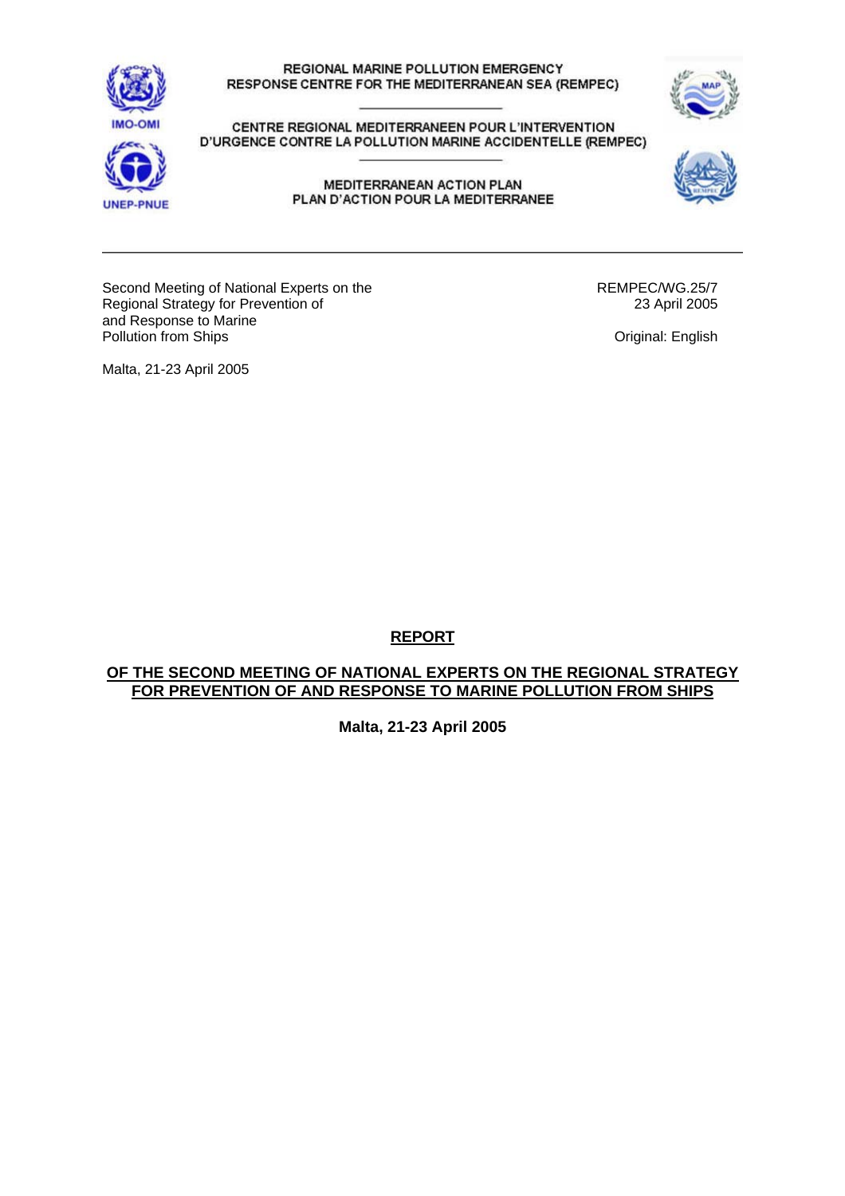



CENTRE REGIONAL MEDITERRANEEN POUR L'INTERVENTION D'URGENCE CONTRE LA POLLUTION MARINE ACCIDENTELLE (REMPEC)



MEDITERRANEAN ACTION PLAN PLAN D'ACTION POUR LA MEDITERRANEE



Second Meeting of National Experts on the Regional Strategy for Prevention of and Response to Marine Pollution from Ships

REMPEC/WG.25/7 23 April 2005

Original: English

Malta, 21-23 April 2005

**REPORT**

# **OF THE SECOND MEETING OF NATIONAL EXPERTS ON THE REGIONAL STRATEGY FOR PREVENTION OF AND RESPONSE TO MARINE POLLUTION FROM SHIPS**

**Malta, 21-23 April 2005**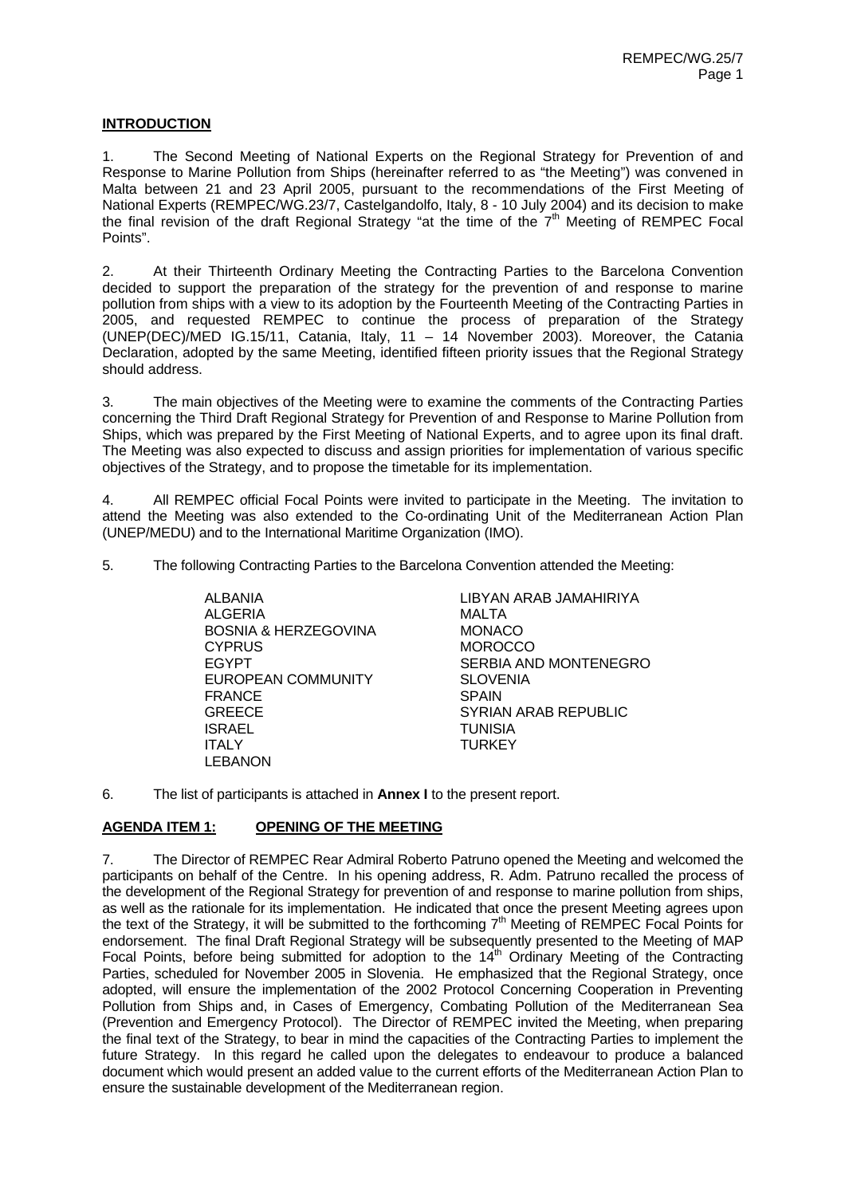### **INTRODUCTION**

1. The Second Meeting of National Experts on the Regional Strategy for Prevention of and Response to Marine Pollution from Ships (hereinafter referred to as "the Meeting") was convened in Malta between 21 and 23 April 2005, pursuant to the recommendations of the First Meeting of National Experts (REMPEC/WG.23/7, Castelgandolfo, Italy, 8 - 10 July 2004) and its decision to make the final revision of the draft Regional Strategy "at the time of the  $7<sup>th</sup>$  Meeting of REMPEC Focal Points".

2. At their Thirteenth Ordinary Meeting the Contracting Parties to the Barcelona Convention decided to support the preparation of the strategy for the prevention of and response to marine pollution from ships with a view to its adoption by the Fourteenth Meeting of the Contracting Parties in 2005, and requested REMPEC to continue the process of preparation of the Strategy (UNEP(DEC)/MED IG.15/11, Catania, Italy, 11 - 14 November 2003). Moreover, the Catania Declaration, adopted by the same Meeting, identified fifteen priority issues that the Regional Strategy should address.

3. The main objectives of the Meeting were to examine the comments of the Contracting Parties concerning the Third Draft Regional Strategy for Prevention of and Response to Marine Pollution from Ships, which was prepared by the First Meeting of National Experts, and to agree upon its final draft. The Meeting was also expected to discuss and assign priorities for implementation of various specific objectives of the Strategy, and to propose the timetable for its implementation.

4. All REMPEC official Focal Points were invited to participate in the Meeting. The invitation to attend the Meeting was also extended to the Co-ordinating Unit of the Mediterranean Action Plan (UNEP/MEDU) and to the International Maritime Organization (IMO).

5. The following Contracting Parties to the Barcelona Convention attended the Meeting:

 ALBANIA LIBYAN ARAB JAMAHIRIYA ALGERIA MALTA BOSNIA & HERZEGOVINA CYPRUS MOROCCO EGYPT SERBIA AND MONTENEGRO EUROPEAN COMMUNITY SLOVENIA FRANCE SPAIN GREECE SYRIAN ARAB REPUBLIC ISRAEL TUNISIA ITALY TURKEY LEBANON

6. The list of participants is attached in **Annex I** to the present report.

# **AGENDA ITEM 1: OPENING OF THE MEETING**

7. The Director of REMPEC Rear Admiral Roberto Patruno opened the Meeting and welcomed the participants on behalf of the Centre. In his opening address, R. Adm. Patruno recalled the process of the development of the Regional Strategy for prevention of and response to marine pollution from ships, as well as the rationale for its implementation. He indicated that once the present Meeting agrees upon the text of the Strategy, it will be submitted to the forthcoming  $7<sup>th</sup>$  Meeting of REMPEC Focal Points for endorsement. The final Draft Regional Strategy will be subsequently presented to the Meeting of MAP Focal Points, before being submitted for adoption to the  $14<sup>th</sup>$  Ordinary Meeting of the Contracting Parties, scheduled for November 2005 in Slovenia. He emphasized that the Regional Strategy, once adopted, will ensure the implementation of the 2002 Protocol Concerning Cooperation in Preventing Pollution from Ships and, in Cases of Emergency, Combating Pollution of the Mediterranean Sea (Prevention and Emergency Protocol). The Director of REMPEC invited the Meeting, when preparing the final text of the Strategy, to bear in mind the capacities of the Contracting Parties to implement the future Strategy. In this regard he called upon the delegates to endeavour to produce a balanced document which would present an added value to the current efforts of the Mediterranean Action Plan to ensure the sustainable development of the Mediterranean region.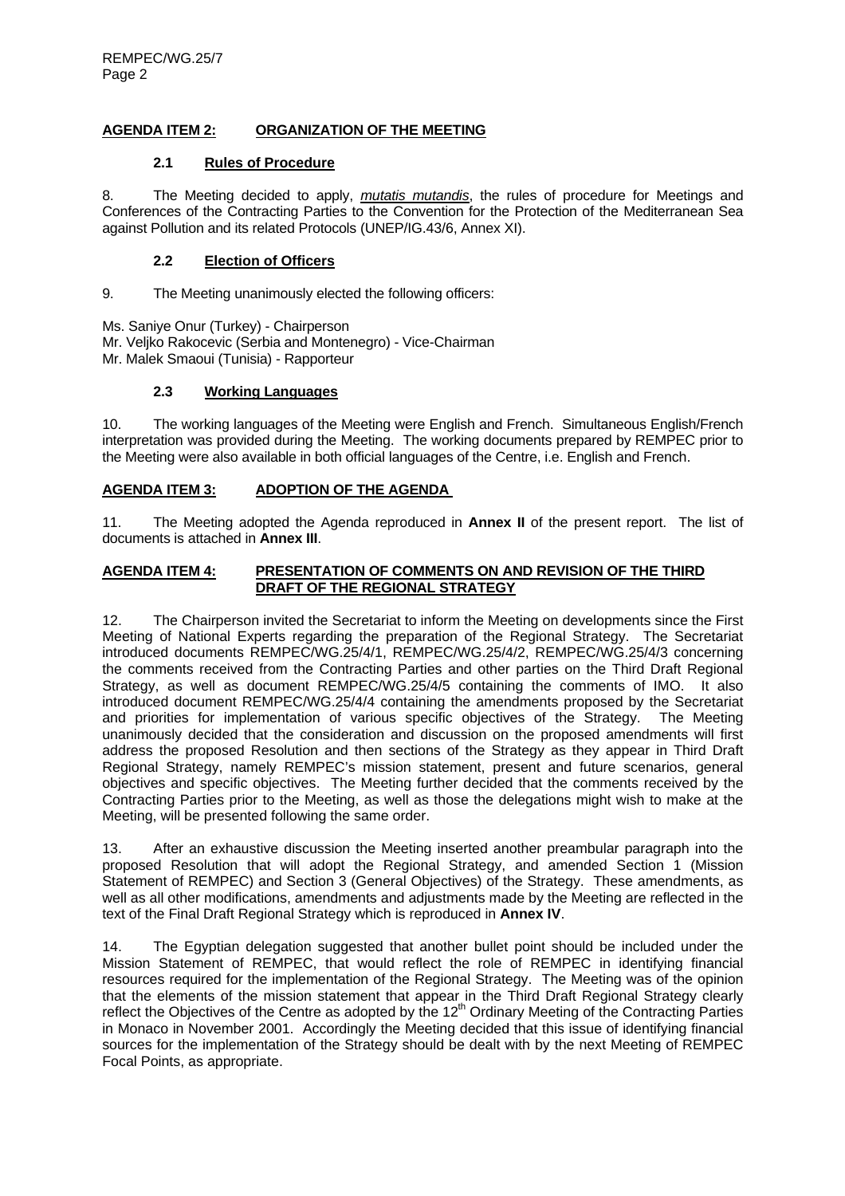# **AGENDA ITEM 2: ORGANIZATION OF THE MEETING**

# **2.1 Rules of Procedure**

8. The Meeting decided to apply, *mutatis mutandis*, the rules of procedure for Meetings and Conferences of the Contracting Parties to the Convention for the Protection of the Mediterranean Sea against Pollution and its related Protocols (UNEP/IG.43/6, Annex XI).

# **2.2 Election of Officers**

9. The Meeting unanimously elected the following officers:

Ms. Saniye Onur (Turkey) - Chairperson Mr. Veljko Rakocevic (Serbia and Montenegro) - Vice-Chairman Mr. Malek Smaoui (Tunisia) - Rapporteur

# **2.3 Working Languages**

10. The working languages of the Meeting were English and French. Simultaneous English/French interpretation was provided during the Meeting. The working documents prepared by REMPEC prior to the Meeting were also available in both official languages of the Centre, i.e. English and French.

# **AGENDA ITEM 3: ADOPTION OF THE AGENDA**

11. The Meeting adopted the Agenda reproduced in **Annex II** of the present report. The list of documents is attached in **Annex III**.

## **AGENDA ITEM 4: PRESENTATION OF COMMENTS ON AND REVISION OF THE THIRD DRAFT OF THE REGIONAL STRATEGY**

12. The Chairperson invited the Secretariat to inform the Meeting on developments since the First Meeting of National Experts regarding the preparation of the Regional Strategy. The Secretariat introduced documents REMPEC/WG.25/4/1, REMPEC/WG.25/4/2, REMPEC/WG.25/4/3 concerning the comments received from the Contracting Parties and other parties on the Third Draft Regional Strategy, as well as document REMPEC/WG.25/4/5 containing the comments of IMO. It also introduced document REMPEC/WG.25/4/4 containing the amendments proposed by the Secretariat and priorities for implementation of various specific objectives of the Strategy. The Meeting unanimously decided that the consideration and discussion on the proposed amendments will first address the proposed Resolution and then sections of the Strategy as they appear in Third Draft Regional Strategy, namely REMPEC's mission statement, present and future scenarios, general objectives and specific objectives. The Meeting further decided that the comments received by the Contracting Parties prior to the Meeting, as well as those the delegations might wish to make at the Meeting, will be presented following the same order.

13. After an exhaustive discussion the Meeting inserted another preambular paragraph into the proposed Resolution that will adopt the Regional Strategy, and amended Section 1 (Mission Statement of REMPEC) and Section 3 (General Objectives) of the Strategy. These amendments, as well as all other modifications, amendments and adjustments made by the Meeting are reflected in the text of the Final Draft Regional Strategy which is reproduced in **Annex IV**.

14. The Egyptian delegation suggested that another bullet point should be included under the Mission Statement of REMPEC, that would reflect the role of REMPEC in identifying financial resources required for the implementation of the Regional Strategy. The Meeting was of the opinion that the elements of the mission statement that appear in the Third Draft Regional Strategy clearly reflect the Objectives of the Centre as adopted by the 12<sup>th</sup> Ordinary Meeting of the Contracting Parties in Monaco in November 2001. Accordingly the Meeting decided that this issue of identifying financial sources for the implementation of the Strategy should be dealt with by the next Meeting of REMPEC Focal Points, as appropriate.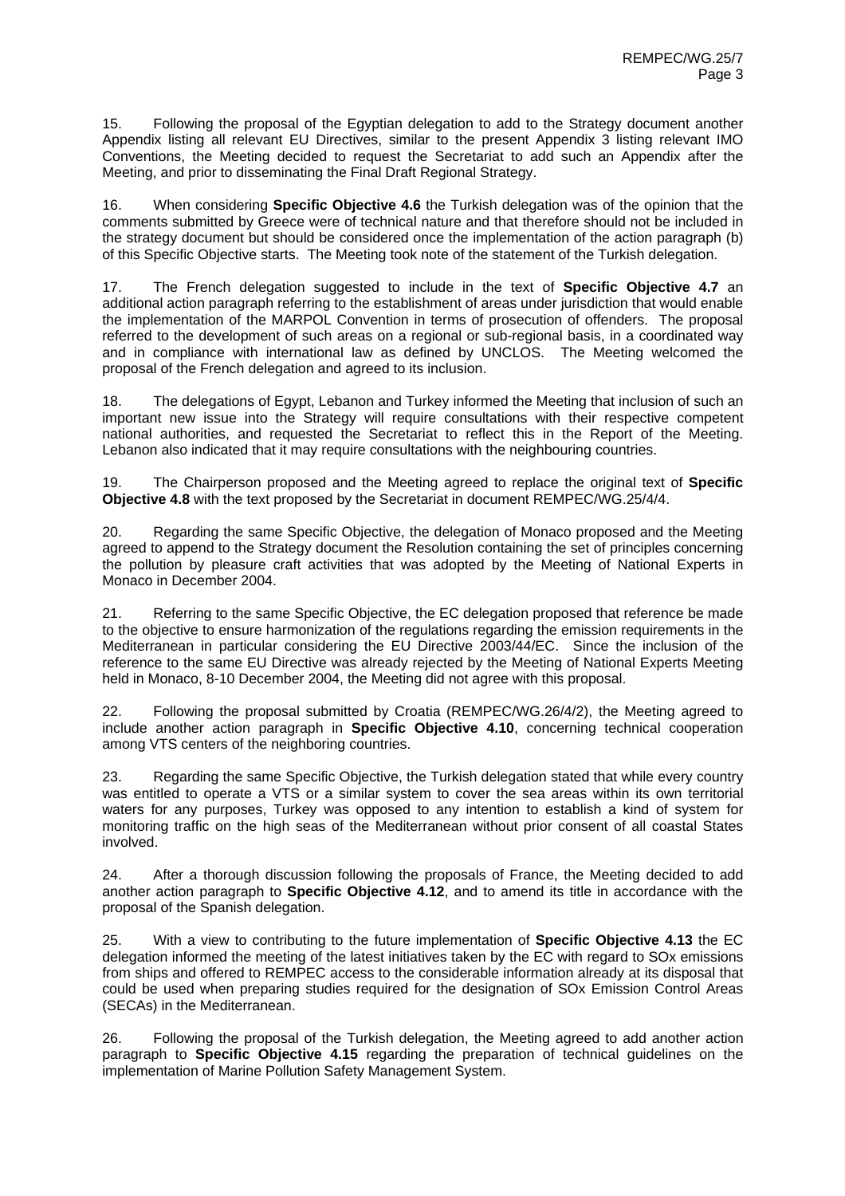15. Following the proposal of the Egyptian delegation to add to the Strategy document another Appendix listing all relevant EU Directives, similar to the present Appendix 3 listing relevant IMO Conventions, the Meeting decided to request the Secretariat to add such an Appendix after the Meeting, and prior to disseminating the Final Draft Regional Strategy.

16. When considering **Specific Objective 4.6** the Turkish delegation was of the opinion that the comments submitted by Greece were of technical nature and that therefore should not be included in the strategy document but should be considered once the implementation of the action paragraph (b) of this Specific Objective starts. The Meeting took note of the statement of the Turkish delegation.

17. The French delegation suggested to include in the text of **Specific Objective 4.7** an additional action paragraph referring to the establishment of areas under jurisdiction that would enable the implementation of the MARPOL Convention in terms of prosecution of offenders. The proposal referred to the development of such areas on a regional or sub-regional basis, in a coordinated way and in compliance with international law as defined by UNCLOS. The Meeting welcomed the proposal of the French delegation and agreed to its inclusion.

18. The delegations of Egypt, Lebanon and Turkey informed the Meeting that inclusion of such an important new issue into the Strategy will require consultations with their respective competent national authorities, and requested the Secretariat to reflect this in the Report of the Meeting. Lebanon also indicated that it may require consultations with the neighbouring countries.

19. The Chairperson proposed and the Meeting agreed to replace the original text of **Specific Objective 4.8** with the text proposed by the Secretariat in document REMPEC/WG.25/4/4.

20. Regarding the same Specific Objective, the delegation of Monaco proposed and the Meeting agreed to append to the Strategy document the Resolution containing the set of principles concerning the pollution by pleasure craft activities that was adopted by the Meeting of National Experts in Monaco in December 2004.

21. Referring to the same Specific Objective, the EC delegation proposed that reference be made to the objective to ensure harmonization of the regulations regarding the emission requirements in the Mediterranean in particular considering the EU Directive 2003/44/EC. Since the inclusion of the reference to the same EU Directive was already rejected by the Meeting of National Experts Meeting held in Monaco, 8-10 December 2004, the Meeting did not agree with this proposal.

22. Following the proposal submitted by Croatia (REMPEC/WG.26/4/2), the Meeting agreed to include another action paragraph in **Specific Objective 4.10**, concerning technical cooperation among VTS centers of the neighboring countries.

23. Regarding the same Specific Objective, the Turkish delegation stated that while every country was entitled to operate a VTS or a similar system to cover the sea areas within its own territorial waters for any purposes, Turkey was opposed to any intention to establish a kind of system for monitoring traffic on the high seas of the Mediterranean without prior consent of all coastal States involved.

24. After a thorough discussion following the proposals of France, the Meeting decided to add another action paragraph to **Specific Objective 4.12**, and to amend its title in accordance with the proposal of the Spanish delegation.

25. With a view to contributing to the future implementation of **Specific Objective 4.13** the EC delegation informed the meeting of the latest initiatives taken by the EC with regard to SOx emissions from ships and offered to REMPEC access to the considerable information already at its disposal that could be used when preparing studies required for the designation of SOx Emission Control Areas (SECAs) in the Mediterranean.

26. Following the proposal of the Turkish delegation, the Meeting agreed to add another action paragraph to **Specific Objective 4.15** regarding the preparation of technical guidelines on the implementation of Marine Pollution Safety Management System.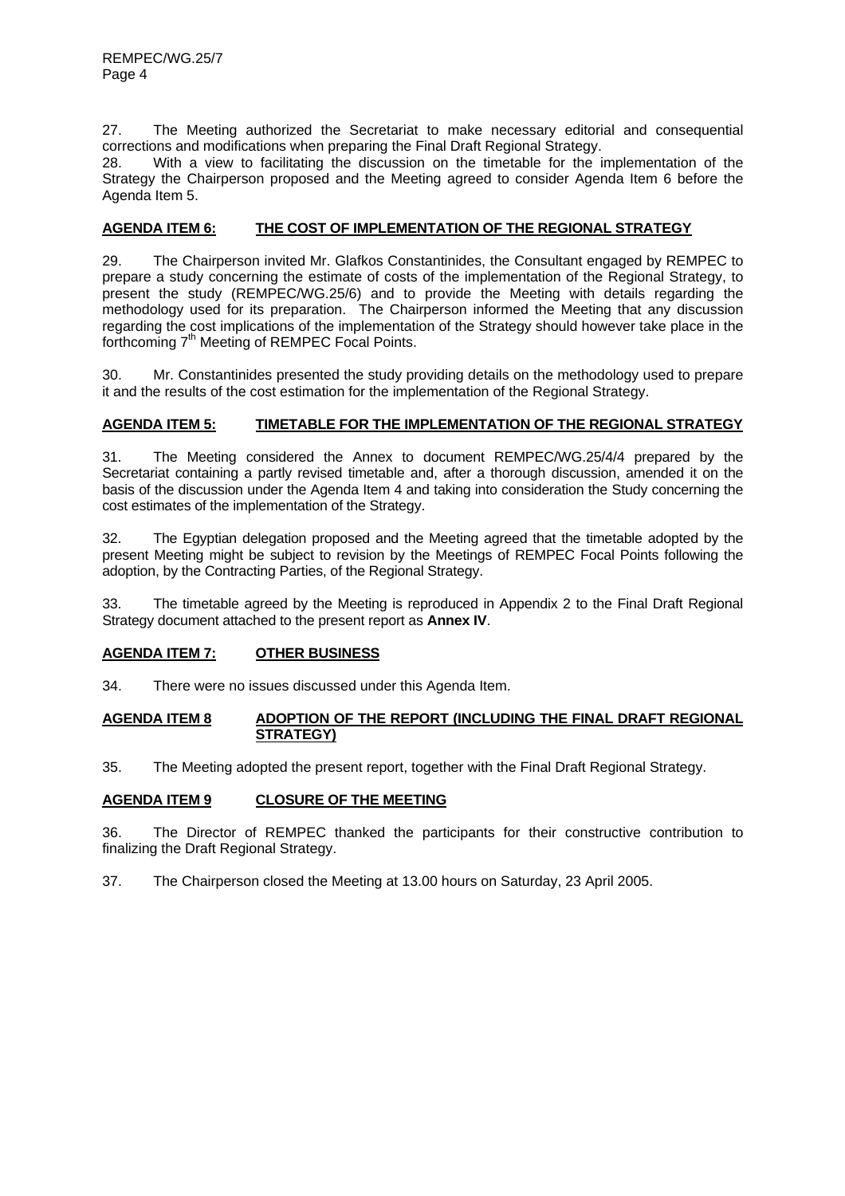27. The Meeting authorized the Secretariat to make necessary editorial and consequential corrections and modifications when preparing the Final Draft Regional Strategy.

28. With a view to facilitating the discussion on the timetable for the implementation of the Strategy the Chairperson proposed and the Meeting agreed to consider Agenda Item 6 before the Agenda Item 5.

# **AGENDA ITEM 6: THE COST OF IMPLEMENTATION OF THE REGIONAL STRATEGY**

29. The Chairperson invited Mr. Glafkos Constantinides, the Consultant engaged by REMPEC to prepare a study concerning the estimate of costs of the implementation of the Regional Strategy, to present the study (REMPEC/WG.25/6) and to provide the Meeting with details regarding the methodology used for its preparation. The Chairperson informed the Meeting that any discussion regarding the cost implications of the implementation of the Strategy should however take place in the forthcoming 7<sup>th</sup> Meeting of REMPEC Focal Points.

30. Mr. Constantinides presented the study providing details on the methodology used to prepare it and the results of the cost estimation for the implementation of the Regional Strategy.

# **AGENDA ITEM 5: TIMETABLE FOR THE IMPLEMENTATION OF THE REGIONAL STRATEGY**

31. The Meeting considered the Annex to document REMPEC/WG.25/4/4 prepared by the Secretariat containing a partly revised timetable and, after a thorough discussion, amended it on the basis of the discussion under the Agenda Item 4 and taking into consideration the Study concerning the cost estimates of the implementation of the Strategy.

32. The Egyptian delegation proposed and the Meeting agreed that the timetable adopted by the present Meeting might be subject to revision by the Meetings of REMPEC Focal Points following the adoption, by the Contracting Parties, of the Regional Strategy.

33. The timetable agreed by the Meeting is reproduced in Appendix 2 to the Final Draft Regional Strategy document attached to the present report as **Annex IV**.

# **AGENDA ITEM 7: OTHER BUSINESS**

34. There were no issues discussed under this Agenda Item.

### **AGENDA ITEM 8 ADOPTION OF THE REPORT (INCLUDING THE FINAL DRAFT REGIONAL STRATEGY)**

35. The Meeting adopted the present report, together with the Final Draft Regional Strategy.

# **AGENDA ITEM 9 CLOSURE OF THE MEETING**

36. The Director of REMPEC thanked the participants for their constructive contribution to finalizing the Draft Regional Strategy.

37. The Chairperson closed the Meeting at 13.00 hours on Saturday, 23 April 2005.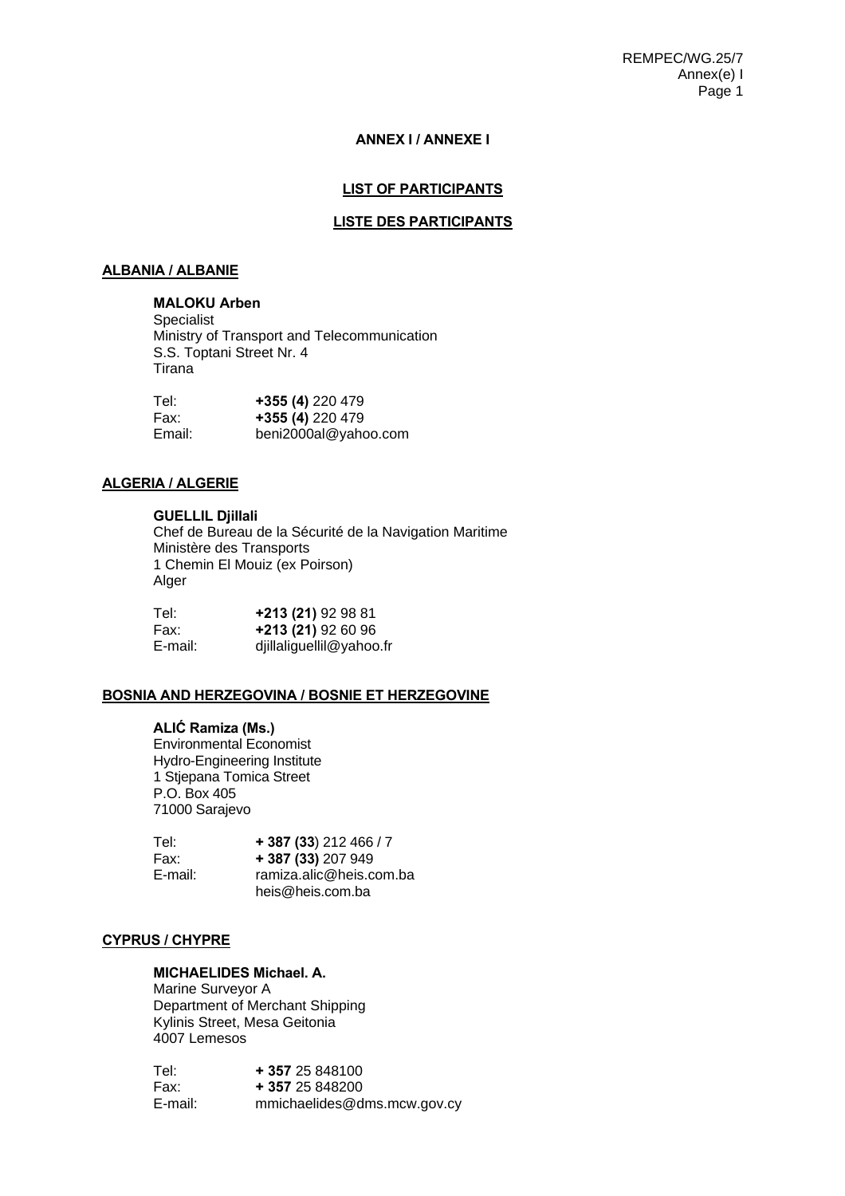REMPEC/WG.25/7 Annex(e) I Page 1

#### **ANNEX I / ANNEXE I**

# **LIST OF PARTICIPANTS**

#### **LISTE DES PARTICIPANTS**

#### **ALBANIA / ALBANIE**

# **MALOKU Arben**

Specialist Ministry of Transport and Telecommunication S.S. Toptani Street Nr. 4 Tirana

| Tel:   | +355 (4) 220 479     |
|--------|----------------------|
| Fax:   | +355 (4) 220 479     |
| Email: | beni2000al@yahoo.com |

### **ALGERIA / ALGERIE**

#### **GUELLIL Djillali**

Chef de Bureau de la Sécurité de la Navigation Maritime Ministère des Transports 1 Chemin El Mouiz (ex Poirson) Alger

| Tel:    | +213 (21) 92 98 81       |
|---------|--------------------------|
| Fax:    | +213 (21) 92 60 96       |
| E-mail: | djillaliguellil@yahoo.fr |

# **BOSNIA AND HERZEGOVINA / BOSNIE ET HERZEGOVINE**

#### **ALIĆ Ramiza (Ms.)**

Environmental Economist Hydro-Engineering Institute 1 Stjepana Tomica Street P.O. Box 405 71000 Sarajevo

| Tel:    | $+387(33)212466/7$      |
|---------|-------------------------|
| Fax:    | + 387 (33) 207 949      |
| E-mail: | ramiza.alic@heis.com.ba |
|         | heis@heis.com.ba        |

## **CYPRUS / CHYPRE**

# **MICHAELIDES Michael. A.**

 Marine Surveyor A Department of Merchant Shipping Kylinis Street, Mesa Geitonia 4007 Lemesos

| Tel:    | + 357 25 848100             |
|---------|-----------------------------|
| Fax:    | + 357 25 848200             |
| E-mail: | mmichaelides@dms.mcw.gov.cy |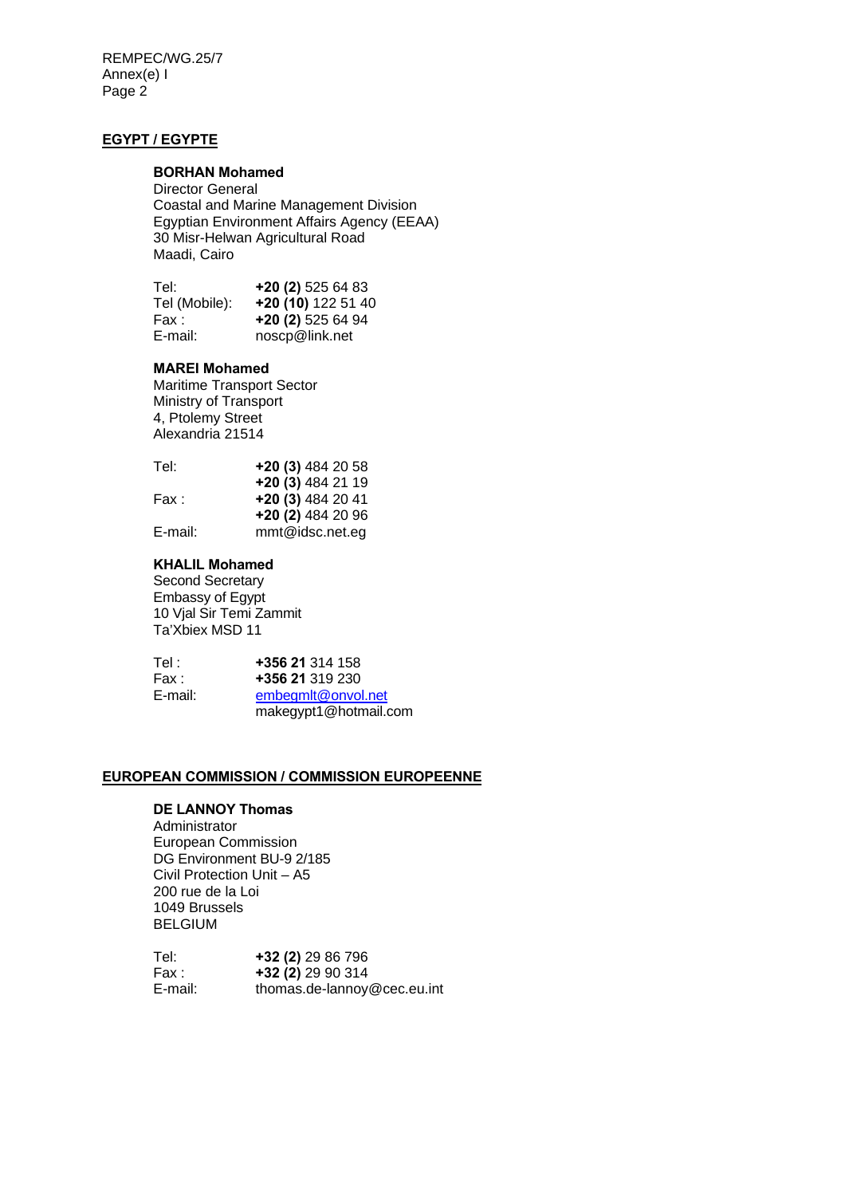REMPEC/WG.25/7 Annex(e) I Page 2

# **EGYPT / EGYPTE**

# **BORHAN Mohamed**

Director General Coastal and Marine Management Division Egyptian Environment Affairs Agency (EEAA) 30 Misr-Helwan Agricultural Road Maadi, Cairo

| Tel:          | $+20(2)$ 525 64 83 |
|---------------|--------------------|
| Tel (Mobile): | +20 (10) 122 51 40 |
| Fax :         | $+20(2)$ 525 64 94 |
| E-mail:       | noscp@link.net     |

# **MAREI Mohamed**

Maritime Transport Sector Ministry of Transport 4, Ptolemy Street Alexandria 21514

| Tel:    | +20 (3) 484 20 58  |
|---------|--------------------|
|         | +20 (3) 484 21 19  |
| Fax :   | $+20(3)$ 484 20 41 |
|         | +20 (2) 484 20 96  |
| E-mail: | mmt@idsc.net.eg    |

### **KHALIL Mohamed**

Second Secretary Embassy of Egypt 10 Vjal Sir Temi Zammit Ta'Xbiex MSD 11

| Tel :   | +356 21 314 158       |
|---------|-----------------------|
| Fax :   | +356 21 319 230       |
| E-mail: | embegmlt@onvol.net    |
|         | makegypt1@hotmail.com |
|         |                       |

# **EUROPEAN COMMISSION / COMMISSION EUROPEENNE**

# **DE LANNOY Thomas**

Administrator European Commission DG Environment BU-9 2/185 Civil Protection Unit – A5 200 rue de la Loi 1049 Brussels BELGIUM

| Tel:    | +32 (2) 29 86 796           |
|---------|-----------------------------|
| Fax :   | $+32(2)$ 29 90 314          |
| E-mail: | thomas.de-lannoy@cec.eu.int |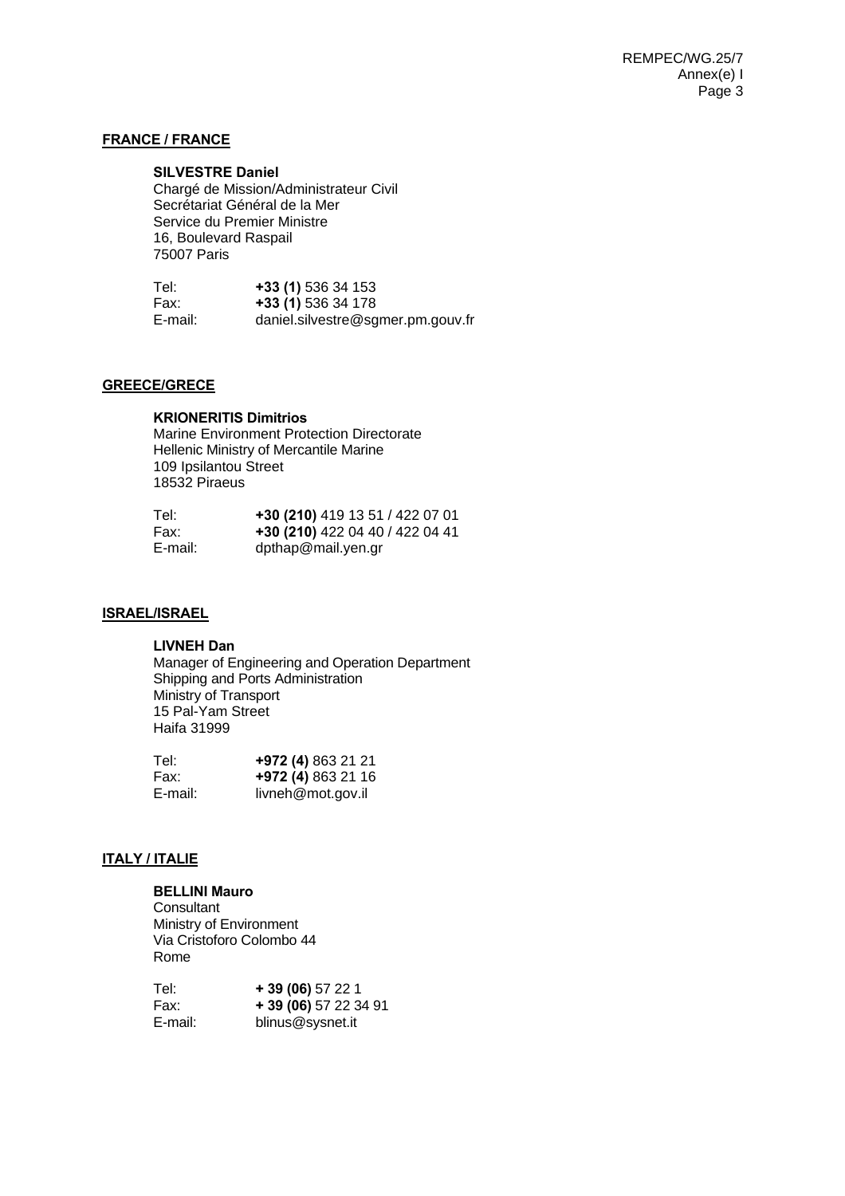# **FRANCE / FRANCE**

#### **SILVESTRE Daniel**

 Chargé de Mission/Administrateur Civil Secrétariat Général de la Mer Service du Premier Ministre 16, Boulevard Raspail 75007 Paris

| Tel:    | +33 (1) 536 34 153                |
|---------|-----------------------------------|
| Fax:    | +33 (1) 536 34 178                |
| E-mail: | daniel.silvestre@sgmer.pm.gouv.fr |

# **GREECE/GRECE**

**KRIONERITIS Dimitrios**  Marine Environment Protection Directorate Hellenic Ministry of Mercantile Marine 109 Ipsilantou Street 18532 Piraeus

| Tel:    | +30 (210) 419 13 51 / 422 07 01 |
|---------|---------------------------------|
| Fax:    | +30 (210) 422 04 40 / 422 04 41 |
| E-mail: | dpthap@mail.yen.gr              |

# **ISRAEL/ISRAEL**

#### **LIVNEH Dan**

 Manager of Engineering and Operation Department Shipping and Ports Administration Ministry of Transport 15 Pal-Yam Street Haifa 31999

| Tel:    | +972 (4) 863 21 21 |
|---------|--------------------|
| Fax:    | +972 (4) 863 21 16 |
| E-mail: | livneh@mot.gov.il  |

# **ITALY / ITALIE**

# **BELLINI Mauro**

**Consultant** Ministry of Environment Via Cristoforo Colombo 44 Rome

| Tel:    | $+39(06)57221$        |
|---------|-----------------------|
| Fax:    | + 39 (06) 57 22 34 91 |
| E-mail: | blinus@sysnet.it      |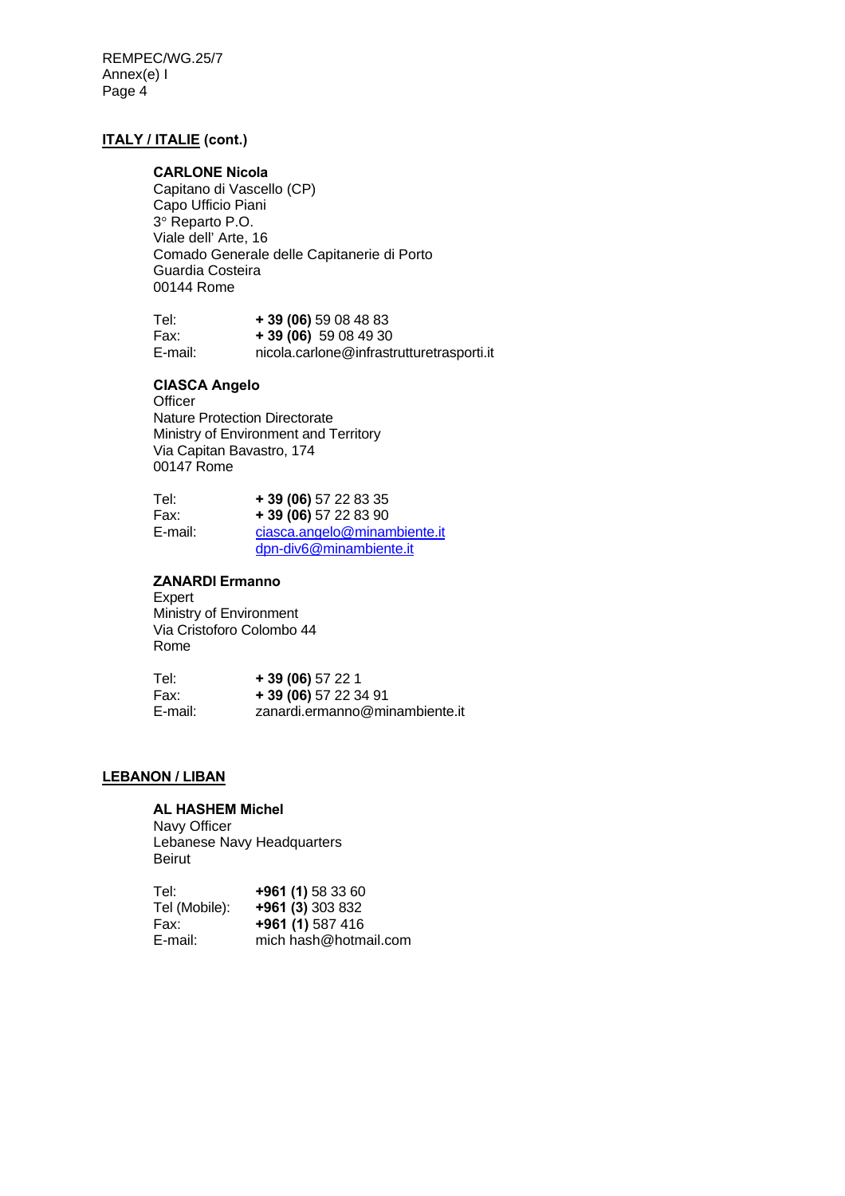REMPEC/WG.25/7 Annex(e) I Page 4

# **ITALY / ITALIE (cont.)**

#### **CARLONE Nicola**

Capitano di Vascello (CP) Capo Ufficio Piani 3° Reparto P.O. Viale dell' Arte, 16 Comado Generale delle Capitanerie di Porto Guardia Costeira 00144 Rome

| Tel:    | $+39(06)59084883$                         |
|---------|-------------------------------------------|
| Fax:    | $+39(06)$ 59 08 49 30                     |
| E-mail: | nicola.carlone@infrastrutturetrasporti.it |

# **CIASCA Angelo**

**Officer** Nature Protection Directorate Ministry of Environment and Territory Via Capitan Bavastro, 174 00147 Rome

| Tel:    | $+39(06)$ 57 22 83 35        |
|---------|------------------------------|
| Fax:    | $+39(06)$ 57 22 83 90        |
| E-mail: | ciasca.angelo@minambiente.it |
|         | dpn-div6@minambiente.it      |

### **ZANARDI Ermanno**

Expert Ministry of Environment Via Cristoforo Colombo 44 Rome

| Tel:    | $+39(06)57221$                 |
|---------|--------------------------------|
| Fax:    | $+39(06)$ 57 22 34 91          |
| E-mail: | zanardi.ermanno@minambiente.it |

# **LEBANON / LIBAN**

## **AL HASHEM Michel**

Navy Officer Lebanese Navy Headquarters Beirut

| Tel:          | +961 (1) 58 33 60     |
|---------------|-----------------------|
| Tel (Mobile): | +961 (3) 303 832      |
| Fax:          | +961 (1) 587 416      |
| E-mail:       | mich hash@hotmail.com |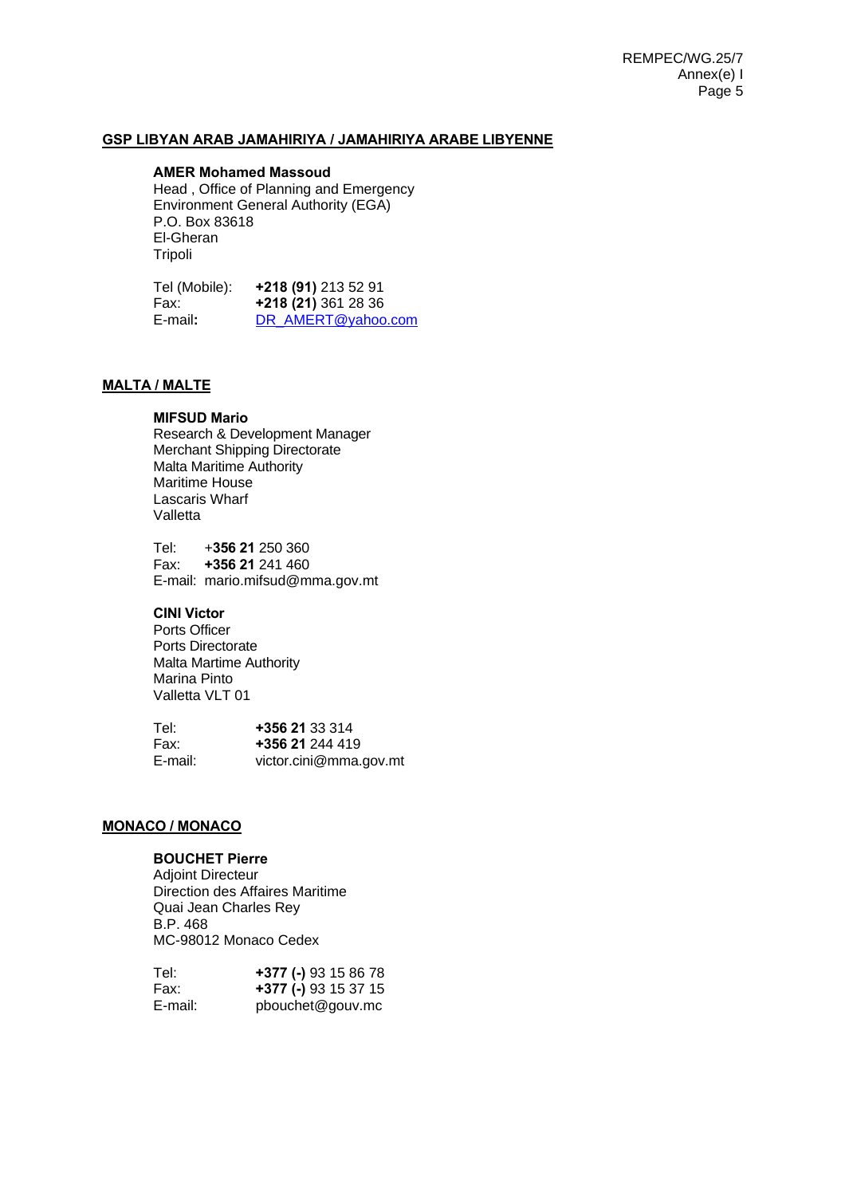# **GSP LIBYAN ARAB JAMAHIRIYA / JAMAHIRIYA ARABE LIBYENNE**

#### **AMER Mohamed Massoud**

Head , Office of Planning and Emergency Environment General Authority (EGA) P.O. Box 83618 El-Gheran **Tripoli** 

Tel (Mobile): **+218 (91)** 213 52 91 Fax: **+218 (21)** 361 28 36 E-mail**:** DR\_AMERT@yahoo.com

# **MALTA / MALTE**

## **MIFSUD Mario**

 Research & Development Manager Merchant Shipping Directorate Malta Maritime Authority Maritime House Lascaris Wharf Valletta

Tel: +**356 21** 250 360 Fax: **+356 21** 241 460 E-mail: mario.mifsud@mma.gov.mt

# **CINI Victor**

 Ports Officer Ports Directorate Malta Martime Authority Marina Pinto Valletta VLT 01

| Tel:    | +356 21 33 314         |
|---------|------------------------|
| Fax:    | +356 21 244 419        |
| E-mail: | victor.cini@mma.gov.mt |

#### **MONACO / MONACO**

# **BOUCHET Pierre**

 Adjoint Directeur Direction des Affaires Maritime Quai Jean Charles Rey B.P. 468 MC-98012 Monaco Cedex

| Tel:    | +377 (-) 93 15 86 78 |
|---------|----------------------|
| Fax:    | +377 (-) 93 15 37 15 |
| E-mail: | pbouchet@gouv.mc     |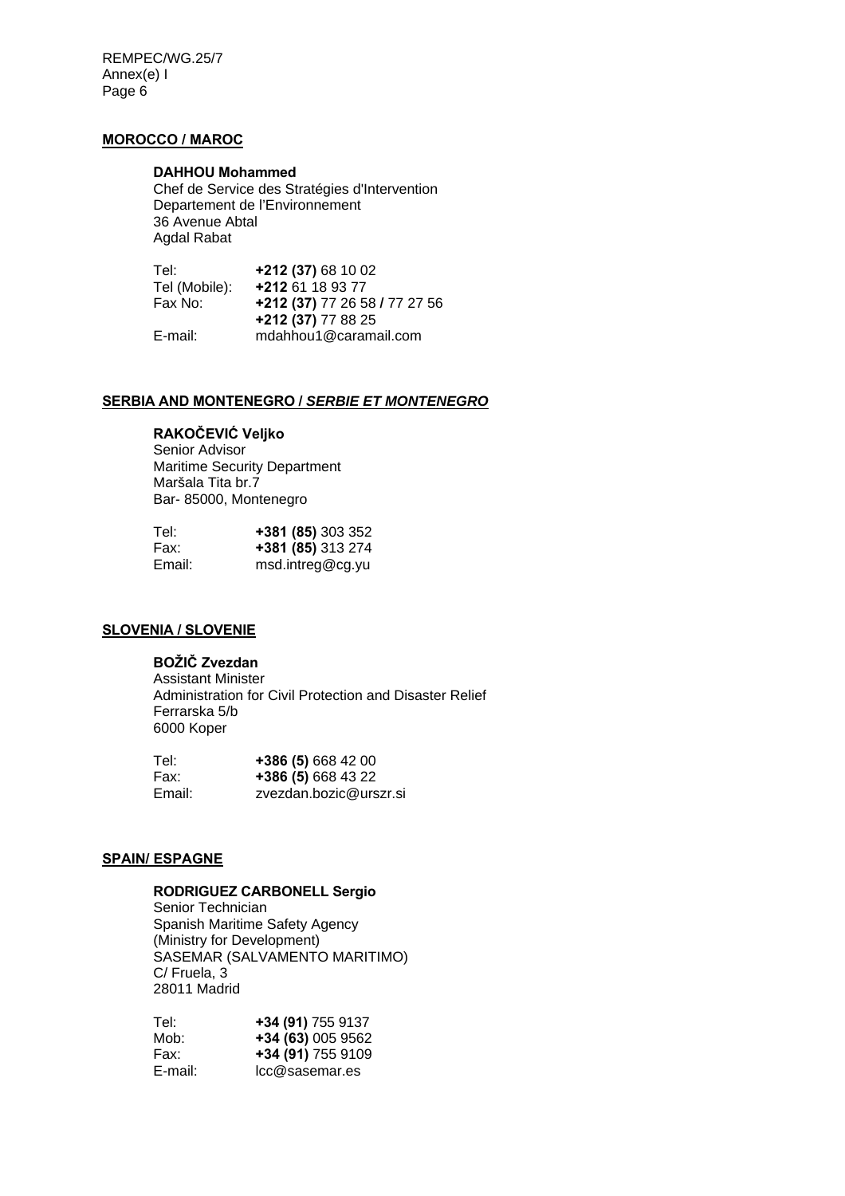REMPEC/WG.25/7 Annex(e) I Page 6

# **MOROCCO / MAROC**

#### **DAHHOU Mohammed**

Chef de Service des Stratégies d'Intervention Departement de l'Environnement 36 Avenue Abtal Agdal Rabat

 Tel: **+212 (37)** 68 10 02 Tel (Mobile): **+212** 61 18 93 77 Fax No: **+212 (37)** 77 26 58 **/** 77 27 56 **+212 (37)** 77 88 25 mdahhou1@caramail.com

## **SERBIA AND MONTENEGRO /** *SERBIE ET MONTENEGRO*

# **RAKOČEVIĆ Veljko**

Senior Advisor Maritime Security Department Maršala Tita br.7 Bar- 85000, Montenegro

| Tel:   | +381 (85) 303 352 |
|--------|-------------------|
| Fax:   | +381 (85) 313 274 |
| Email: | msd.intreg@cg.yu  |

### **SLOVENIA / SLOVENIE**

# **BOŽIČ Zvezdan**

 Assistant Minister Administration for Civil Protection and Disaster Relief Ferrarska 5/b 6000 Koper

| Tel:   | +386 (5) 668 42 00     |
|--------|------------------------|
| Fax:   | +386 (5) 668 43 22     |
| Email: | zvezdan.bozic@urszr.si |

## **SPAIN/ ESPAGNE**

## **RODRIGUEZ CARBONELL Sergio**

Senior Technician Spanish Maritime Safety Agency (Ministry for Development) SASEMAR (SALVAMENTO MARITIMO) C/ Fruela, 3 28011 Madrid

| Tel:    | +34 (91) 755 9137 |
|---------|-------------------|
| Mob:    | +34 (63) 005 9562 |
| Fax:    | +34 (91) 755 9109 |
| E-mail: | Icc@sasemar.es    |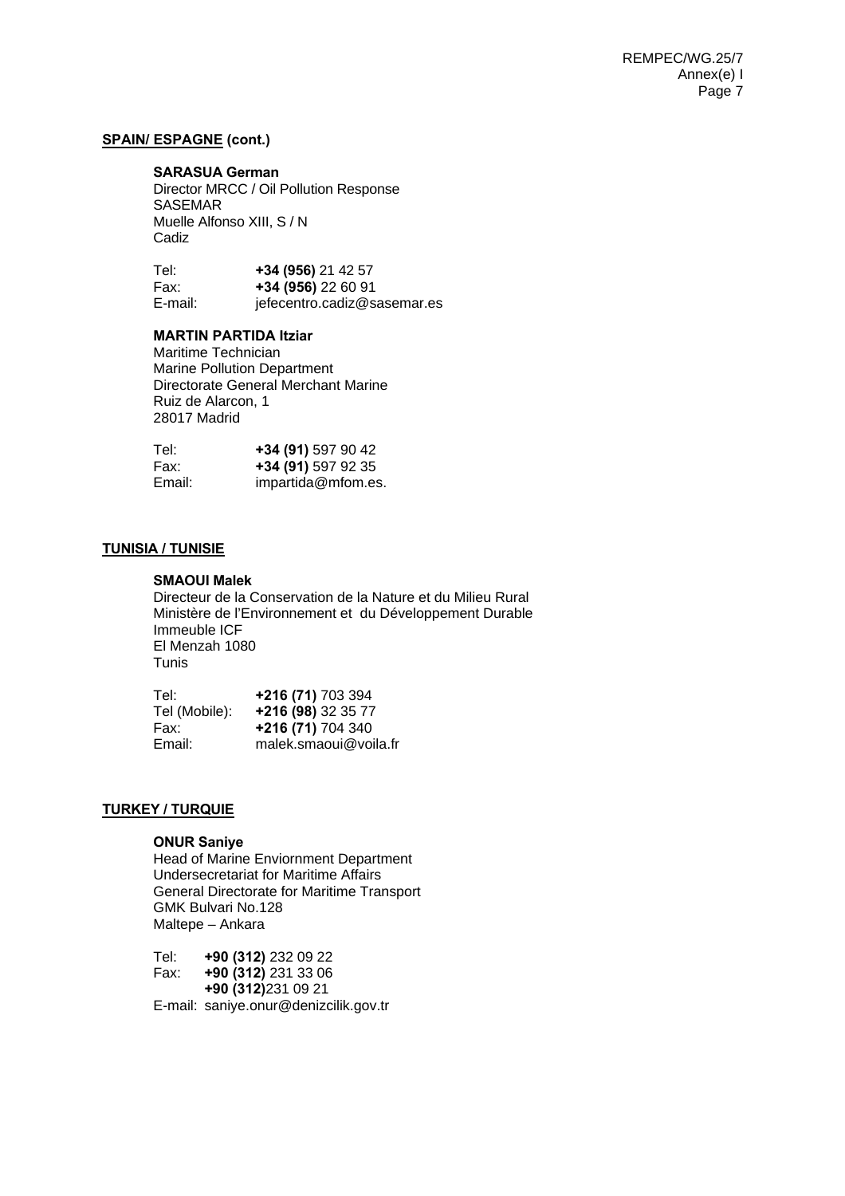## **SPAIN/ ESPAGNE (cont.)**

#### **SARASUA German**

Director MRCC / Oil Pollution Response SASEMAR Muelle Alfonso XIII, S / N Cadiz

| Tel:    | +34 (956) 21 42 57          |
|---------|-----------------------------|
| Fax:    | +34 (956) 22 60 91          |
| E-mail: | jefecentro.cadiz@sasemar.es |

### **MARTIN PARTIDA Itziar**

Maritime Technician Marine Pollution Department Directorate General Merchant Marine Ruiz de Alarcon, 1 28017 Madrid

| Tel:   | +34 (91) 597 90 42 |
|--------|--------------------|
| Fax:   | +34 (91) 597 92 35 |
| Email: | impartida@mfom.es. |

## **TUNISIA / TUNISIE**

# **SMAOUI Malek**

Directeur de la Conservation de la Nature et du Milieu Rural Ministère de l'Environnement et du Développement Durable Immeuble ICF El Menzah 1080 Tunis

| Tel:          | +216 (71) 703 394     |
|---------------|-----------------------|
| Tel (Mobile): | +216 (98) 32 35 77    |
| Fax:          | +216 (71) 704 340     |
| Email:        | malek.smaoui@voila.fr |

## **TURKEY / TURQUIE**

#### **ONUR Saniye**

 Head of Marine Enviornment Department Undersecretariat for Maritime Affairs General Directorate for Maritime Transport GMK Bulvari No.128 Maltepe – Ankara

Tel: **+90 (312)** 232 09 22 Fax: **+90 (312)** 231 33 06 **+90 (312)**231 09 21 E-mail: saniye.onur@denizcilik.gov.tr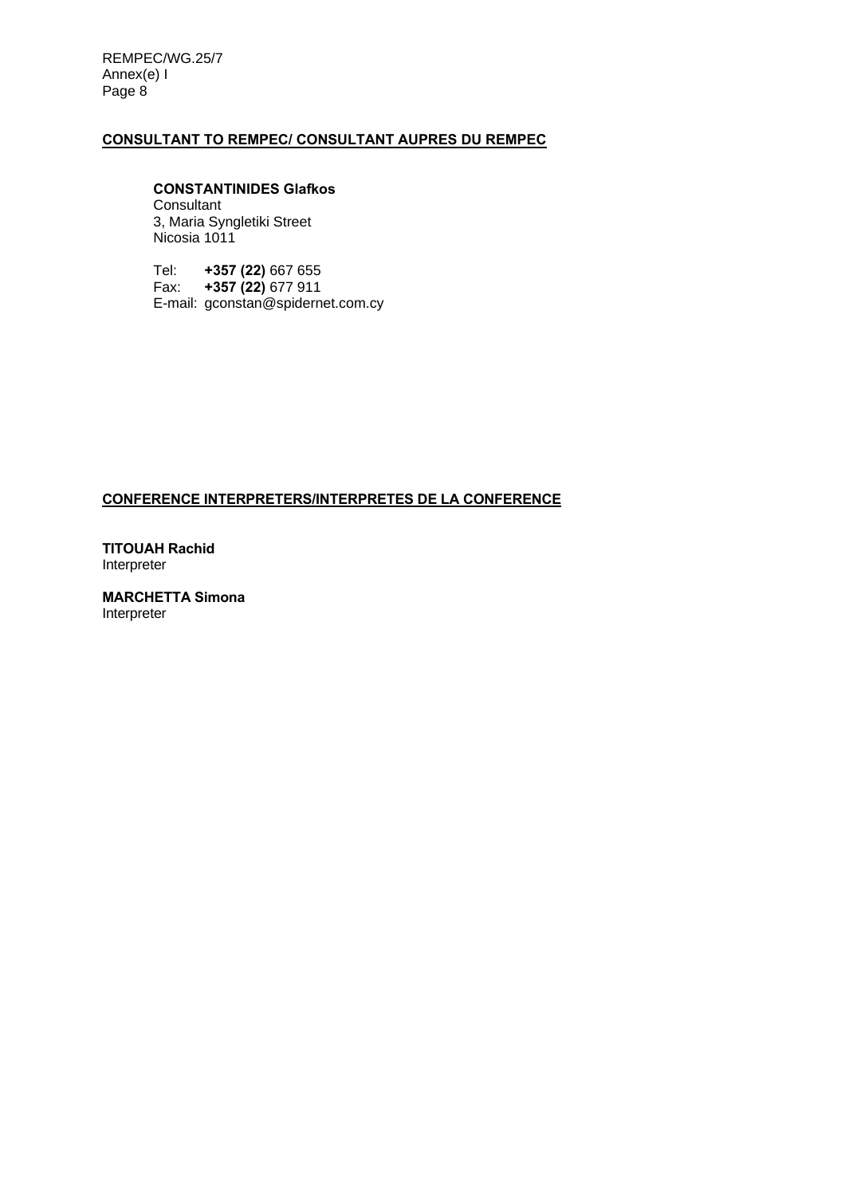REMPEC/WG.25/7 Annex(e) I Page 8

## **CONSULTANT TO REMPEC/ CONSULTANT AUPRES DU REMPEC**

 **CONSTANTINIDES Glafkos Consultant** 3, Maria Syngletiki Street Nicosia 1011

Tel: **+357 (22)** 667 655 Fax: **+357 (22)** 677 911 E-mail: gconstan@spidernet.com.cy

# **CONFERENCE INTERPRETERS/INTERPRETES DE LA CONFERENCE**

**TITOUAH Rachid**  Interpreter

**MARCHETTA Simona**  Interpreter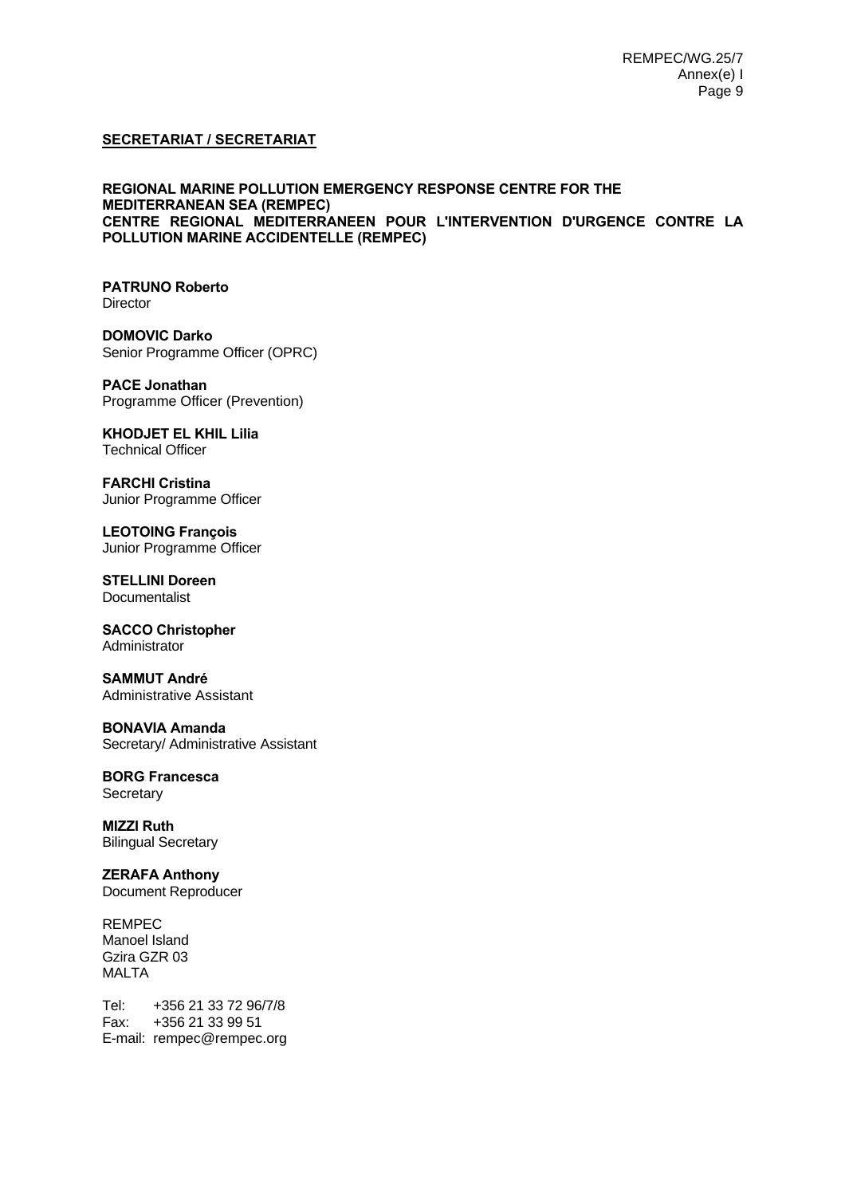# **SECRETARIAT / SECRETARIAT**

### **REGIONAL MARINE POLLUTION EMERGENCY RESPONSE CENTRE FOR THE MEDITERRANEAN SEA (REMPEC) CENTRE REGIONAL MEDITERRANEEN POUR L'INTERVENTION D'URGENCE CONTRE LA POLLUTION MARINE ACCIDENTELLE (REMPEC)**

#### **PATRUNO Roberto Director**

**DOMOVIC Darko**  Senior Programme Officer (OPRC)

**PACE Jonathan**  Programme Officer (Prevention)

**KHODJET EL KHIL Lilia** Technical Officer

**FARCHI Cristina** Junior Programme Officer

**LEOTOING François**  Junior Programme Officer

**STELLINI Doreen**  Documentalist

**SACCO Christopher**  Administrator

**SAMMUT André**  Administrative Assistant

#### **BONAVIA Amanda**  Secretary/ Administrative Assistant

### **BORG Francesca Secretary**

**MIZZI Ruth**  Bilingual Secretary

**ZERAFA Anthony**  Document Reproducer

REMPEC Manoel Island Gzira GZR 03 MALTA

Tel: +356 21 33 72 96/7/8 Fax: +356 21 33 99 51 E-mail: rempec@rempec.org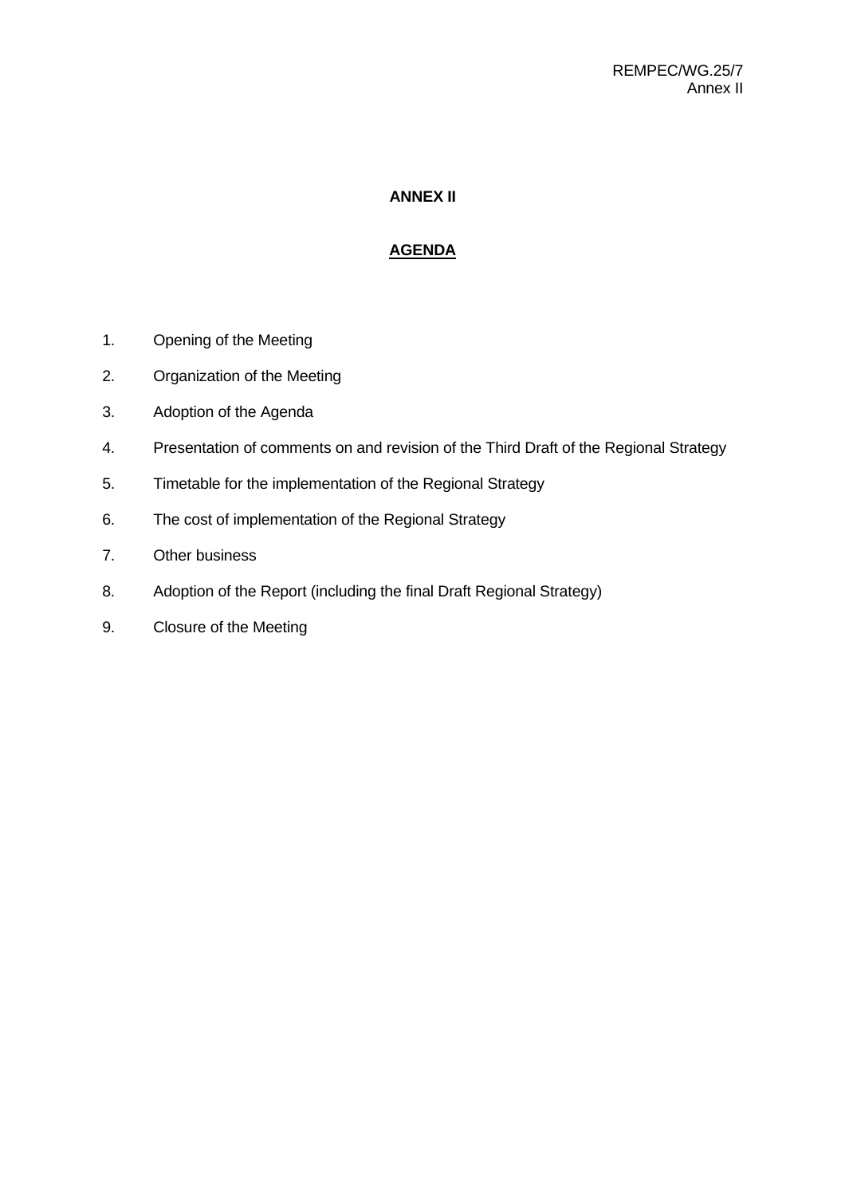# **ANNEX II**

# **AGENDA**

- 1. Opening of the Meeting
- 2. Organization of the Meeting
- 3. Adoption of the Agenda
- 4. Presentation of comments on and revision of the Third Draft of the Regional Strategy
- 5. Timetable for the implementation of the Regional Strategy
- 6. The cost of implementation of the Regional Strategy
- 7. Other business
- 8. Adoption of the Report (including the final Draft Regional Strategy)
- 9. Closure of the Meeting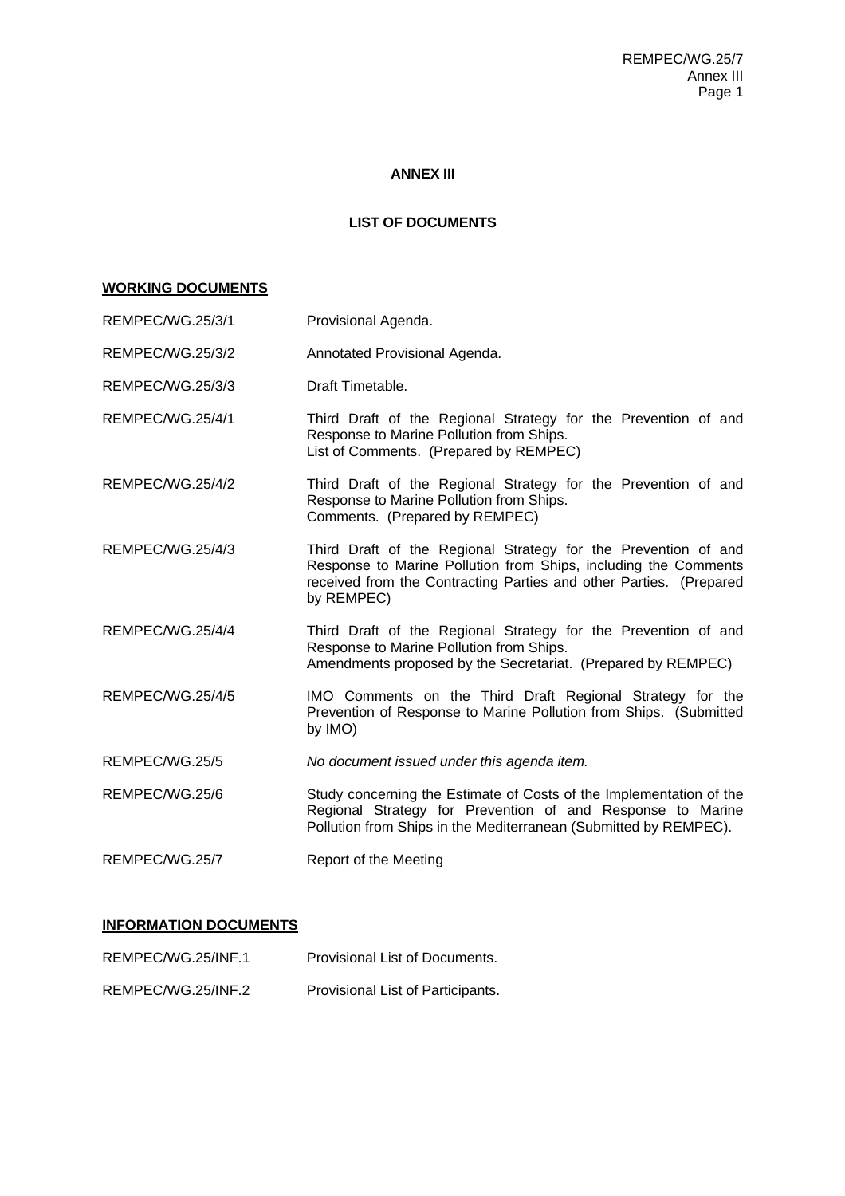# **ANNEX III**

# **LIST OF DOCUMENTS**

# **WORKING DOCUMENTS**

| REMPEC/WG.25/3/1 | Provisional Agenda.                                                                                                                                                                                                   |
|------------------|-----------------------------------------------------------------------------------------------------------------------------------------------------------------------------------------------------------------------|
| REMPEC/WG.25/3/2 | Annotated Provisional Agenda.                                                                                                                                                                                         |
| REMPEC/WG.25/3/3 | Draft Timetable.                                                                                                                                                                                                      |
| REMPEC/WG.25/4/1 | Third Draft of the Regional Strategy for the Prevention of and<br>Response to Marine Pollution from Ships.<br>List of Comments. (Prepared by REMPEC)                                                                  |
| REMPEC/WG.25/4/2 | Third Draft of the Regional Strategy for the Prevention of and<br>Response to Marine Pollution from Ships.<br>Comments. (Prepared by REMPEC)                                                                          |
| REMPEC/WG.25/4/3 | Third Draft of the Regional Strategy for the Prevention of and<br>Response to Marine Pollution from Ships, including the Comments<br>received from the Contracting Parties and other Parties. (Prepared<br>by REMPEC) |
| REMPEC/WG.25/4/4 | Third Draft of the Regional Strategy for the Prevention of and<br>Response to Marine Pollution from Ships.<br>Amendments proposed by the Secretariat. (Prepared by REMPEC)                                            |
| REMPEC/WG.25/4/5 | IMO Comments on the Third Draft Regional Strategy for the<br>Prevention of Response to Marine Pollution from Ships. (Submitted<br>by IMO)                                                                             |
| REMPEC/WG.25/5   | No document issued under this agenda item.                                                                                                                                                                            |
| REMPEC/WG.25/6   | Study concerning the Estimate of Costs of the Implementation of the<br>Regional Strategy for Prevention of and Response to Marine<br>Pollution from Ships in the Mediterranean (Submitted by REMPEC).                 |
| REMPEC/WG.25/7   | Report of the Meeting                                                                                                                                                                                                 |

# **INFORMATION DOCUMENTS**

| REMPEC/WG.25/INF.1 | Provisional List of Documents.    |
|--------------------|-----------------------------------|
| REMPEC/WG.25/INF.2 | Provisional List of Participants. |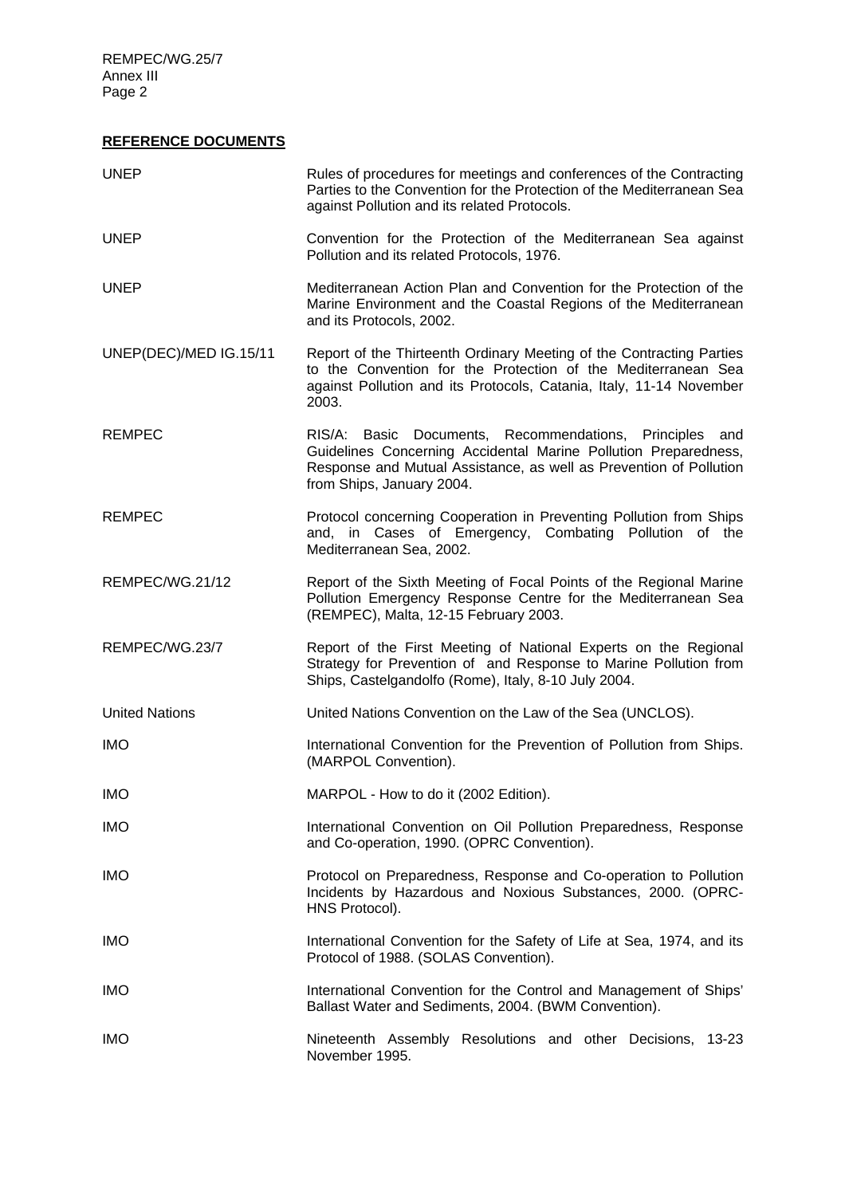REMPEC/WG.25/7 Annex III Page 2

# **REFERENCE DOCUMENTS**

| <b>UNEP</b>            | Rules of procedures for meetings and conferences of the Contracting<br>Parties to the Convention for the Protection of the Mediterranean Sea<br>against Pollution and its related Protocols.                                  |
|------------------------|-------------------------------------------------------------------------------------------------------------------------------------------------------------------------------------------------------------------------------|
| <b>UNEP</b>            | Convention for the Protection of the Mediterranean Sea against<br>Pollution and its related Protocols, 1976.                                                                                                                  |
| <b>UNEP</b>            | Mediterranean Action Plan and Convention for the Protection of the<br>Marine Environment and the Coastal Regions of the Mediterranean<br>and its Protocols, 2002.                                                             |
| UNEP(DEC)/MED IG.15/11 | Report of the Thirteenth Ordinary Meeting of the Contracting Parties<br>to the Convention for the Protection of the Mediterranean Sea<br>against Pollution and its Protocols, Catania, Italy, 11-14 November<br>2003.         |
| <b>REMPEC</b>          | RIS/A: Basic Documents, Recommendations, Principles and<br>Guidelines Concerning Accidental Marine Pollution Preparedness,<br>Response and Mutual Assistance, as well as Prevention of Pollution<br>from Ships, January 2004. |
| <b>REMPEC</b>          | Protocol concerning Cooperation in Preventing Pollution from Ships<br>and, in Cases of Emergency, Combating Pollution of the<br>Mediterranean Sea, 2002.                                                                      |
| REMPEC/WG.21/12        | Report of the Sixth Meeting of Focal Points of the Regional Marine<br>Pollution Emergency Response Centre for the Mediterranean Sea<br>(REMPEC), Malta, 12-15 February 2003.                                                  |
| REMPEC/WG.23/7         | Report of the First Meeting of National Experts on the Regional<br>Strategy for Prevention of and Response to Marine Pollution from<br>Ships, Castelgandolfo (Rome), Italy, 8-10 July 2004.                                   |
| <b>United Nations</b>  | United Nations Convention on the Law of the Sea (UNCLOS).                                                                                                                                                                     |
| <b>IMO</b>             | International Convention for the Prevention of Pollution from Ships.<br>(MARPOL Convention).                                                                                                                                  |
| <b>IMO</b>             | MARPOL - How to do it (2002 Edition).                                                                                                                                                                                         |
| <b>IMO</b>             | International Convention on Oil Pollution Preparedness, Response<br>and Co-operation, 1990. (OPRC Convention).                                                                                                                |
| <b>IMO</b>             | Protocol on Preparedness, Response and Co-operation to Pollution<br>Incidents by Hazardous and Noxious Substances, 2000. (OPRC-<br>HNS Protocol).                                                                             |
| <b>IMO</b>             | International Convention for the Safety of Life at Sea, 1974, and its<br>Protocol of 1988. (SOLAS Convention).                                                                                                                |
| <b>IMO</b>             | International Convention for the Control and Management of Ships'<br>Ballast Water and Sediments, 2004. (BWM Convention).                                                                                                     |
| <b>IMO</b>             | Nineteenth Assembly Resolutions and other Decisions, 13-23<br>November 1995.                                                                                                                                                  |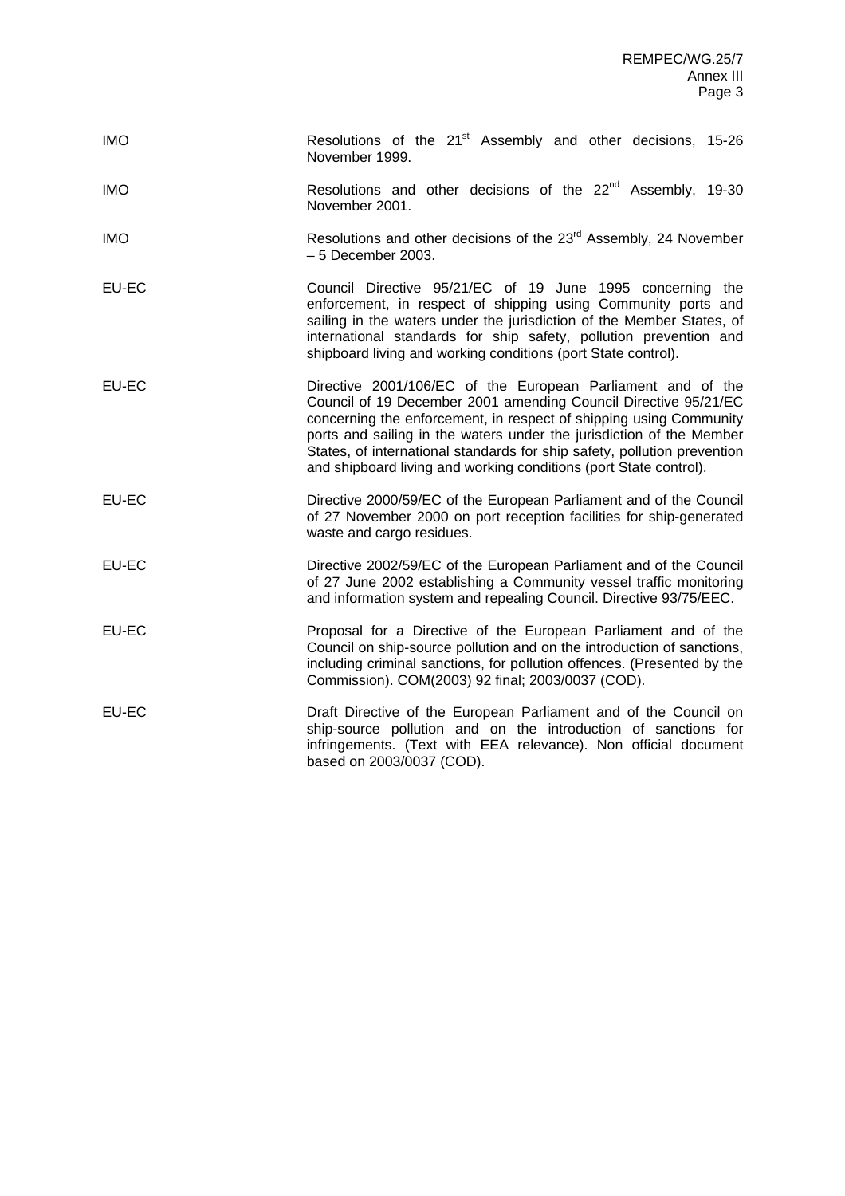| <b>IMO</b> | Resolutions of the 21 <sup>st</sup> Assembly and other decisions, 15-26<br>November 1999.                                                                                                                                                                                                                                                                                                                                     |
|------------|-------------------------------------------------------------------------------------------------------------------------------------------------------------------------------------------------------------------------------------------------------------------------------------------------------------------------------------------------------------------------------------------------------------------------------|
| <b>IMO</b> | Resolutions and other decisions of the 22 <sup>nd</sup> Assembly, 19-30<br>November 2001.                                                                                                                                                                                                                                                                                                                                     |
| <b>IMO</b> | Resolutions and other decisions of the 23 <sup>rd</sup> Assembly, 24 November<br>$-5$ December 2003.                                                                                                                                                                                                                                                                                                                          |
| EU-EC      | Council Directive 95/21/EC of 19 June 1995 concerning the<br>enforcement, in respect of shipping using Community ports and<br>sailing in the waters under the jurisdiction of the Member States, of<br>international standards for ship safety, pollution prevention and<br>shipboard living and working conditions (port State control).                                                                                     |
| EU-EC      | Directive 2001/106/EC of the European Parliament and of the<br>Council of 19 December 2001 amending Council Directive 95/21/EC<br>concerning the enforcement, in respect of shipping using Community<br>ports and sailing in the waters under the jurisdiction of the Member<br>States, of international standards for ship safety, pollution prevention<br>and shipboard living and working conditions (port State control). |
| EU-EC      | Directive 2000/59/EC of the European Parliament and of the Council<br>of 27 November 2000 on port reception facilities for ship-generated<br>waste and cargo residues.                                                                                                                                                                                                                                                        |
| EU-EC      | Directive 2002/59/EC of the European Parliament and of the Council<br>of 27 June 2002 establishing a Community vessel traffic monitoring<br>and information system and repealing Council. Directive 93/75/EEC.                                                                                                                                                                                                                |
| EU-EC      | Proposal for a Directive of the European Parliament and of the<br>Council on ship-source pollution and on the introduction of sanctions,<br>including criminal sanctions, for pollution offences. (Presented by the<br>Commission). COM(2003) 92 final; 2003/0037 (COD).                                                                                                                                                      |
| EU-EC      | Draft Directive of the European Parliament and of the Council on<br>ship-source pollution and on the introduction of sanctions for<br>infringements. (Text with EEA relevance). Non official document<br>based on 2003/0037 (COD).                                                                                                                                                                                            |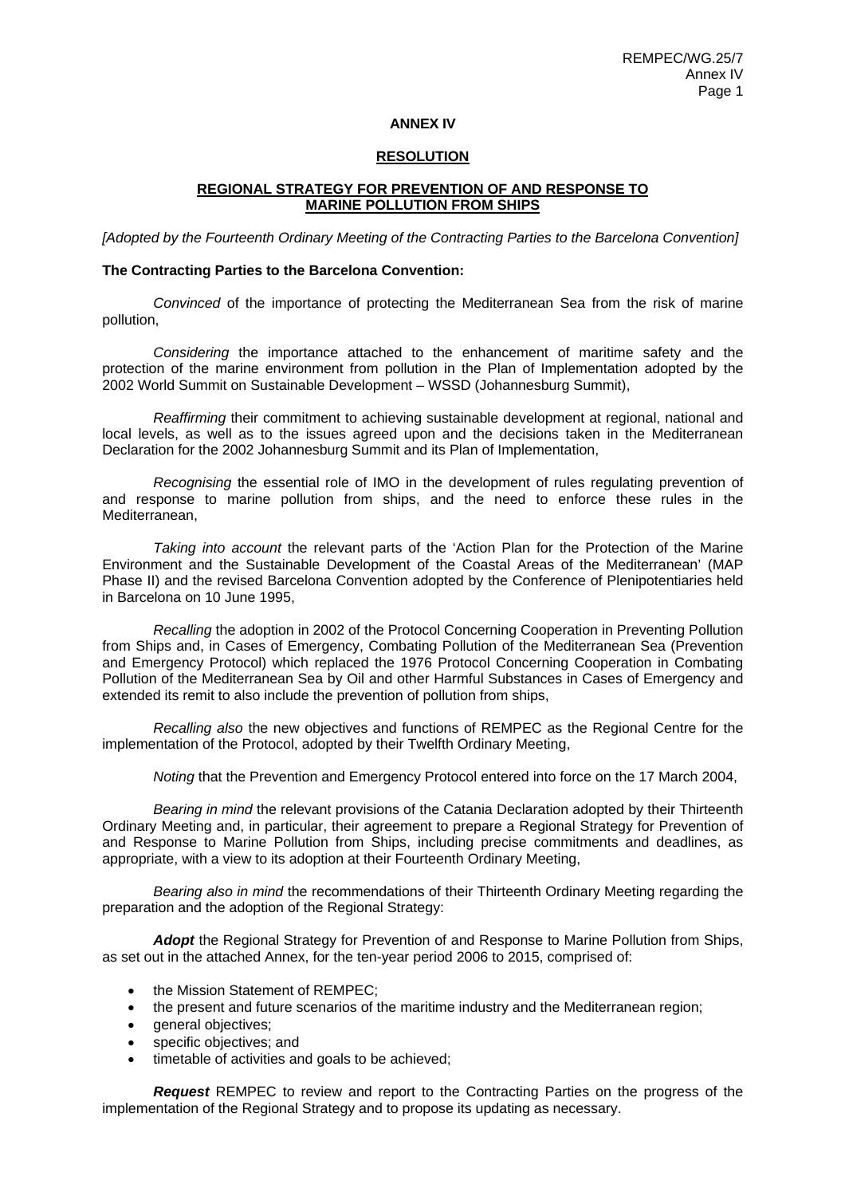#### **ANNEX IV**

## **RESOLUTION**

### **REGIONAL STRATEGY FOR PREVENTION OF AND RESPONSE TO MARINE POLLUTION FROM SHIPS**

*[Adopted by the Fourteenth Ordinary Meeting of the Contracting Parties to the Barcelona Convention]* 

#### **The Contracting Parties to the Barcelona Convention:**

*Convinced* of the importance of protecting the Mediterranean Sea from the risk of marine pollution,

*Considering* the importance attached to the enhancement of maritime safety and the protection of the marine environment from pollution in the Plan of Implementation adopted by the 2002 World Summit on Sustainable Development – WSSD (Johannesburg Summit),

*Reaffirming* their commitment to achieving sustainable development at regional, national and local levels, as well as to the issues agreed upon and the decisions taken in the Mediterranean Declaration for the 2002 Johannesburg Summit and its Plan of Implementation,

*Recognising* the essential role of IMO in the development of rules regulating prevention of and response to marine pollution from ships, and the need to enforce these rules in the Mediterranean,

*Taking into account* the relevant parts of the 'Action Plan for the Protection of the Marine Environment and the Sustainable Development of the Coastal Areas of the Mediterranean' (MAP Phase II) and the revised Barcelona Convention adopted by the Conference of Plenipotentiaries held in Barcelona on 10 June 1995,

*Recalling* the adoption in 2002 of the Protocol Concerning Cooperation in Preventing Pollution from Ships and, in Cases of Emergency, Combating Pollution of the Mediterranean Sea (Prevention and Emergency Protocol) which replaced the 1976 Protocol Concerning Cooperation in Combating Pollution of the Mediterranean Sea by Oil and other Harmful Substances in Cases of Emergency and extended its remit to also include the prevention of pollution from ships,

*Recalling also* the new objectives and functions of REMPEC as the Regional Centre for the implementation of the Protocol, adopted by their Twelfth Ordinary Meeting,

*Noting* that the Prevention and Emergency Protocol entered into force on the 17 March 2004,

*Bearing in mind* the relevant provisions of the Catania Declaration adopted by their Thirteenth Ordinary Meeting and, in particular, their agreement to prepare a Regional Strategy for Prevention of and Response to Marine Pollution from Ships, including precise commitments and deadlines, as appropriate, with a view to its adoption at their Fourteenth Ordinary Meeting,

*Bearing also in mind* the recommendations of their Thirteenth Ordinary Meeting regarding the preparation and the adoption of the Regional Strategy:

*Adopt* the Regional Strategy for Prevention of and Response to Marine Pollution from Ships, as set out in the attached Annex, for the ten-year period 2006 to 2015, comprised of:

- the Mission Statement of REMPEC:
- the present and future scenarios of the maritime industry and the Mediterranean region;
- general objectives;
- specific objectives; and
- timetable of activities and goals to be achieved;

*Request* REMPEC to review and report to the Contracting Parties on the progress of the implementation of the Regional Strategy and to propose its updating as necessary.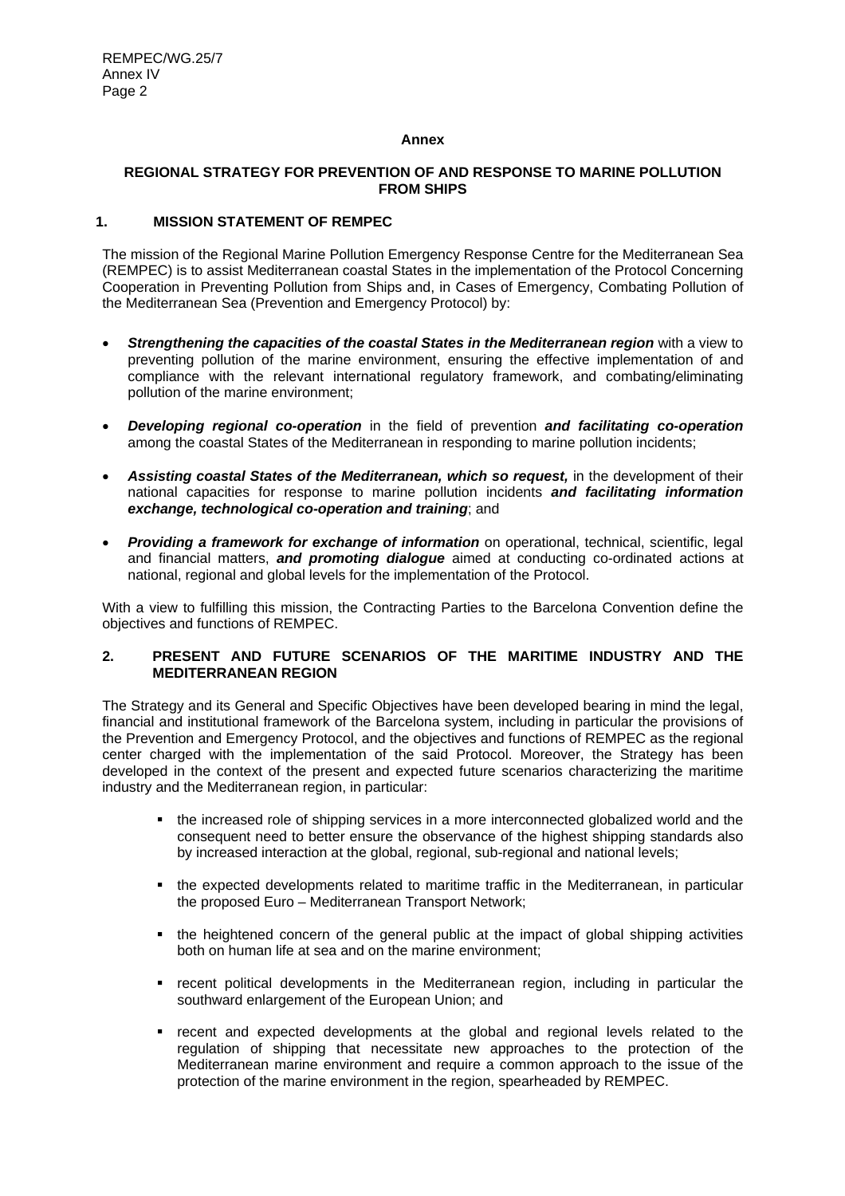### **Annex**

### **REGIONAL STRATEGY FOR PREVENTION OF AND RESPONSE TO MARINE POLLUTION FROM SHIPS**

## **1. MISSION STATEMENT OF REMPEC**

The mission of the Regional Marine Pollution Emergency Response Centre for the Mediterranean Sea (REMPEC) is to assist Mediterranean coastal States in the implementation of the Protocol Concerning Cooperation in Preventing Pollution from Ships and, in Cases of Emergency, Combating Pollution of the Mediterranean Sea (Prevention and Emergency Protocol) by:

- *Strengthening the capacities of the coastal States in the Mediterranean region* with a view to preventing pollution of the marine environment, ensuring the effective implementation of and compliance with the relevant international regulatory framework, and combating/eliminating pollution of the marine environment;
- *Developing regional co-operation* in the field of prevention *and facilitating co-operation* among the coastal States of the Mediterranean in responding to marine pollution incidents;
- *Assisting coastal States of the Mediterranean, which so request,* in the development of their national capacities for response to marine pollution incidents *and facilitating information exchange, technological co-operation and training*; and
- **Providing a framework for exchange of information** on operational, technical, scientific, legal and financial matters, *and promoting dialogue* aimed at conducting co-ordinated actions at national, regional and global levels for the implementation of the Protocol.

With a view to fulfilling this mission, the Contracting Parties to the Barcelona Convention define the objectives and functions of REMPEC.

# **2. PRESENT AND FUTURE SCENARIOS OF THE MARITIME INDUSTRY AND THE MEDITERRANEAN REGION**

The Strategy and its General and Specific Objectives have been developed bearing in mind the legal, financial and institutional framework of the Barcelona system, including in particular the provisions of the Prevention and Emergency Protocol, and the objectives and functions of REMPEC as the regional center charged with the implementation of the said Protocol. Moreover, the Strategy has been developed in the context of the present and expected future scenarios characterizing the maritime industry and the Mediterranean region, in particular:

- the increased role of shipping services in a more interconnected globalized world and the consequent need to better ensure the observance of the highest shipping standards also by increased interaction at the global, regional, sub-regional and national levels;
- the expected developments related to maritime traffic in the Mediterranean, in particular the proposed Euro – Mediterranean Transport Network;
- the heightened concern of the general public at the impact of global shipping activities both on human life at sea and on the marine environment;
- recent political developments in the Mediterranean region, including in particular the southward enlargement of the European Union; and
- recent and expected developments at the global and regional levels related to the regulation of shipping that necessitate new approaches to the protection of the Mediterranean marine environment and require a common approach to the issue of the protection of the marine environment in the region, spearheaded by REMPEC.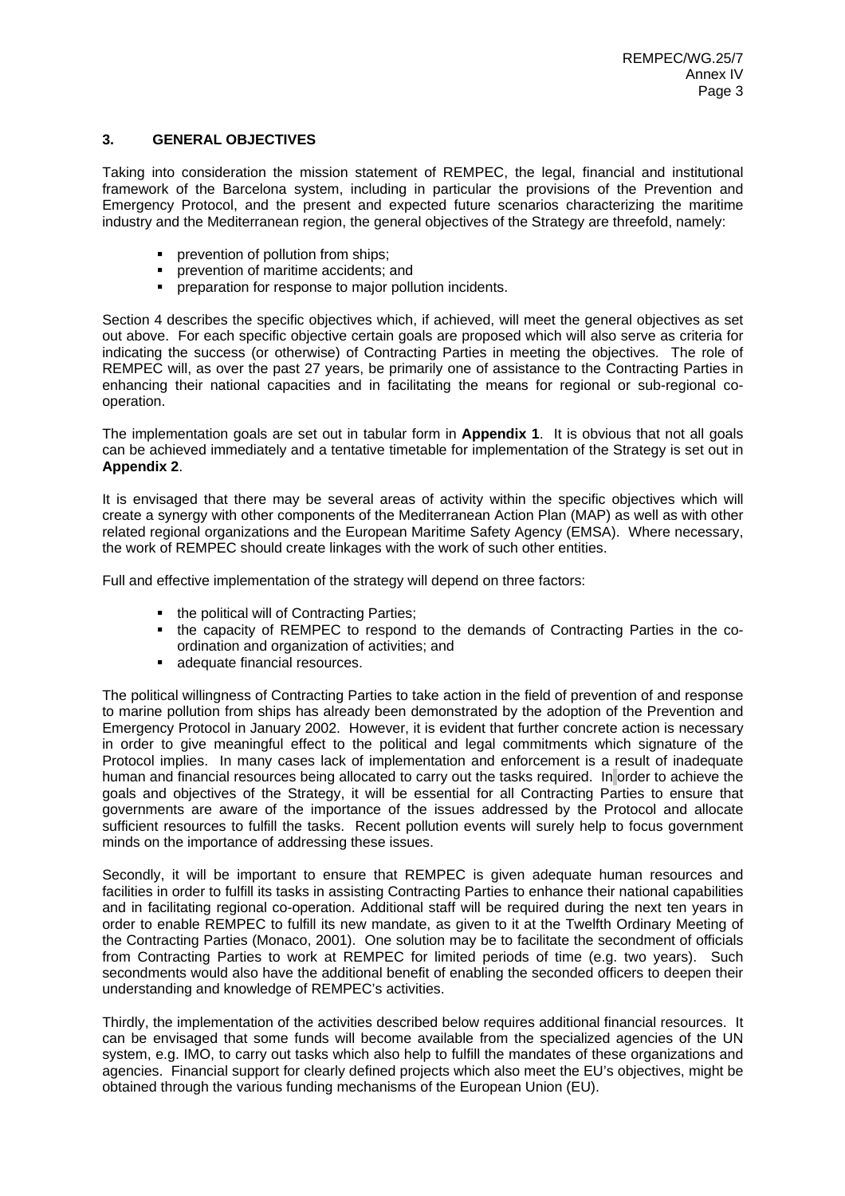## **3. GENERAL OBJECTIVES**

Taking into consideration the mission statement of REMPEC, the legal, financial and institutional framework of the Barcelona system, including in particular the provisions of the Prevention and Emergency Protocol, and the present and expected future scenarios characterizing the maritime industry and the Mediterranean region, the general objectives of the Strategy are threefold, namely:

- prevention of pollution from ships;
- prevention of maritime accidents; and
- preparation for response to major pollution incidents.

Section 4 describes the specific objectives which, if achieved, will meet the general objectives as set out above. For each specific objective certain goals are proposed which will also serve as criteria for indicating the success (or otherwise) of Contracting Parties in meeting the objectives. The role of REMPEC will, as over the past 27 years, be primarily one of assistance to the Contracting Parties in enhancing their national capacities and in facilitating the means for regional or sub-regional cooperation.

The implementation goals are set out in tabular form in **Appendix 1**. It is obvious that not all goals can be achieved immediately and a tentative timetable for implementation of the Strategy is set out in **Appendix 2**.

It is envisaged that there may be several areas of activity within the specific objectives which will create a synergy with other components of the Mediterranean Action Plan (MAP) as well as with other related regional organizations and the European Maritime Safety Agency (EMSA). Where necessary, the work of REMPEC should create linkages with the work of such other entities.

Full and effective implementation of the strategy will depend on three factors:

- the political will of Contracting Parties;
- the capacity of REMPEC to respond to the demands of Contracting Parties in the coordination and organization of activities; and
- **adequate financial resources.**

The political willingness of Contracting Parties to take action in the field of prevention of and response to marine pollution from ships has already been demonstrated by the adoption of the Prevention and Emergency Protocol in January 2002. However, it is evident that further concrete action is necessary in order to give meaningful effect to the political and legal commitments which signature of the Protocol implies. In many cases lack of implementation and enforcement is a result of inadequate human and financial resources being allocated to carry out the tasks required. In order to achieve the goals and objectives of the Strategy, it will be essential for all Contracting Parties to ensure that governments are aware of the importance of the issues addressed by the Protocol and allocate sufficient resources to fulfill the tasks. Recent pollution events will surely help to focus government minds on the importance of addressing these issues.

Secondly, it will be important to ensure that REMPEC is given adequate human resources and facilities in order to fulfill its tasks in assisting Contracting Parties to enhance their national capabilities and in facilitating regional co-operation. Additional staff will be required during the next ten years in order to enable REMPEC to fulfill its new mandate, as given to it at the Twelfth Ordinary Meeting of the Contracting Parties (Monaco, 2001). One solution may be to facilitate the secondment of officials from Contracting Parties to work at REMPEC for limited periods of time (e.g. two years). Such secondments would also have the additional benefit of enabling the seconded officers to deepen their understanding and knowledge of REMPEC's activities.

Thirdly, the implementation of the activities described below requires additional financial resources. It can be envisaged that some funds will become available from the specialized agencies of the UN system, e.g. IMO, to carry out tasks which also help to fulfill the mandates of these organizations and agencies. Financial support for clearly defined projects which also meet the EU's objectives, might be obtained through the various funding mechanisms of the European Union (EU).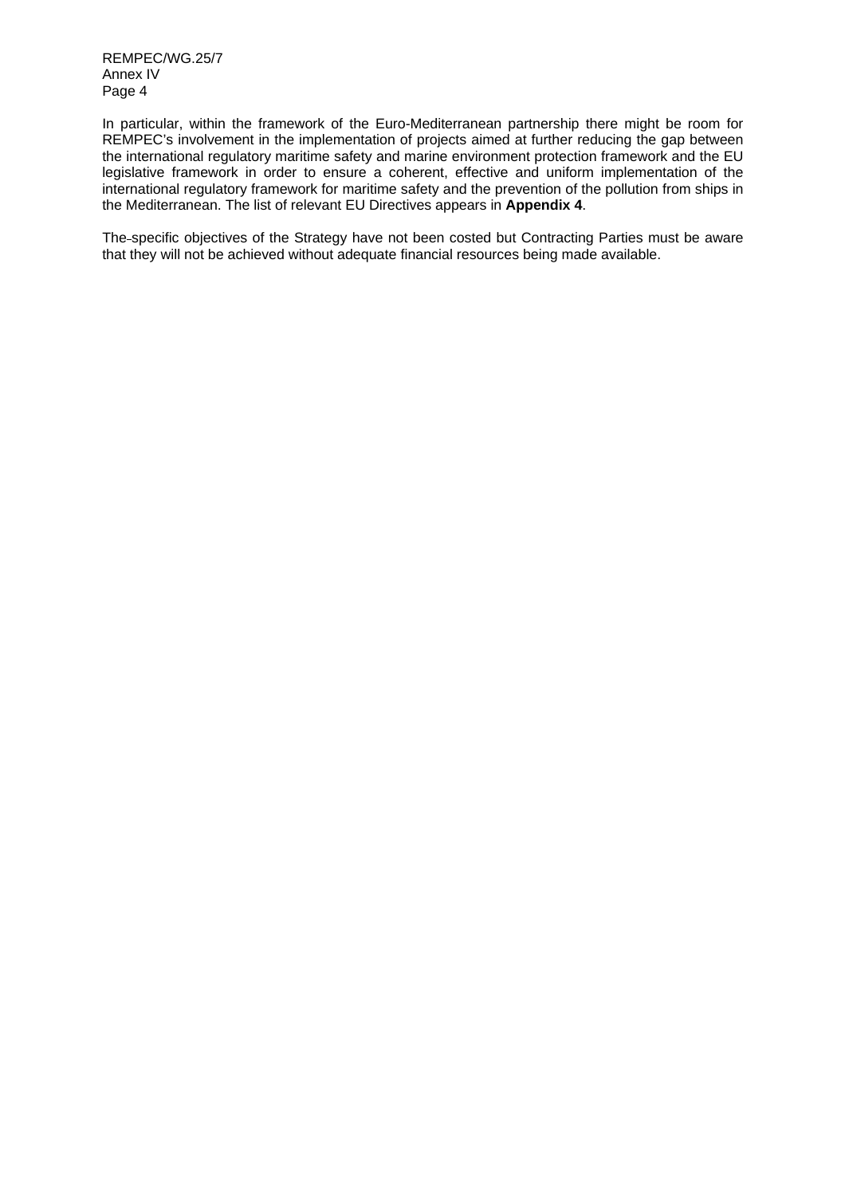REMPEC/WG.25/7 Annex IV Page 4

In particular, within the framework of the Euro-Mediterranean partnership there might be room for REMPEC's involvement in the implementation of projects aimed at further reducing the gap between the international regulatory maritime safety and marine environment protection framework and the EU legislative framework in order to ensure a coherent, effective and uniform implementation of the international regulatory framework for maritime safety and the prevention of the pollution from ships in the Mediterranean. The list of relevant EU Directives appears in **Appendix 4**.

The specific objectives of the Strategy have not been costed but Contracting Parties must be aware that they will not be achieved without adequate financial resources being made available.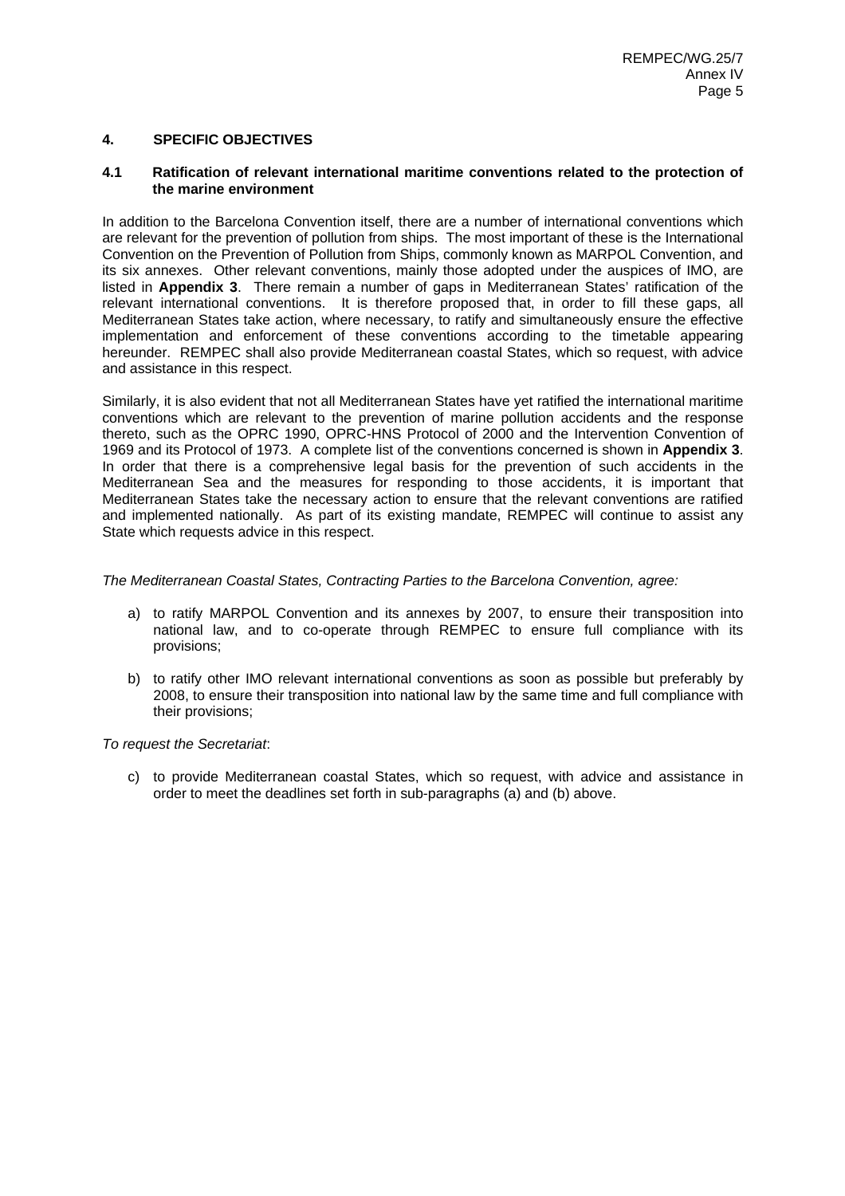# **4. SPECIFIC OBJECTIVES**

#### **4.1 Ratification of relevant international maritime conventions related to the protection of the marine environment**

In addition to the Barcelona Convention itself, there are a number of international conventions which are relevant for the prevention of pollution from ships. The most important of these is the International Convention on the Prevention of Pollution from Ships, commonly known as MARPOL Convention, and its six annexes. Other relevant conventions, mainly those adopted under the auspices of IMO, are listed in **Appendix 3**. There remain a number of gaps in Mediterranean States' ratification of the relevant international conventions. It is therefore proposed that, in order to fill these gaps, all Mediterranean States take action, where necessary, to ratify and simultaneously ensure the effective implementation and enforcement of these conventions according to the timetable appearing hereunder. REMPEC shall also provide Mediterranean coastal States, which so request, with advice and assistance in this respect.

Similarly, it is also evident that not all Mediterranean States have yet ratified the international maritime conventions which are relevant to the prevention of marine pollution accidents and the response thereto, such as the OPRC 1990, OPRC-HNS Protocol of 2000 and the Intervention Convention of 1969 and its Protocol of 1973. A complete list of the conventions concerned is shown in **Appendix 3**. In order that there is a comprehensive legal basis for the prevention of such accidents in the Mediterranean Sea and the measures for responding to those accidents, it is important that Mediterranean States take the necessary action to ensure that the relevant conventions are ratified and implemented nationally. As part of its existing mandate, REMPEC will continue to assist any State which requests advice in this respect.

*The Mediterranean Coastal States, Contracting Parties to the Barcelona Convention, agree:* 

- a) to ratify MARPOL Convention and its annexes by 2007, to ensure their transposition into national law, and to co-operate through REMPEC to ensure full compliance with its provisions;
- b) to ratify other IMO relevant international conventions as soon as possible but preferably by 2008, to ensure their transposition into national law by the same time and full compliance with their provisions;

#### *To request the Secretariat*:

c) to provide Mediterranean coastal States, which so request, with advice and assistance in order to meet the deadlines set forth in sub-paragraphs (a) and (b) above.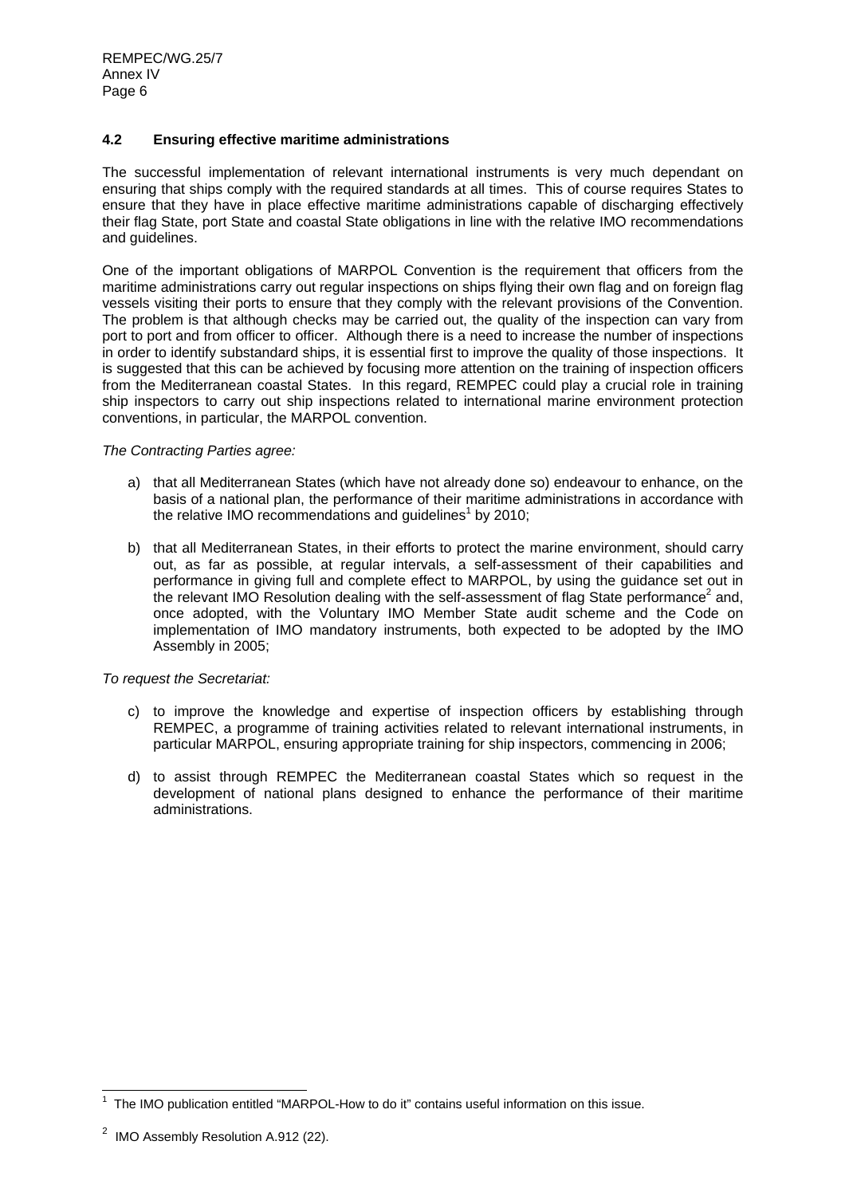# **4.2 Ensuring effective maritime administrations**

The successful implementation of relevant international instruments is very much dependant on ensuring that ships comply with the required standards at all times. This of course requires States to ensure that they have in place effective maritime administrations capable of discharging effectively their flag State, port State and coastal State obligations in line with the relative IMO recommendations and guidelines.

One of the important obligations of MARPOL Convention is the requirement that officers from the maritime administrations carry out regular inspections on ships flying their own flag and on foreign flag vessels visiting their ports to ensure that they comply with the relevant provisions of the Convention. The problem is that although checks may be carried out, the quality of the inspection can vary from port to port and from officer to officer. Although there is a need to increase the number of inspections in order to identify substandard ships, it is essential first to improve the quality of those inspections. It is suggested that this can be achieved by focusing more attention on the training of inspection officers from the Mediterranean coastal States. In this regard, REMPEC could play a crucial role in training ship inspectors to carry out ship inspections related to international marine environment protection conventions, in particular, the MARPOL convention.

#### *The Contracting Parties agree:*

- a) that all Mediterranean States (which have not already done so) endeavour to enhance, on the basis of a national plan, the performance of their maritime administrations in accordance with the relative IMO recommendations and guidelines<sup>1</sup> by 2010;
- b) that all Mediterranean States, in their efforts to protect the marine environment, should carry out, as far as possible, at regular intervals, a self-assessment of their capabilities and performance in giving full and complete effect to MARPOL, by using the guidance set out in the relevant IMO Resolution dealing with the self-assessment of flag State performance<sup>2</sup> and, once adopted, with the Voluntary IMO Member State audit scheme and the Code on implementation of IMO mandatory instruments, both expected to be adopted by the IMO Assembly in 2005;

- c) to improve the knowledge and expertise of inspection officers by establishing through REMPEC, a programme of training activities related to relevant international instruments, in particular MARPOL, ensuring appropriate training for ship inspectors, commencing in 2006;
- d) to assist through REMPEC the Mediterranean coastal States which so request in the development of national plans designed to enhance the performance of their maritime administrations.

 1 The IMO publication entitled "MARPOL-How to do it" contains useful information on this issue.

 $2$  IMO Assembly Resolution A.912 (22).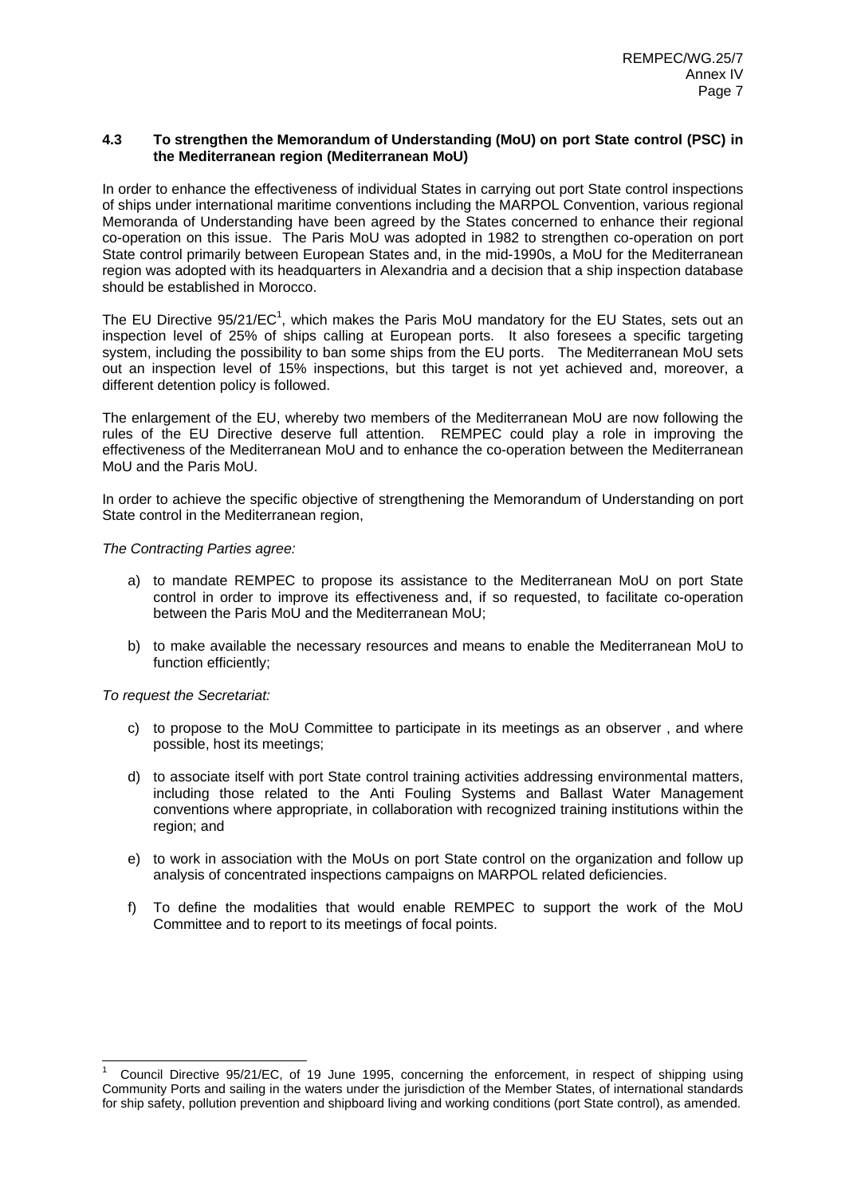### **4.3 To strengthen the Memorandum of Understanding (MoU) on port State control (PSC) in the Mediterranean region (Mediterranean MoU)**

In order to enhance the effectiveness of individual States in carrying out port State control inspections of ships under international maritime conventions including the MARPOL Convention, various regional Memoranda of Understanding have been agreed by the States concerned to enhance their regional co-operation on this issue. The Paris MoU was adopted in 1982 to strengthen co-operation on port State control primarily between European States and, in the mid-1990s, a MoU for the Mediterranean region was adopted with its headquarters in Alexandria and a decision that a ship inspection database should be established in Morocco.

The EU Directive  $95/21/EC<sup>1</sup>$ , which makes the Paris MoU mandatory for the EU States, sets out an inspection level of 25% of ships calling at European ports. It also foresees a specific targeting system, including the possibility to ban some ships from the EU ports. The Mediterranean MoU sets out an inspection level of 15% inspections, but this target is not yet achieved and, moreover, a different detention policy is followed.

The enlargement of the EU, whereby two members of the Mediterranean MoU are now following the rules of the EU Directive deserve full attention. REMPEC could play a role in improving the effectiveness of the Mediterranean MoU and to enhance the co-operation between the Mediterranean MoU and the Paris MoU.

In order to achieve the specific objective of strengthening the Memorandum of Understanding on port State control in the Mediterranean region,

### *The Contracting Parties agree:*

- a) to mandate REMPEC to propose its assistance to the Mediterranean MoU on port State control in order to improve its effectiveness and, if so requested, to facilitate co-operation between the Paris MoU and the Mediterranean MoU;
- b) to make available the necessary resources and means to enable the Mediterranean MoU to function efficiently;

*To request the Secretariat:*

l

- c) to propose to the MoU Committee to participate in its meetings as an observer , and where possible, host its meetings;
- d) to associate itself with port State control training activities addressing environmental matters, including those related to the Anti Fouling Systems and Ballast Water Management conventions where appropriate, in collaboration with recognized training institutions within the region; and
- e) to work in association with the MoUs on port State control on the organization and follow up analysis of concentrated inspections campaigns on MARPOL related deficiencies.
- f) To define the modalities that would enable REMPEC to support the work of the MoU Committee and to report to its meetings of focal points.

<sup>1</sup> Council Directive 95/21/EC, of 19 June 1995, concerning the enforcement, in respect of shipping using Community Ports and sailing in the waters under the jurisdiction of the Member States, of international standards for ship safety, pollution prevention and shipboard living and working conditions (port State control), as amended.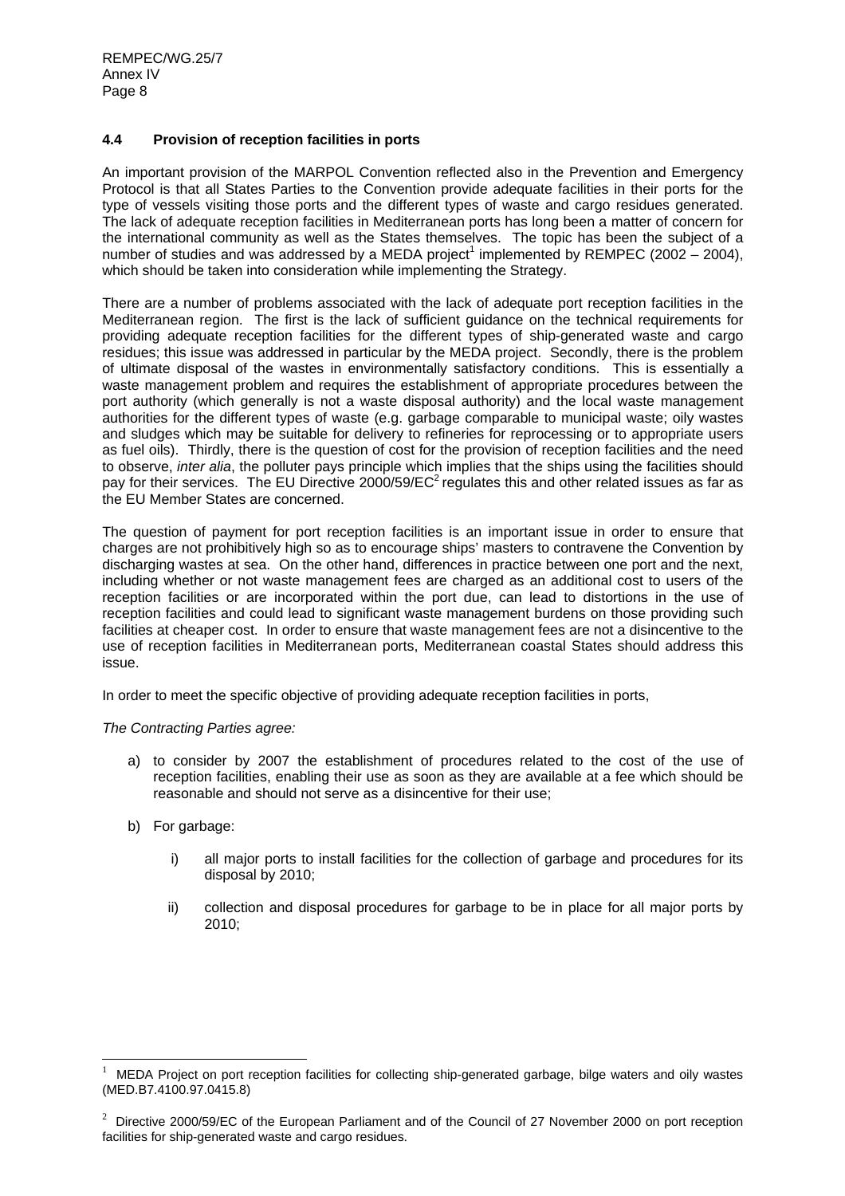## **4.4 Provision of reception facilities in ports**

An important provision of the MARPOL Convention reflected also in the Prevention and Emergency Protocol is that all States Parties to the Convention provide adequate facilities in their ports for the type of vessels visiting those ports and the different types of waste and cargo residues generated. The lack of adequate reception facilities in Mediterranean ports has long been a matter of concern for the international community as well as the States themselves. The topic has been the subject of a number of studies and was addressed by a MEDA project<sup>1</sup> implemented by REMPEC (2002 – 2004), which should be taken into consideration while implementing the Strategy.

There are a number of problems associated with the lack of adequate port reception facilities in the Mediterranean region. The first is the lack of sufficient guidance on the technical requirements for providing adequate reception facilities for the different types of ship-generated waste and cargo residues; this issue was addressed in particular by the MEDA project. Secondly, there is the problem of ultimate disposal of the wastes in environmentally satisfactory conditions. This is essentially a waste management problem and requires the establishment of appropriate procedures between the port authority (which generally is not a waste disposal authority) and the local waste management authorities for the different types of waste (e.g. garbage comparable to municipal waste; oily wastes and sludges which may be suitable for delivery to refineries for reprocessing or to appropriate users as fuel oils). Thirdly, there is the question of cost for the provision of reception facilities and the need to observe, *inter alia*, the polluter pays principle which implies that the ships using the facilities should pay for their services. The EU Directive 2000/59/ $EC^2$  regulates this and other related issues as far as the EU Member States are concerned.

The question of payment for port reception facilities is an important issue in order to ensure that charges are not prohibitively high so as to encourage ships' masters to contravene the Convention by discharging wastes at sea. On the other hand, differences in practice between one port and the next, including whether or not waste management fees are charged as an additional cost to users of the reception facilities or are incorporated within the port due, can lead to distortions in the use of reception facilities and could lead to significant waste management burdens on those providing such facilities at cheaper cost. In order to ensure that waste management fees are not a disincentive to the use of reception facilities in Mediterranean ports, Mediterranean coastal States should address this issue.

In order to meet the specific objective of providing adequate reception facilities in ports,

*The Contracting Parties agree:* 

- a) to consider by 2007 the establishment of procedures related to the cost of the use of reception facilities, enabling their use as soon as they are available at a fee which should be reasonable and should not serve as a disincentive for their use;
- b) For garbage:
	- i) all major ports to install facilities for the collection of garbage and procedures for its disposal by 2010;
	- ii) collection and disposal procedures for garbage to be in place for all major ports by 2010;

<sup>|&</sup>lt;br>|<br>| MEDA Project on port reception facilities for collecting ship-generated garbage, bilge waters and oily wastes (MED.B7.4100.97.0415.8)

<sup>&</sup>lt;sup>2</sup> Directive 2000/59/EC of the European Parliament and of the Council of 27 November 2000 on port reception facilities for ship-generated waste and cargo residues.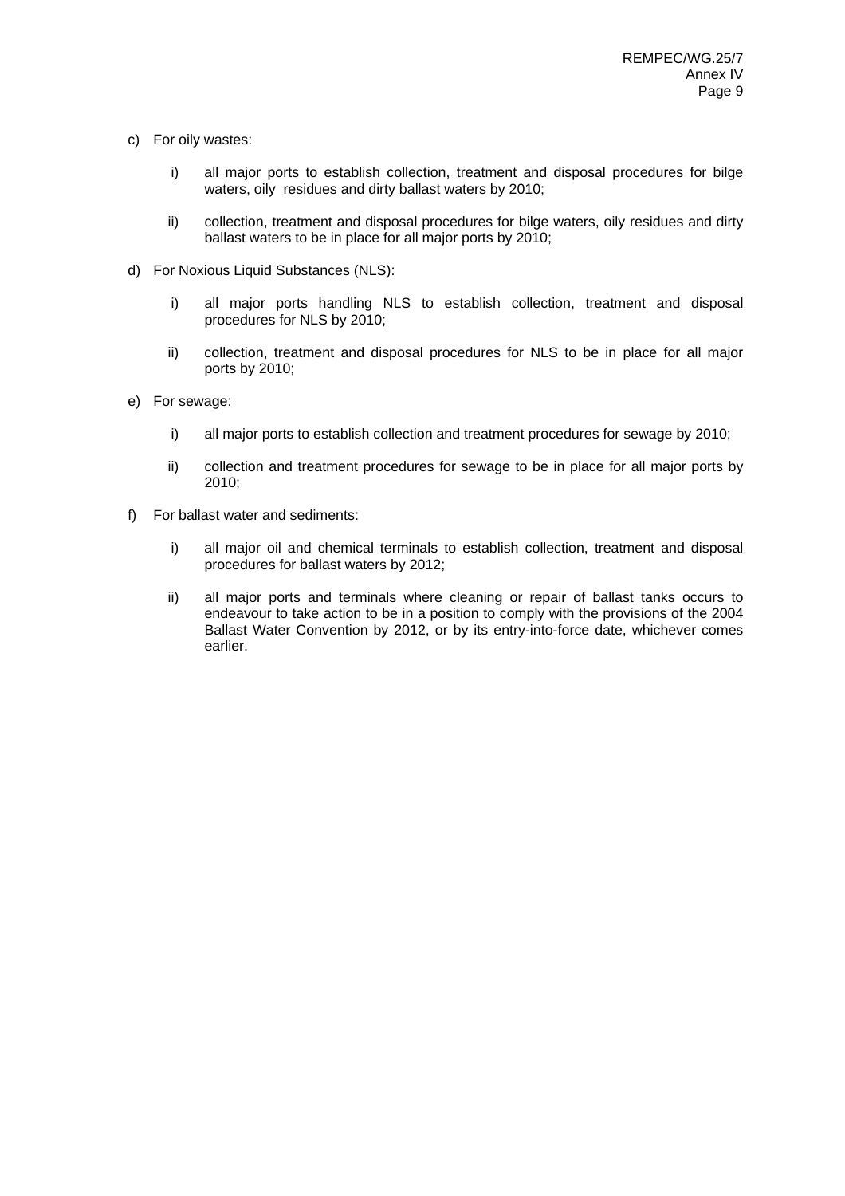- c) For oily wastes:
	- i) all major ports to establish collection, treatment and disposal procedures for bilge waters, oily residues and dirty ballast waters by 2010;
	- ii) collection, treatment and disposal procedures for bilge waters, oily residues and dirty ballast waters to be in place for all major ports by 2010;
- d) For Noxious Liquid Substances (NLS):
	- i) all major ports handling NLS to establish collection, treatment and disposal procedures for NLS by 2010;
	- ii) collection, treatment and disposal procedures for NLS to be in place for all major ports by 2010;
- e) For sewage:
	- i) all major ports to establish collection and treatment procedures for sewage by 2010;
	- ii) collection and treatment procedures for sewage to be in place for all major ports by 2010;
- f) For ballast water and sediments:
	- i) all major oil and chemical terminals to establish collection, treatment and disposal procedures for ballast waters by 2012;
	- ii) all major ports and terminals where cleaning or repair of ballast tanks occurs to endeavour to take action to be in a position to comply with the provisions of the 2004 Ballast Water Convention by 2012, or by its entry-into-force date, whichever comes earlier.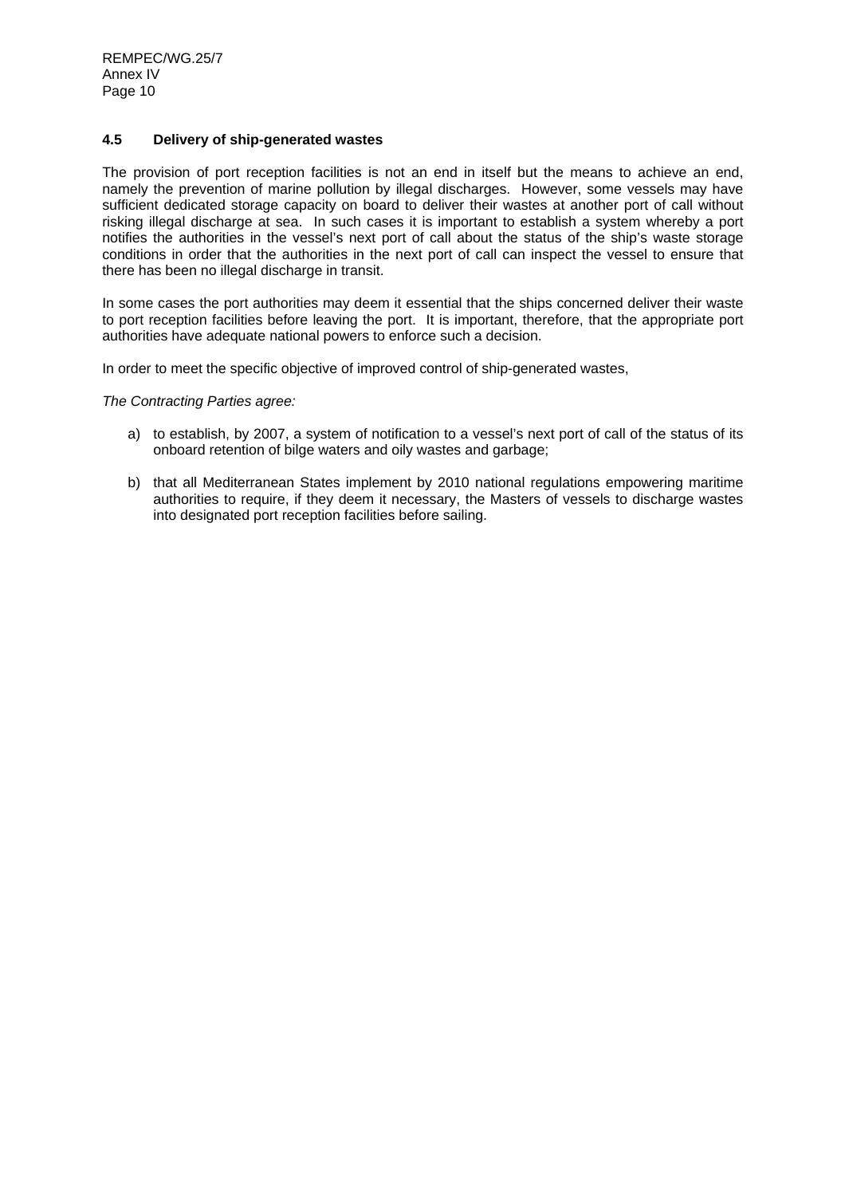REMPEC/WG.25/7 Annex IV Page 10

### **4.5 Delivery of ship-generated wastes**

The provision of port reception facilities is not an end in itself but the means to achieve an end, namely the prevention of marine pollution by illegal discharges. However, some vessels may have sufficient dedicated storage capacity on board to deliver their wastes at another port of call without risking illegal discharge at sea. In such cases it is important to establish a system whereby a port notifies the authorities in the vessel's next port of call about the status of the ship's waste storage conditions in order that the authorities in the next port of call can inspect the vessel to ensure that there has been no illegal discharge in transit.

In some cases the port authorities may deem it essential that the ships concerned deliver their waste to port reception facilities before leaving the port. It is important, therefore, that the appropriate port authorities have adequate national powers to enforce such a decision.

In order to meet the specific objective of improved control of ship-generated wastes,

*The Contracting Parties agree:* 

- a) to establish, by 2007, a system of notification to a vessel's next port of call of the status of its onboard retention of bilge waters and oily wastes and garbage;
- b) that all Mediterranean States implement by 2010 national regulations empowering maritime authorities to require, if they deem it necessary, the Masters of vessels to discharge wastes into designated port reception facilities before sailing.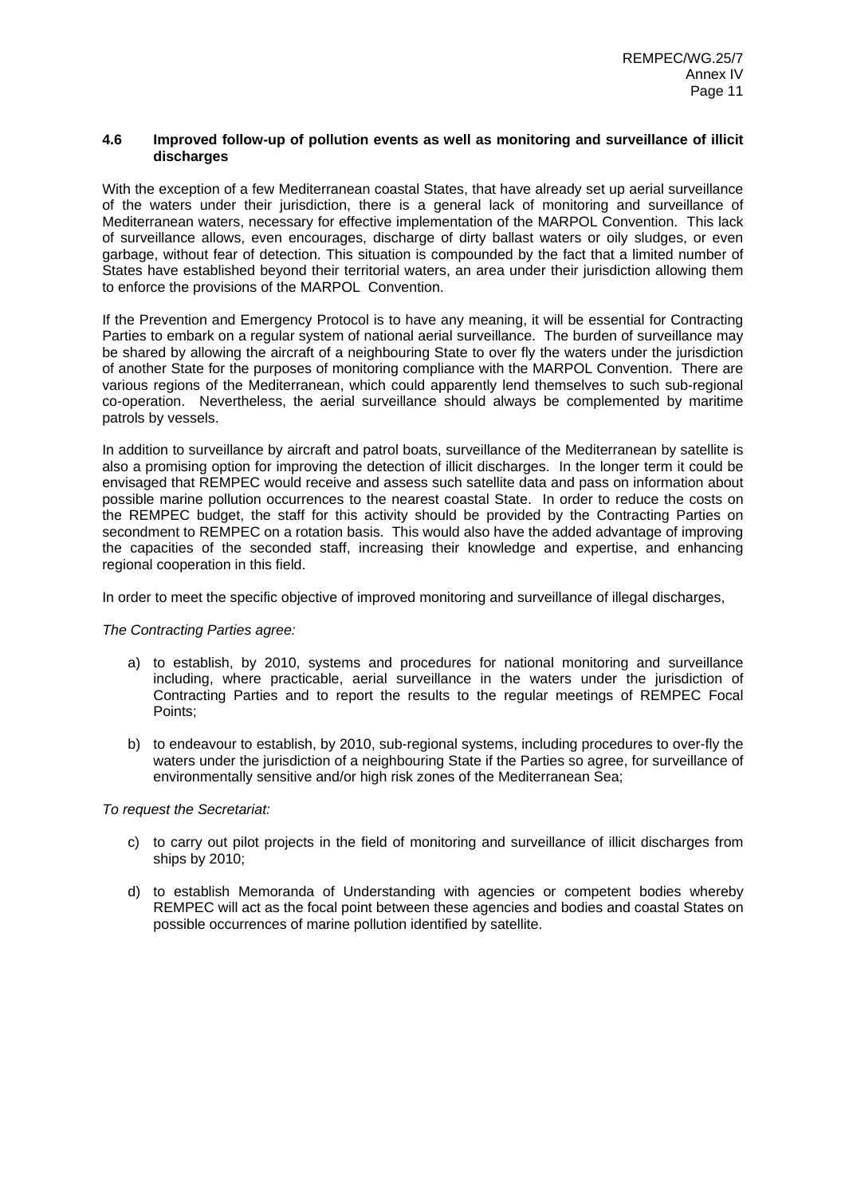#### **4.6 Improved follow-up of pollution events as well as monitoring and surveillance of illicit discharges**

With the exception of a few Mediterranean coastal States, that have already set up aerial surveillance of the waters under their jurisdiction, there is a general lack of monitoring and surveillance of Mediterranean waters, necessary for effective implementation of the MARPOL Convention. This lack of surveillance allows, even encourages, discharge of dirty ballast waters or oily sludges, or even garbage, without fear of detection. This situation is compounded by the fact that a limited number of States have established beyond their territorial waters, an area under their jurisdiction allowing them to enforce the provisions of the MARPOL Convention.

If the Prevention and Emergency Protocol is to have any meaning, it will be essential for Contracting Parties to embark on a regular system of national aerial surveillance. The burden of surveillance may be shared by allowing the aircraft of a neighbouring State to over fly the waters under the jurisdiction of another State for the purposes of monitoring compliance with the MARPOL Convention. There are various regions of the Mediterranean, which could apparently lend themselves to such sub-regional co-operation. Nevertheless, the aerial surveillance should always be complemented by maritime patrols by vessels.

In addition to surveillance by aircraft and patrol boats, surveillance of the Mediterranean by satellite is also a promising option for improving the detection of illicit discharges. In the longer term it could be envisaged that REMPEC would receive and assess such satellite data and pass on information about possible marine pollution occurrences to the nearest coastal State. In order to reduce the costs on the REMPEC budget, the staff for this activity should be provided by the Contracting Parties on secondment to REMPEC on a rotation basis. This would also have the added advantage of improving the capacities of the seconded staff, increasing their knowledge and expertise, and enhancing regional cooperation in this field.

In order to meet the specific objective of improved monitoring and surveillance of illegal discharges,

*The Contracting Parties agree:* 

- a) to establish, by 2010, systems and procedures for national monitoring and surveillance including, where practicable, aerial surveillance in the waters under the jurisdiction of Contracting Parties and to report the results to the regular meetings of REMPEC Focal Points;
- b) to endeavour to establish, by 2010, sub-regional systems, including procedures to over-fly the waters under the jurisdiction of a neighbouring State if the Parties so agree, for surveillance of environmentally sensitive and/or high risk zones of the Mediterranean Sea;

- c) to carry out pilot projects in the field of monitoring and surveillance of illicit discharges from ships by 2010;
- d) to establish Memoranda of Understanding with agencies or competent bodies whereby REMPEC will act as the focal point between these agencies and bodies and coastal States on possible occurrences of marine pollution identified by satellite.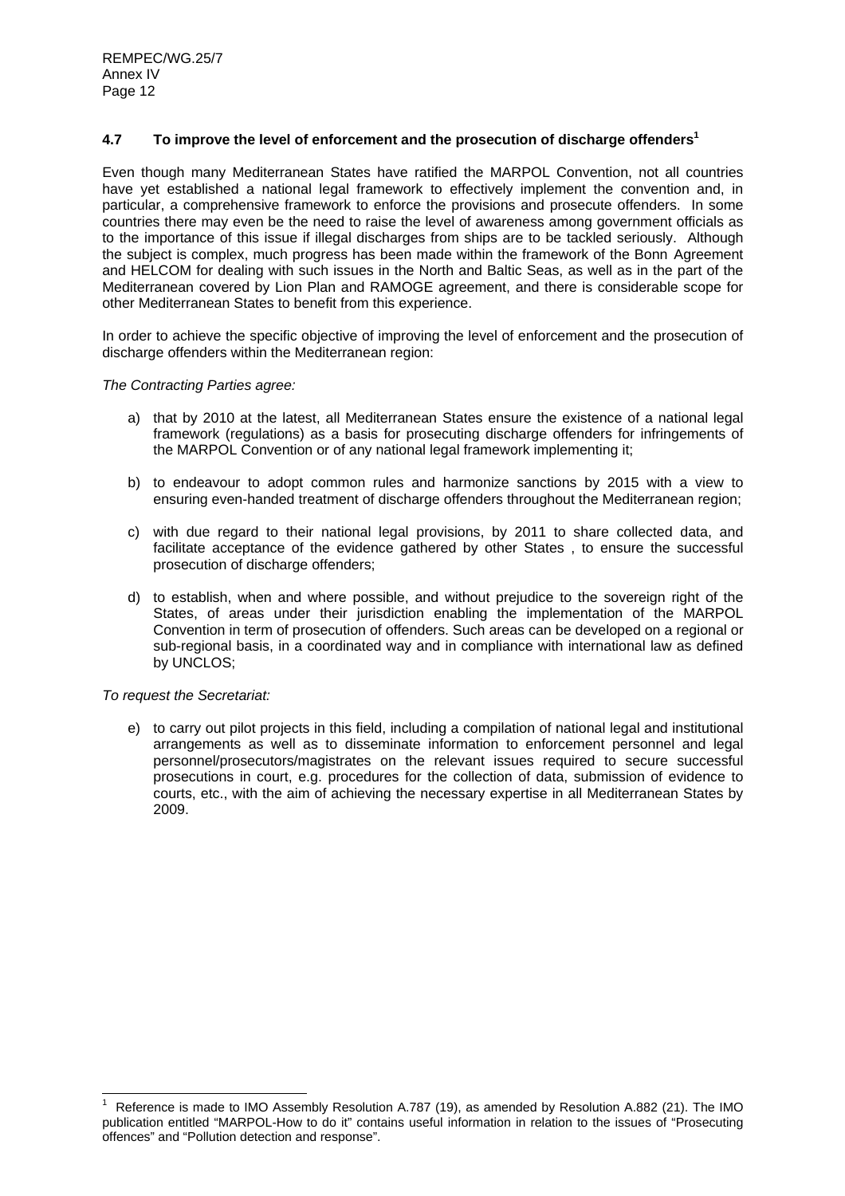### **4.7 To improve the level of enforcement and the prosecution of discharge offenders1**

Even though many Mediterranean States have ratified the MARPOL Convention, not all countries have yet established a national legal framework to effectively implement the convention and, in particular, a comprehensive framework to enforce the provisions and prosecute offenders. In some countries there may even be the need to raise the level of awareness among government officials as to the importance of this issue if illegal discharges from ships are to be tackled seriously. Although the subject is complex, much progress has been made within the framework of the Bonn Agreement and HELCOM for dealing with such issues in the North and Baltic Seas, as well as in the part of the Mediterranean covered by Lion Plan and RAMOGE agreement, and there is considerable scope for other Mediterranean States to benefit from this experience.

In order to achieve the specific objective of improving the level of enforcement and the prosecution of discharge offenders within the Mediterranean region:

*The Contracting Parties agree:* 

- a) that by 2010 at the latest, all Mediterranean States ensure the existence of a national legal framework (regulations) as a basis for prosecuting discharge offenders for infringements of the MARPOL Convention or of any national legal framework implementing it;
- b) to endeavour to adopt common rules and harmonize sanctions by 2015 with a view to ensuring even-handed treatment of discharge offenders throughout the Mediterranean region;
- c) with due regard to their national legal provisions, by 2011 to share collected data, and facilitate acceptance of the evidence gathered by other States , to ensure the successful prosecution of discharge offenders;
- d) to establish, when and where possible, and without prejudice to the sovereign right of the States, of areas under their jurisdiction enabling the implementation of the MARPOL Convention in term of prosecution of offenders. Such areas can be developed on a regional or sub-regional basis, in a coordinated way and in compliance with international law as defined by UNCLOS;

*To request the Secretariat:* 

l

e) to carry out pilot projects in this field, including a compilation of national legal and institutional arrangements as well as to disseminate information to enforcement personnel and legal personnel/prosecutors/magistrates on the relevant issues required to secure successful prosecutions in court, e.g. procedures for the collection of data, submission of evidence to courts, etc., with the aim of achieving the necessary expertise in all Mediterranean States by 2009.

<sup>1</sup> Reference is made to IMO Assembly Resolution A.787 (19), as amended by Resolution A.882 (21). The IMO publication entitled "MARPOL-How to do it" contains useful information in relation to the issues of "Prosecuting offences" and "Pollution detection and response".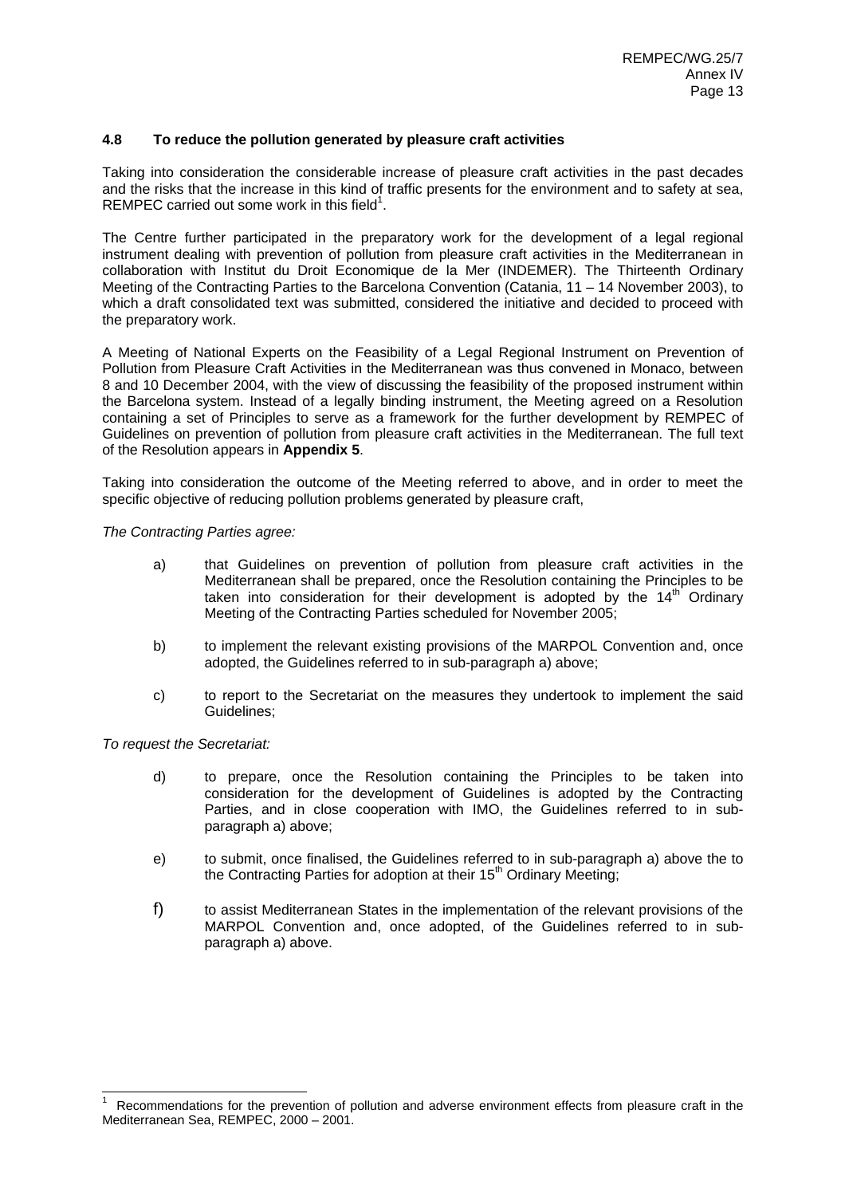# **4.8 To reduce the pollution generated by pleasure craft activities**

Taking into consideration the considerable increase of pleasure craft activities in the past decades and the risks that the increase in this kind of traffic presents for the environment and to safety at sea, REMPEC carried out some work in this field<sup>1</sup>.

The Centre further participated in the preparatory work for the development of a legal regional instrument dealing with prevention of pollution from pleasure craft activities in the Mediterranean in collaboration with Institut du Droit Economique de la Mer (INDEMER). The Thirteenth Ordinary Meeting of the Contracting Parties to the Barcelona Convention (Catania, 11 – 14 November 2003), to which a draft consolidated text was submitted, considered the initiative and decided to proceed with the preparatory work.

A Meeting of National Experts on the Feasibility of a Legal Regional Instrument on Prevention of Pollution from Pleasure Craft Activities in the Mediterranean was thus convened in Monaco, between 8 and 10 December 2004, with the view of discussing the feasibility of the proposed instrument within the Barcelona system. Instead of a legally binding instrument, the Meeting agreed on a Resolution containing a set of Principles to serve as a framework for the further development by REMPEC of Guidelines on prevention of pollution from pleasure craft activities in the Mediterranean. The full text of the Resolution appears in **Appendix 5**.

Taking into consideration the outcome of the Meeting referred to above, and in order to meet the specific objective of reducing pollution problems generated by pleasure craft,

*The Contracting Parties agree:* 

- a) that Guidelines on prevention of pollution from pleasure craft activities in the Mediterranean shall be prepared, once the Resolution containing the Principles to be taken into consideration for their development is adopted by the  $14<sup>th</sup>$  Ordinary Meeting of the Contracting Parties scheduled for November 2005;
- b) to implement the relevant existing provisions of the MARPOL Convention and, once adopted, the Guidelines referred to in sub-paragraph a) above;
- c) to report to the Secretariat on the measures they undertook to implement the said Guidelines;

*To request the Secretariat:* 

 $\overline{a}$ 

- d) to prepare, once the Resolution containing the Principles to be taken into consideration for the development of Guidelines is adopted by the Contracting Parties, and in close cooperation with IMO, the Guidelines referred to in subparagraph a) above;
- e) to submit, once finalised, the Guidelines referred to in sub-paragraph a) above the to the Contracting Parties for adoption at their  $15<sup>th</sup>$  Ordinary Meeting;
- f) to assist Mediterranean States in the implementation of the relevant provisions of the MARPOL Convention and, once adopted, of the Guidelines referred to in subparagraph a) above.

<sup>1</sup> Recommendations for the prevention of pollution and adverse environment effects from pleasure craft in the Mediterranean Sea, REMPEC, 2000 – 2001.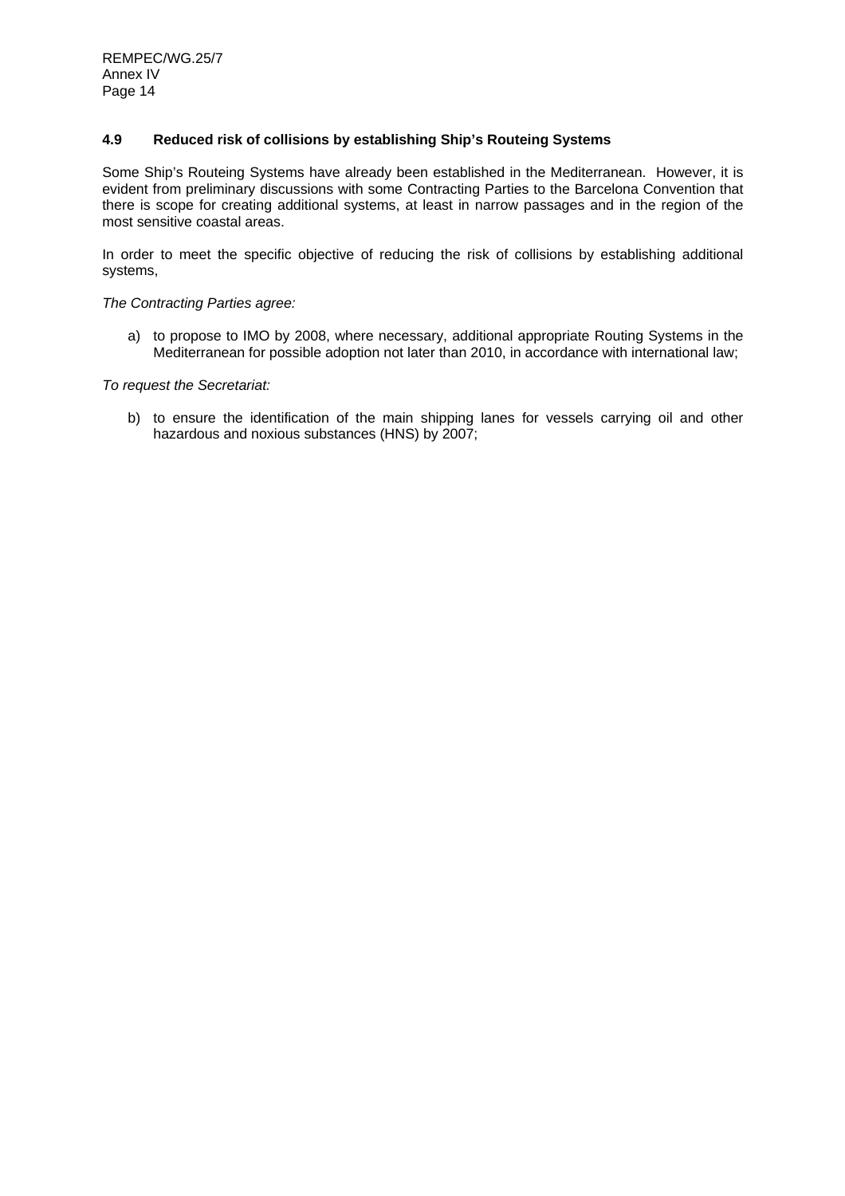# **4.9 Reduced risk of collisions by establishing Ship's Routeing Systems**

Some Ship's Routeing Systems have already been established in the Mediterranean. However, it is evident from preliminary discussions with some Contracting Parties to the Barcelona Convention that there is scope for creating additional systems, at least in narrow passages and in the region of the most sensitive coastal areas.

In order to meet the specific objective of reducing the risk of collisions by establishing additional systems,

*The Contracting Parties agree:* 

a) to propose to IMO by 2008, where necessary, additional appropriate Routing Systems in the Mediterranean for possible adoption not later than 2010, in accordance with international law;

*To request the Secretariat:* 

b) to ensure the identification of the main shipping lanes for vessels carrying oil and other hazardous and noxious substances (HNS) by 2007;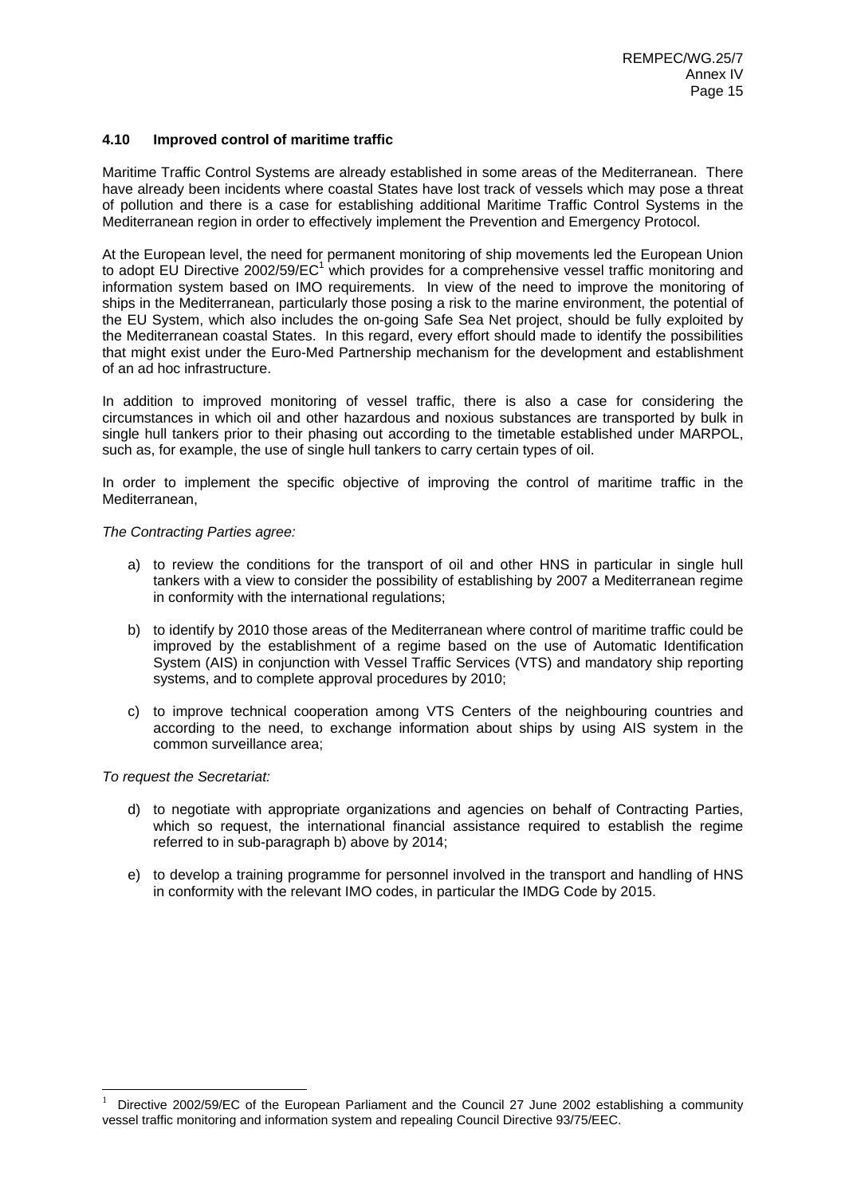## **4.10 Improved control of maritime traffic**

Maritime Traffic Control Systems are already established in some areas of the Mediterranean. There have already been incidents where coastal States have lost track of vessels which may pose a threat of pollution and there is a case for establishing additional Maritime Traffic Control Systems in the Mediterranean region in order to effectively implement the Prevention and Emergency Protocol.

At the European level, the need for permanent monitoring of ship movements led the European Union to adopt EU Directive 2002/59/EC<sup>1</sup> which provides for a comprehensive vessel traffic monitoring and information system based on IMO requirements. In view of the need to improve the monitoring of ships in the Mediterranean, particularly those posing a risk to the marine environment, the potential of the EU System, which also includes the on-going Safe Sea Net project, should be fully exploited by the Mediterranean coastal States. In this regard, every effort should made to identify the possibilities that might exist under the Euro-Med Partnership mechanism for the development and establishment of an ad hoc infrastructure.

In addition to improved monitoring of vessel traffic, there is also a case for considering the circumstances in which oil and other hazardous and noxious substances are transported by bulk in single hull tankers prior to their phasing out according to the timetable established under MARPOL, such as, for example, the use of single hull tankers to carry certain types of oil.

In order to implement the specific objective of improving the control of maritime traffic in the Mediterranean,

#### *The Contracting Parties agree:*

- a) to review the conditions for the transport of oil and other HNS in particular in single hull tankers with a view to consider the possibility of establishing by 2007 a Mediterranean regime in conformity with the international regulations;
- b) to identify by 2010 those areas of the Mediterranean where control of maritime traffic could be improved by the establishment of a regime based on the use of Automatic Identification System (AIS) in conjunction with Vessel Traffic Services (VTS) and mandatory ship reporting systems, and to complete approval procedures by 2010;
- c) to improve technical cooperation among VTS Centers of the neighbouring countries and according to the need, to exchange information about ships by using AIS system in the common surveillance area;

#### *To request the Secretariat:*

l

- d) to negotiate with appropriate organizations and agencies on behalf of Contracting Parties, which so request, the international financial assistance required to establish the regime referred to in sub-paragraph b) above by 2014;
- e) to develop a training programme for personnel involved in the transport and handling of HNS in conformity with the relevant IMO codes, in particular the IMDG Code by 2015.

<sup>1</sup> Directive 2002/59/EC of the European Parliament and the Council 27 June 2002 establishing a community vessel traffic monitoring and information system and repealing Council Directive 93/75/EEC.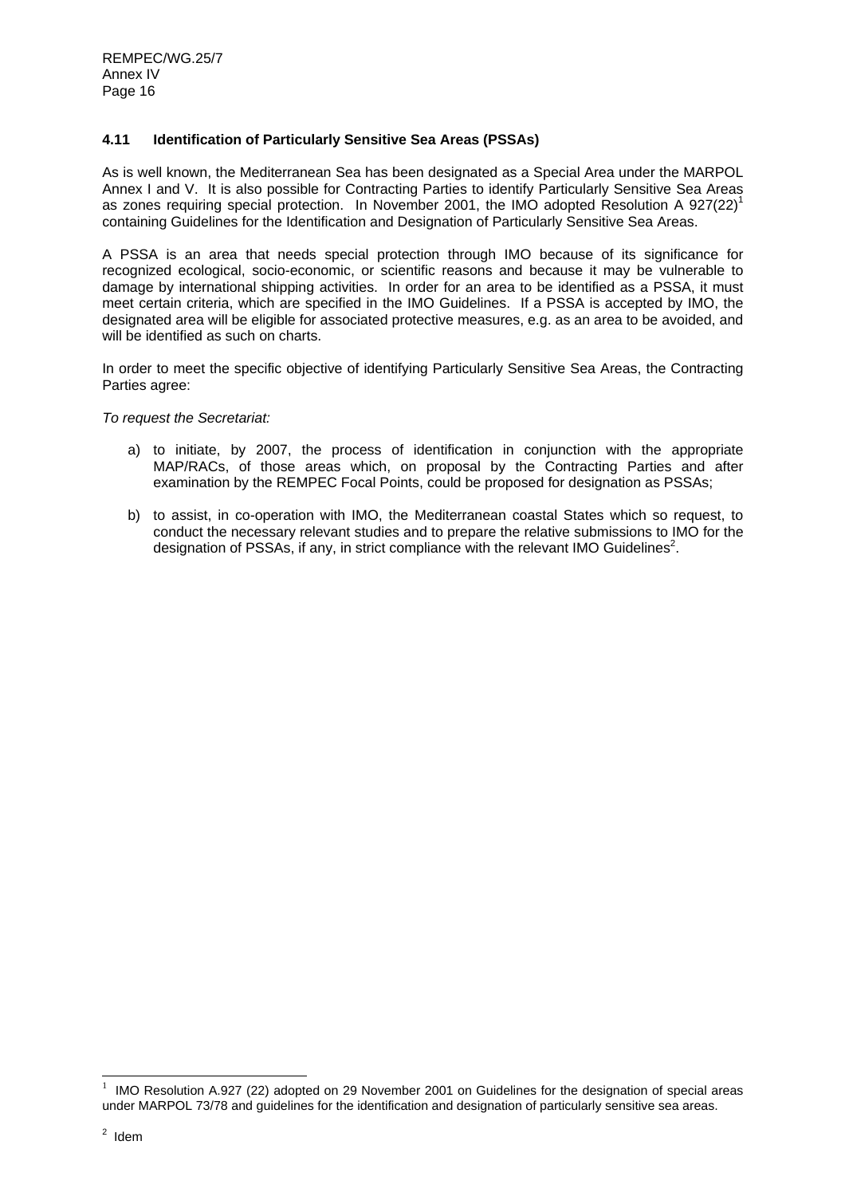# **4.11 Identification of Particularly Sensitive Sea Areas (PSSAs)**

As is well known, the Mediterranean Sea has been designated as a Special Area under the MARPOL Annex I and V. It is also possible for Contracting Parties to identify Particularly Sensitive Sea Areas as zones requiring special protection. In November 2001, the IMO adopted Resolution A 927(22)<sup>1</sup> containing Guidelines for the Identification and Designation of Particularly Sensitive Sea Areas.

A PSSA is an area that needs special protection through IMO because of its significance for recognized ecological, socio-economic, or scientific reasons and because it may be vulnerable to damage by international shipping activities. In order for an area to be identified as a PSSA, it must meet certain criteria, which are specified in the IMO Guidelines. If a PSSA is accepted by IMO, the designated area will be eligible for associated protective measures, e.g. as an area to be avoided, and will be identified as such on charts.

In order to meet the specific objective of identifying Particularly Sensitive Sea Areas, the Contracting Parties agree:

#### *To request the Secretariat:*

- a) to initiate, by 2007, the process of identification in conjunction with the appropriate MAP/RACs, of those areas which, on proposal by the Contracting Parties and after examination by the REMPEC Focal Points, could be proposed for designation as PSSAs;
- b) to assist, in co-operation with IMO, the Mediterranean coastal States which so request, to conduct the necessary relevant studies and to prepare the relative submissions to IMO for the designation of PSSAs, if any, in strict compliance with the relevant IMO Guidelines<sup>2</sup>.

l

<sup>1</sup> IMO Resolution A.927 (22) adopted on 29 November 2001 on Guidelines for the designation of special areas under MARPOL 73/78 and guidelines for the identification and designation of particularly sensitive sea areas.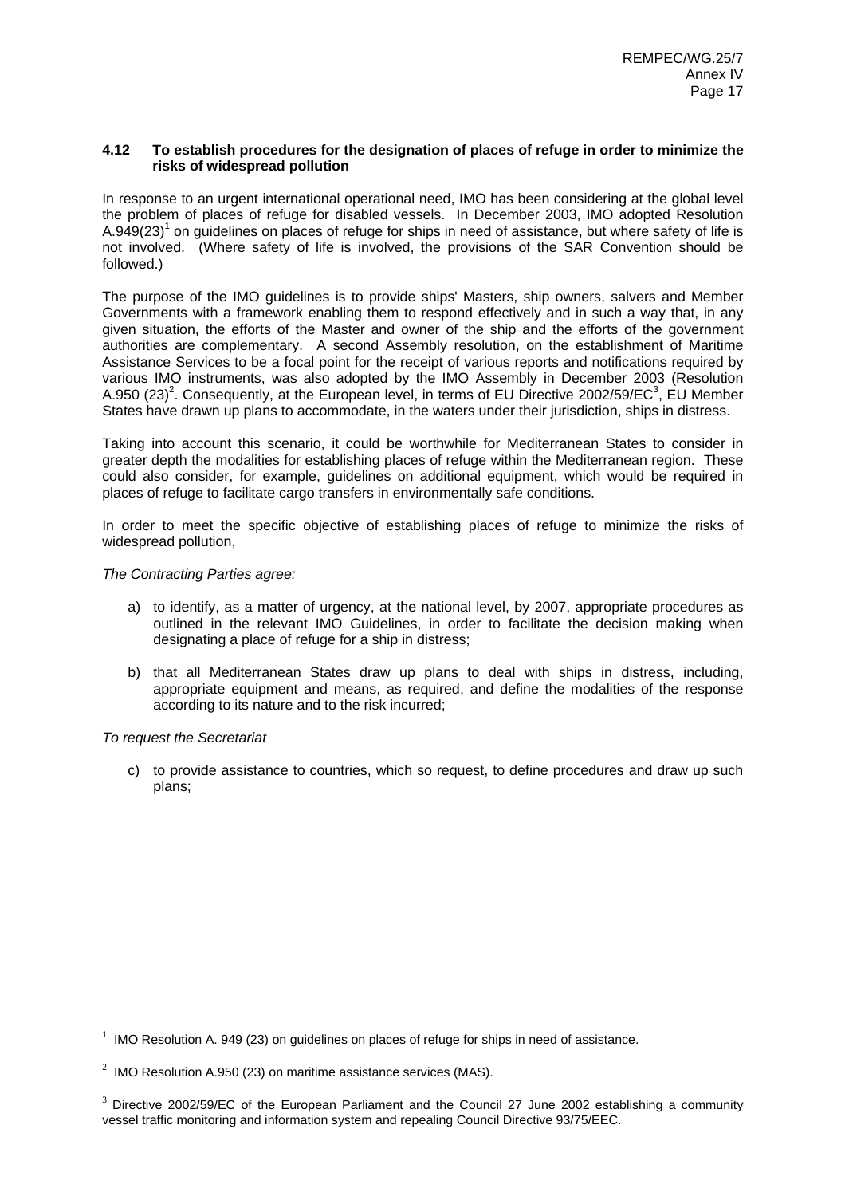### **4.12 To establish procedures for the designation of places of refuge in order to minimize the risks of widespread pollution**

In response to an urgent international operational need, IMO has been considering at the global level the problem of places of refuge for disabled vessels. In December 2003, IMO adopted Resolution A.949(23)<sup>1</sup> on guidelines on places of refuge for ships in need of assistance, but where safety of life is not involved. (Where safety of life is involved, the provisions of the SAR Convention should be followed.)

The purpose of the IMO guidelines is to provide ships' Masters, ship owners, salvers and Member Governments with a framework enabling them to respond effectively and in such a way that, in any given situation, the efforts of the Master and owner of the ship and the efforts of the government authorities are complementary. A second Assembly resolution, on the establishment of Maritime Assistance Services to be a focal point for the receipt of various reports and notifications required by various IMO instruments, was also adopted by the IMO Assembly in December 2003 (Resolution A.950 (23)<sup>2</sup>. Consequently, at the European level, in terms of EU Directive 2002/59/EC<sup>3</sup>, EU Member States have drawn up plans to accommodate, in the waters under their jurisdiction, ships in distress.

Taking into account this scenario, it could be worthwhile for Mediterranean States to consider in greater depth the modalities for establishing places of refuge within the Mediterranean region. These could also consider, for example, guidelines on additional equipment, which would be required in places of refuge to facilitate cargo transfers in environmentally safe conditions.

In order to meet the specific objective of establishing places of refuge to minimize the risks of widespread pollution,

### *The Contracting Parties agree:*

- a) to identify, as a matter of urgency, at the national level, by 2007, appropriate procedures as outlined in the relevant IMO Guidelines, in order to facilitate the decision making when designating a place of refuge for a ship in distress;
- b) that all Mediterranean States draw up plans to deal with ships in distress, including, appropriate equipment and means, as required, and define the modalities of the response according to its nature and to the risk incurred;

# *To request the Secretariat*

l

c) to provide assistance to countries, which so request, to define procedures and draw up such plans;

<sup>1</sup> IMO Resolution A. 949 (23) on guidelines on places of refuge for ships in need of assistance.

<sup>&</sup>lt;sup>2</sup> IMO Resolution A.950 (23) on maritime assistance services (MAS).

<sup>&</sup>lt;sup>3</sup> Directive 2002/59/EC of the European Parliament and the Council 27 June 2002 establishing a community vessel traffic monitoring and information system and repealing Council Directive 93/75/EEC.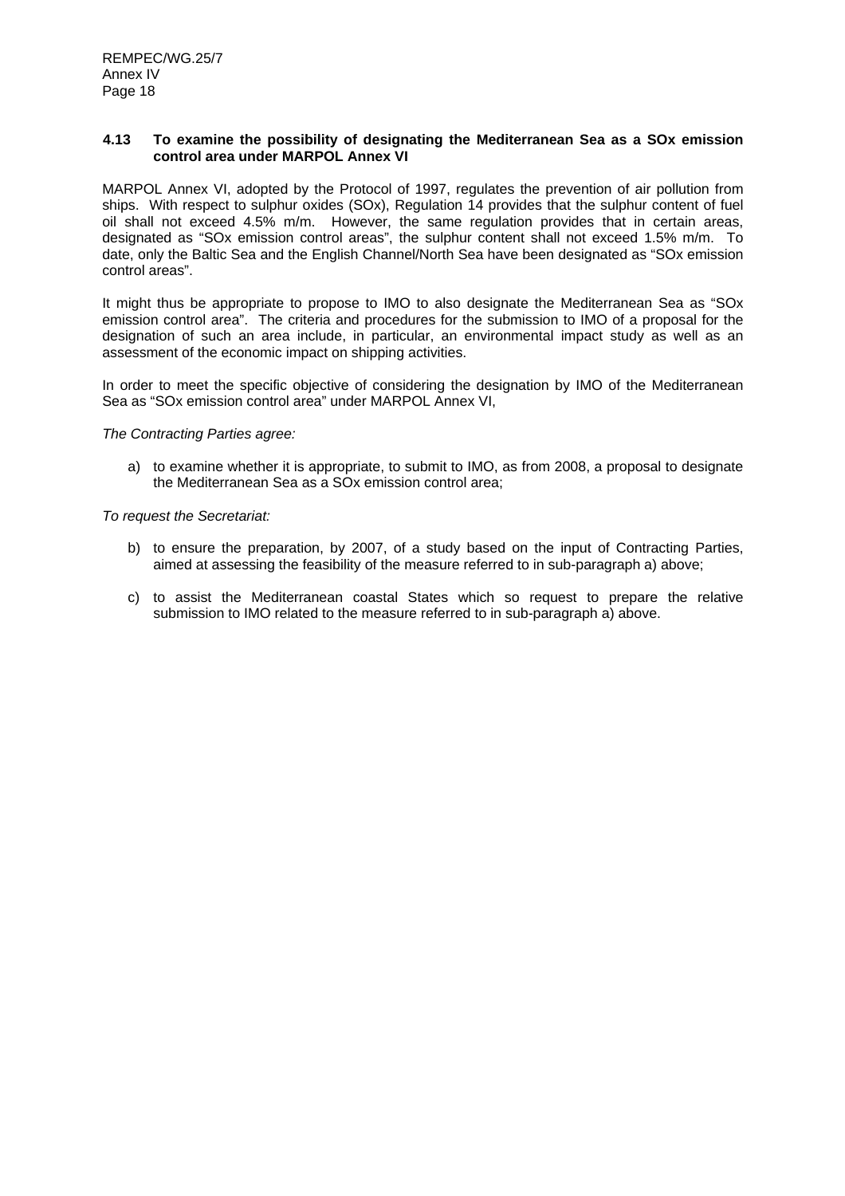#### **4.13 To examine the possibility of designating the Mediterranean Sea as a SOx emission control area under MARPOL Annex VI**

MARPOL Annex VI, adopted by the Protocol of 1997, regulates the prevention of air pollution from ships. With respect to sulphur oxides (SOx), Regulation 14 provides that the sulphur content of fuel oil shall not exceed 4.5% m/m. However, the same regulation provides that in certain areas, designated as "SOx emission control areas", the sulphur content shall not exceed 1.5% m/m. To date, only the Baltic Sea and the English Channel/North Sea have been designated as "SOx emission control areas".

It might thus be appropriate to propose to IMO to also designate the Mediterranean Sea as "SOx emission control area". The criteria and procedures for the submission to IMO of a proposal for the designation of such an area include, in particular, an environmental impact study as well as an assessment of the economic impact on shipping activities.

In order to meet the specific objective of considering the designation by IMO of the Mediterranean Sea as "SOx emission control area" under MARPOL Annex VI,

*The Contracting Parties agree:* 

a) to examine whether it is appropriate, to submit to IMO, as from 2008, a proposal to designate the Mediterranean Sea as a SOx emission control area;

- b) to ensure the preparation, by 2007, of a study based on the input of Contracting Parties, aimed at assessing the feasibility of the measure referred to in sub-paragraph a) above;
- c) to assist the Mediterranean coastal States which so request to prepare the relative submission to IMO related to the measure referred to in sub-paragraph a) above.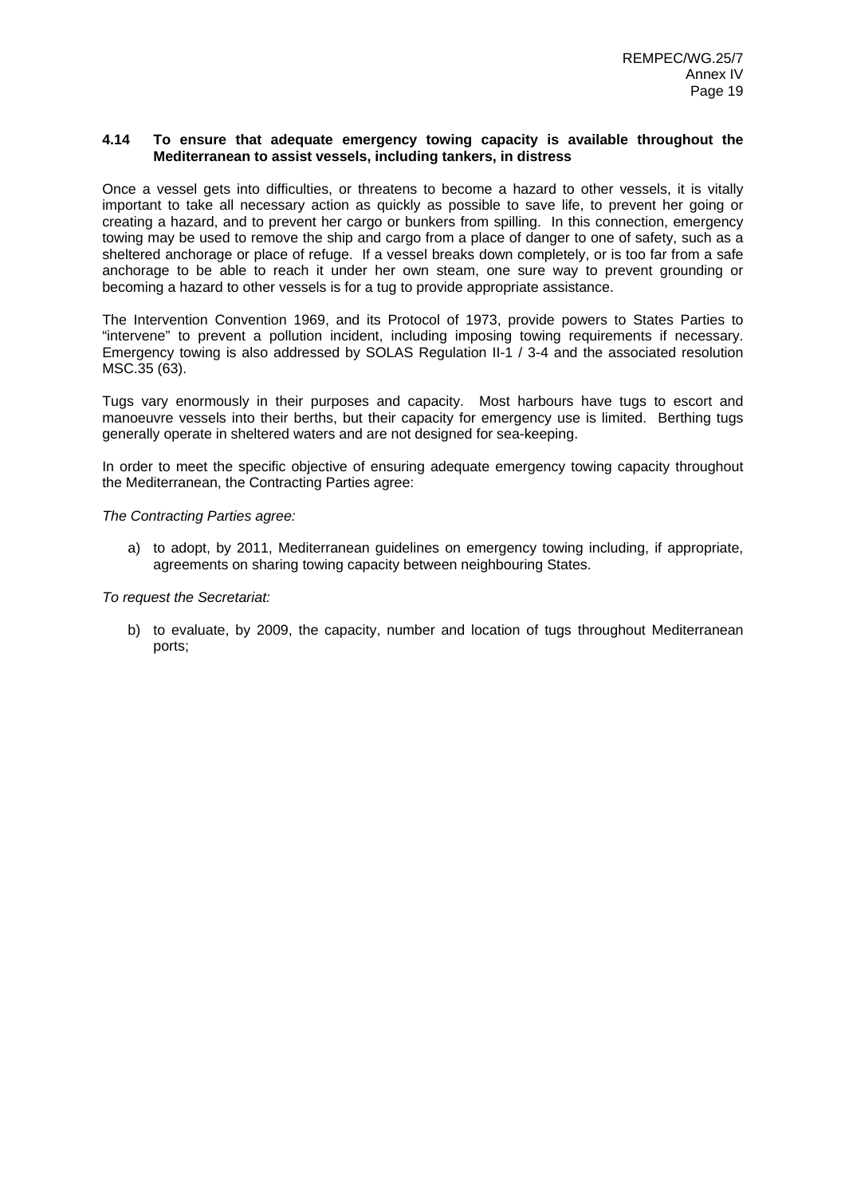#### **4.14 To ensure that adequate emergency towing capacity is available throughout the Mediterranean to assist vessels, including tankers, in distress**

Once a vessel gets into difficulties, or threatens to become a hazard to other vessels, it is vitally important to take all necessary action as quickly as possible to save life, to prevent her going or creating a hazard, and to prevent her cargo or bunkers from spilling. In this connection, emergency towing may be used to remove the ship and cargo from a place of danger to one of safety, such as a sheltered anchorage or place of refuge. If a vessel breaks down completely, or is too far from a safe anchorage to be able to reach it under her own steam, one sure way to prevent grounding or becoming a hazard to other vessels is for a tug to provide appropriate assistance.

The Intervention Convention 1969, and its Protocol of 1973, provide powers to States Parties to "intervene" to prevent a pollution incident, including imposing towing requirements if necessary. Emergency towing is also addressed by SOLAS Regulation II-1 / 3-4 and the associated resolution MSC.35 (63).

Tugs vary enormously in their purposes and capacity. Most harbours have tugs to escort and manoeuvre vessels into their berths, but their capacity for emergency use is limited. Berthing tugs generally operate in sheltered waters and are not designed for sea-keeping.

In order to meet the specific objective of ensuring adequate emergency towing capacity throughout the Mediterranean, the Contracting Parties agree:

*The Contracting Parties agree:* 

a) to adopt, by 2011, Mediterranean guidelines on emergency towing including, if appropriate, agreements on sharing towing capacity between neighbouring States.

*To request the Secretariat:* 

b) to evaluate, by 2009, the capacity, number and location of tugs throughout Mediterranean ports;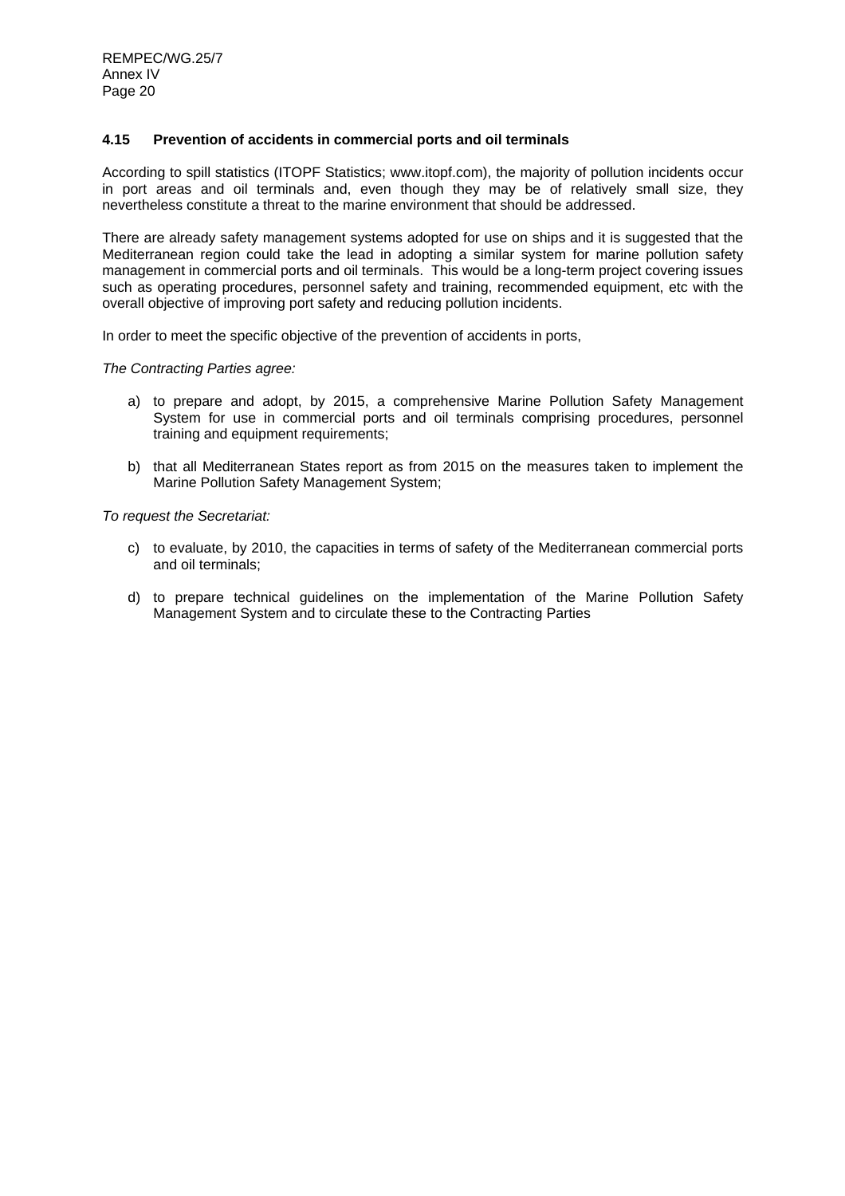### **4.15 Prevention of accidents in commercial ports and oil terminals**

According to spill statistics (ITOPF Statistics; www.itopf.com), the majority of pollution incidents occur in port areas and oil terminals and, even though they may be of relatively small size, they nevertheless constitute a threat to the marine environment that should be addressed.

There are already safety management systems adopted for use on ships and it is suggested that the Mediterranean region could take the lead in adopting a similar system for marine pollution safety management in commercial ports and oil terminals. This would be a long-term project covering issues such as operating procedures, personnel safety and training, recommended equipment, etc with the overall objective of improving port safety and reducing pollution incidents.

In order to meet the specific objective of the prevention of accidents in ports,

#### *The Contracting Parties agree:*

- a) to prepare and adopt, by 2015, a comprehensive Marine Pollution Safety Management System for use in commercial ports and oil terminals comprising procedures, personnel training and equipment requirements;
- b) that all Mediterranean States report as from 2015 on the measures taken to implement the Marine Pollution Safety Management System;

- c) to evaluate, by 2010, the capacities in terms of safety of the Mediterranean commercial ports and oil terminals;
- d) to prepare technical guidelines on the implementation of the Marine Pollution Safety Management System and to circulate these to the Contracting Parties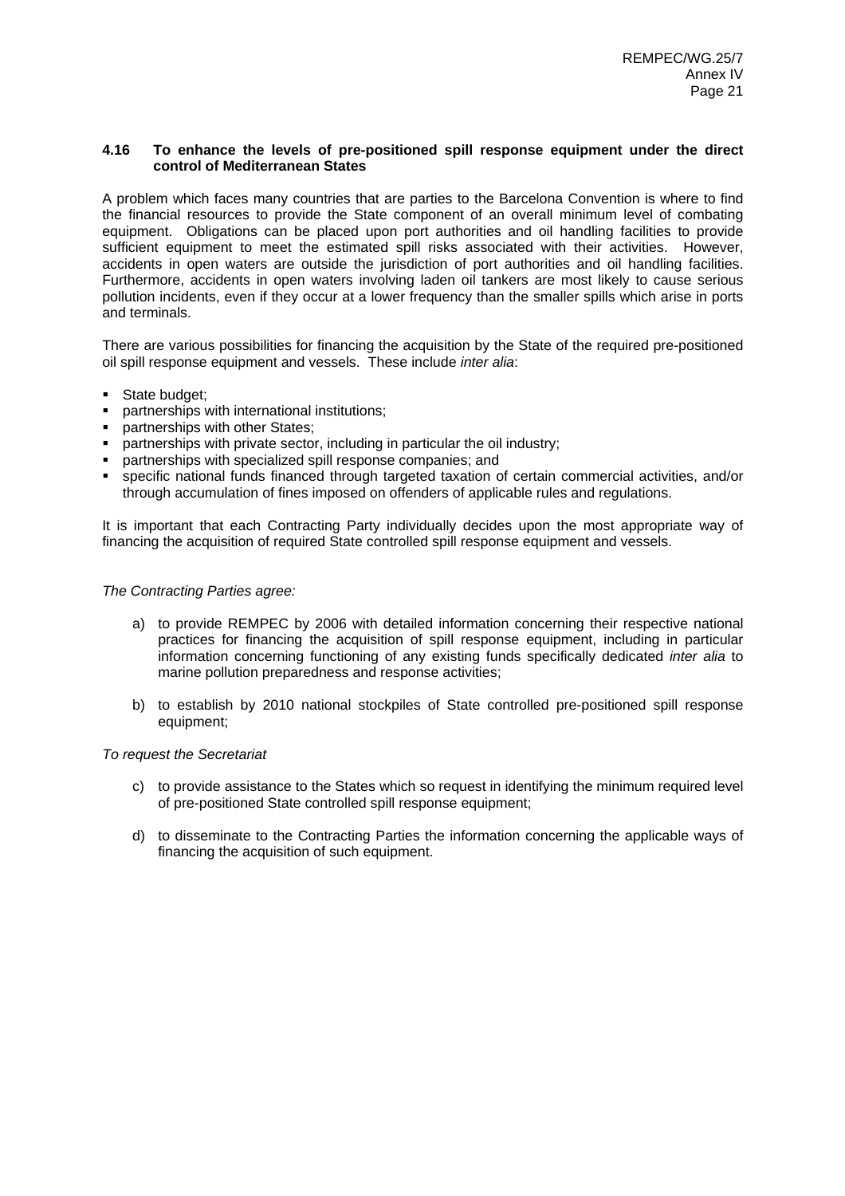### **4.16 To enhance the levels of pre-positioned spill response equipment under the direct control of Mediterranean States**

A problem which faces many countries that are parties to the Barcelona Convention is where to find the financial resources to provide the State component of an overall minimum level of combating equipment. Obligations can be placed upon port authorities and oil handling facilities to provide sufficient equipment to meet the estimated spill risks associated with their activities. However, accidents in open waters are outside the jurisdiction of port authorities and oil handling facilities. Furthermore, accidents in open waters involving laden oil tankers are most likely to cause serious pollution incidents, even if they occur at a lower frequency than the smaller spills which arise in ports and terminals.

There are various possibilities for financing the acquisition by the State of the required pre-positioned oil spill response equipment and vessels. These include *inter alia*:

- State budget:
- partnerships with international institutions;
- partnerships with other States;
- **Partnerships with private sector, including in particular the oil industry:**
- partnerships with specialized spill response companies; and
- specific national funds financed through targeted taxation of certain commercial activities, and/or through accumulation of fines imposed on offenders of applicable rules and regulations.

It is important that each Contracting Party individually decides upon the most appropriate way of financing the acquisition of required State controlled spill response equipment and vessels.

#### *The Contracting Parties agree:*

- a) to provide REMPEC by 2006 with detailed information concerning their respective national practices for financing the acquisition of spill response equipment, including in particular information concerning functioning of any existing funds specifically dedicated *inter alia* to marine pollution preparedness and response activities;
- b) to establish by 2010 national stockpiles of State controlled pre-positioned spill response equipment;

- c) to provide assistance to the States which so request in identifying the minimum required level of pre-positioned State controlled spill response equipment;
- d) to disseminate to the Contracting Parties the information concerning the applicable ways of financing the acquisition of such equipment.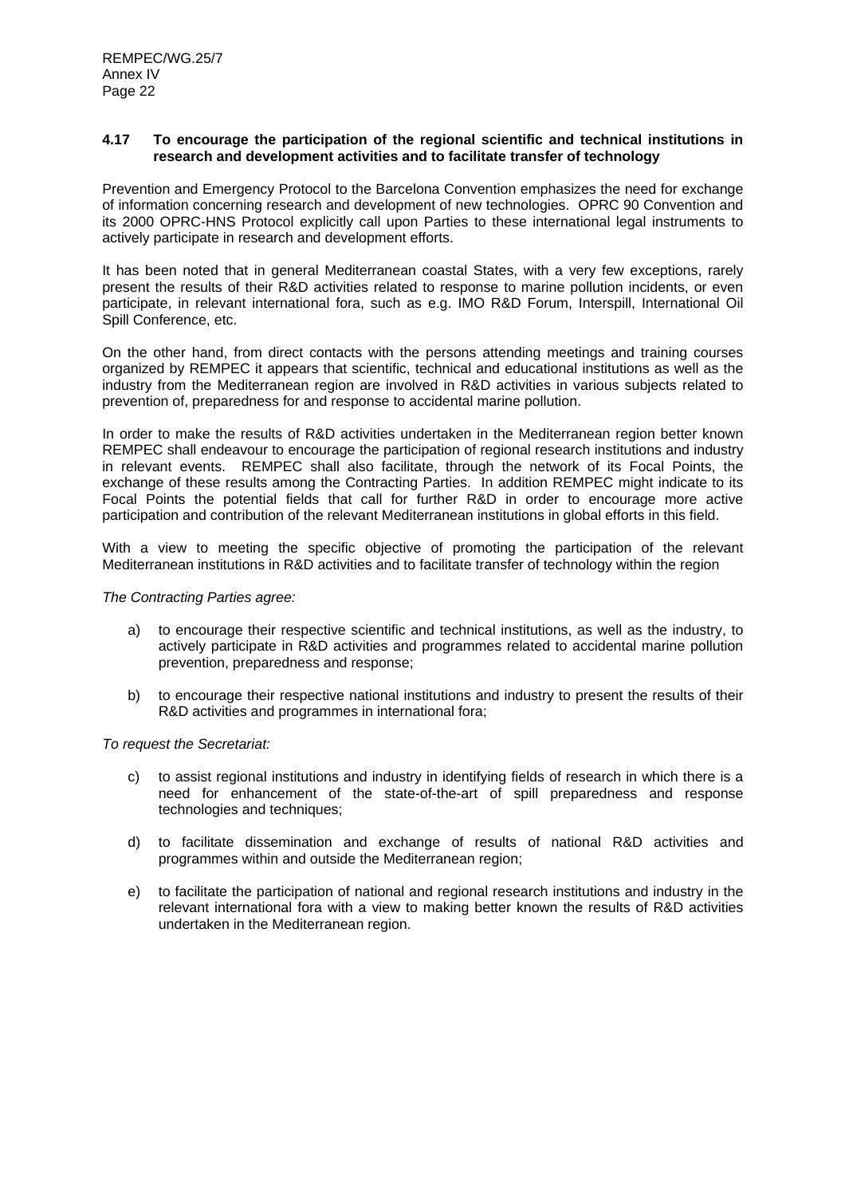#### **4.17 To encourage the participation of the regional scientific and technical institutions in research and development activities and to facilitate transfer of technology**

Prevention and Emergency Protocol to the Barcelona Convention emphasizes the need for exchange of information concerning research and development of new technologies. OPRC 90 Convention and its 2000 OPRC-HNS Protocol explicitly call upon Parties to these international legal instruments to actively participate in research and development efforts.

It has been noted that in general Mediterranean coastal States, with a very few exceptions, rarely present the results of their R&D activities related to response to marine pollution incidents, or even participate, in relevant international fora, such as e.g. IMO R&D Forum, Interspill, International Oil Spill Conference, etc.

On the other hand, from direct contacts with the persons attending meetings and training courses organized by REMPEC it appears that scientific, technical and educational institutions as well as the industry from the Mediterranean region are involved in R&D activities in various subjects related to prevention of, preparedness for and response to accidental marine pollution.

In order to make the results of R&D activities undertaken in the Mediterranean region better known REMPEC shall endeavour to encourage the participation of regional research institutions and industry in relevant events. REMPEC shall also facilitate, through the network of its Focal Points, the exchange of these results among the Contracting Parties. In addition REMPEC might indicate to its Focal Points the potential fields that call for further R&D in order to encourage more active participation and contribution of the relevant Mediterranean institutions in global efforts in this field.

With a view to meeting the specific objective of promoting the participation of the relevant Mediterranean institutions in R&D activities and to facilitate transfer of technology within the region

#### *The Contracting Parties agree:*

- a) to encourage their respective scientific and technical institutions, as well as the industry, to actively participate in R&D activities and programmes related to accidental marine pollution prevention, preparedness and response;
- b) to encourage their respective national institutions and industry to present the results of their R&D activities and programmes in international fora;

- c) to assist regional institutions and industry in identifying fields of research in which there is a need for enhancement of the state-of-the-art of spill preparedness and response technologies and techniques;
- d) to facilitate dissemination and exchange of results of national R&D activities and programmes within and outside the Mediterranean region;
- e) to facilitate the participation of national and regional research institutions and industry in the relevant international fora with a view to making better known the results of R&D activities undertaken in the Mediterranean region.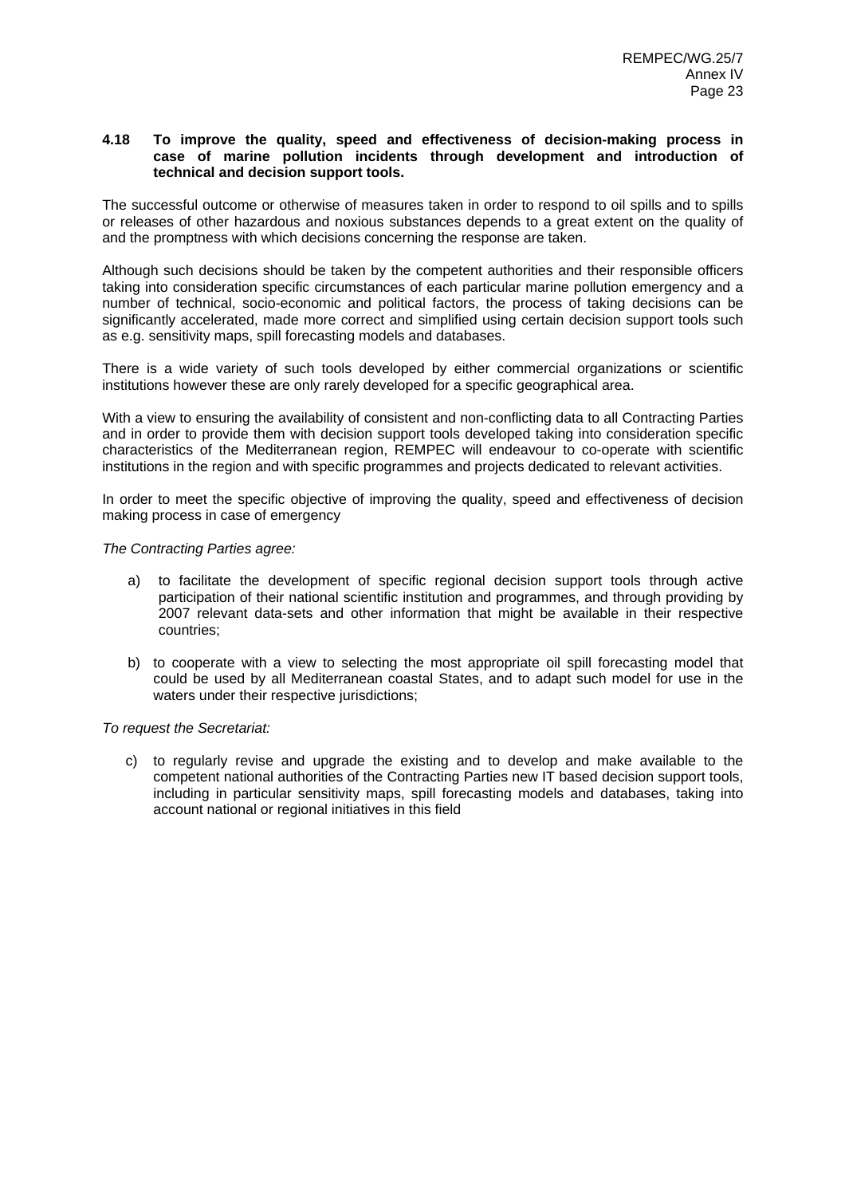#### **4.18 To improve the quality, speed and effectiveness of decision-making process in case of marine pollution incidents through development and introduction of technical and decision support tools.**

The successful outcome or otherwise of measures taken in order to respond to oil spills and to spills or releases of other hazardous and noxious substances depends to a great extent on the quality of and the promptness with which decisions concerning the response are taken.

Although such decisions should be taken by the competent authorities and their responsible officers taking into consideration specific circumstances of each particular marine pollution emergency and a number of technical, socio-economic and political factors, the process of taking decisions can be significantly accelerated, made more correct and simplified using certain decision support tools such as e.g. sensitivity maps, spill forecasting models and databases.

There is a wide variety of such tools developed by either commercial organizations or scientific institutions however these are only rarely developed for a specific geographical area.

With a view to ensuring the availability of consistent and non-conflicting data to all Contracting Parties and in order to provide them with decision support tools developed taking into consideration specific characteristics of the Mediterranean region, REMPEC will endeavour to co-operate with scientific institutions in the region and with specific programmes and projects dedicated to relevant activities.

In order to meet the specific objective of improving the quality, speed and effectiveness of decision making process in case of emergency

#### *The Contracting Parties agree:*

- a) to facilitate the development of specific regional decision support tools through active participation of their national scientific institution and programmes, and through providing by 2007 relevant data-sets and other information that might be available in their respective countries;
- b) to cooperate with a view to selecting the most appropriate oil spill forecasting model that could be used by all Mediterranean coastal States, and to adapt such model for use in the waters under their respective jurisdictions;

*To request the Secretariat:* 

c) to regularly revise and upgrade the existing and to develop and make available to the competent national authorities of the Contracting Parties new IT based decision support tools, including in particular sensitivity maps, spill forecasting models and databases, taking into account national or regional initiatives in this field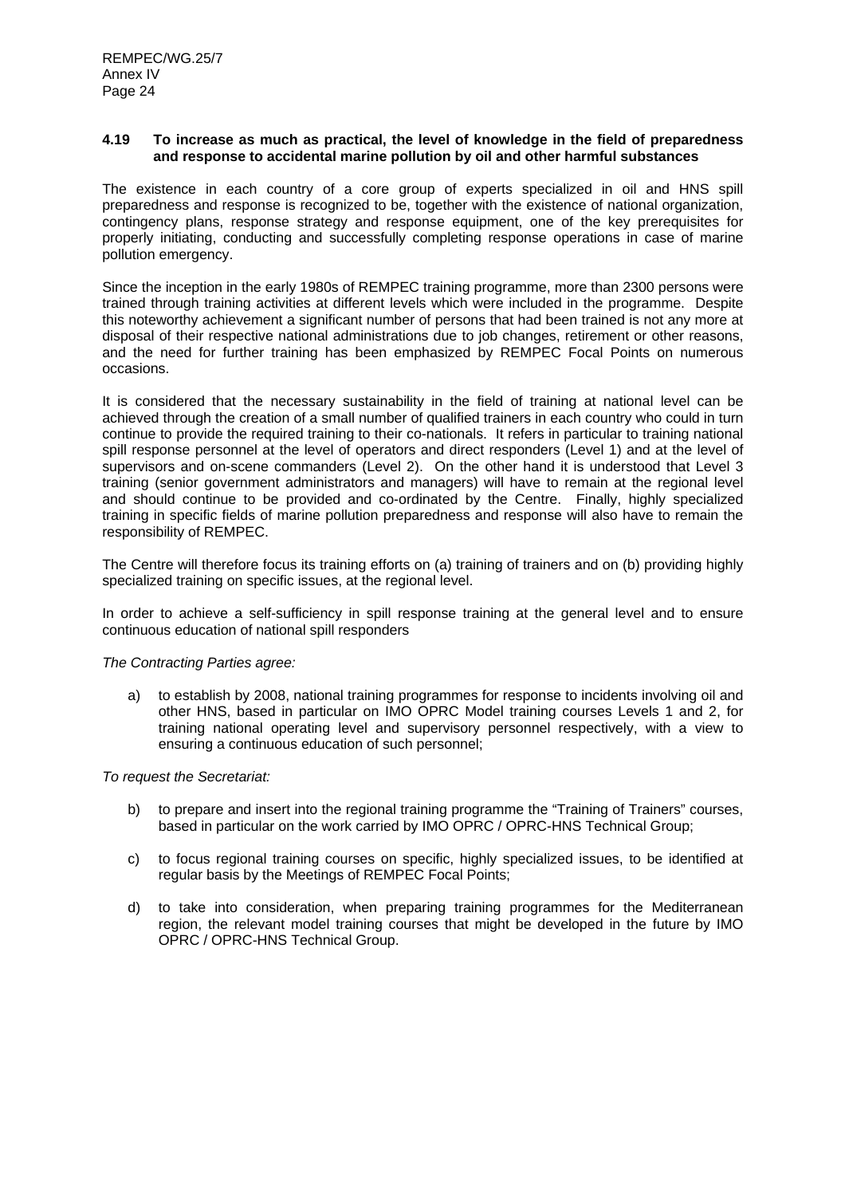#### **4.19 To increase as much as practical, the level of knowledge in the field of preparedness and response to accidental marine pollution by oil and other harmful substances**

The existence in each country of a core group of experts specialized in oil and HNS spill preparedness and response is recognized to be, together with the existence of national organization, contingency plans, response strategy and response equipment, one of the key prerequisites for properly initiating, conducting and successfully completing response operations in case of marine pollution emergency.

Since the inception in the early 1980s of REMPEC training programme, more than 2300 persons were trained through training activities at different levels which were included in the programme. Despite this noteworthy achievement a significant number of persons that had been trained is not any more at disposal of their respective national administrations due to job changes, retirement or other reasons, and the need for further training has been emphasized by REMPEC Focal Points on numerous occasions.

It is considered that the necessary sustainability in the field of training at national level can be achieved through the creation of a small number of qualified trainers in each country who could in turn continue to provide the required training to their co-nationals. It refers in particular to training national spill response personnel at the level of operators and direct responders (Level 1) and at the level of supervisors and on-scene commanders (Level 2). On the other hand it is understood that Level 3 training (senior government administrators and managers) will have to remain at the regional level and should continue to be provided and co-ordinated by the Centre. Finally, highly specialized training in specific fields of marine pollution preparedness and response will also have to remain the responsibility of REMPEC.

The Centre will therefore focus its training efforts on (a) training of trainers and on (b) providing highly specialized training on specific issues, at the regional level.

In order to achieve a self-sufficiency in spill response training at the general level and to ensure continuous education of national spill responders

#### *The Contracting Parties agree:*

a) to establish by 2008, national training programmes for response to incidents involving oil and other HNS, based in particular on IMO OPRC Model training courses Levels 1 and 2, for training national operating level and supervisory personnel respectively, with a view to ensuring a continuous education of such personnel;

- b) to prepare and insert into the regional training programme the "Training of Trainers" courses, based in particular on the work carried by IMO OPRC / OPRC-HNS Technical Group;
- c) to focus regional training courses on specific, highly specialized issues, to be identified at regular basis by the Meetings of REMPEC Focal Points;
- d) to take into consideration, when preparing training programmes for the Mediterranean region, the relevant model training courses that might be developed in the future by IMO OPRC / OPRC-HNS Technical Group.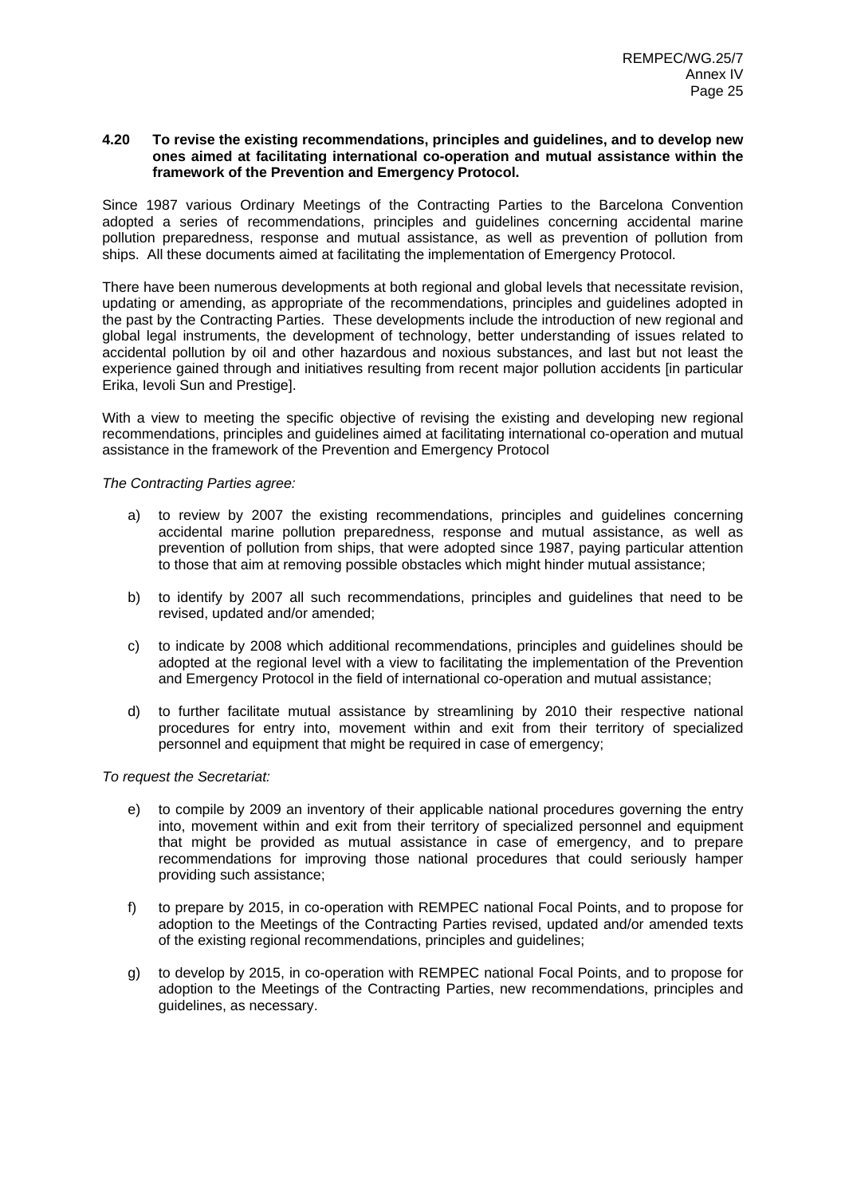#### **4.20 To revise the existing recommendations, principles and guidelines, and to develop new ones aimed at facilitating international co-operation and mutual assistance within the framework of the Prevention and Emergency Protocol.**

Since 1987 various Ordinary Meetings of the Contracting Parties to the Barcelona Convention adopted a series of recommendations, principles and guidelines concerning accidental marine pollution preparedness, response and mutual assistance, as well as prevention of pollution from ships. All these documents aimed at facilitating the implementation of Emergency Protocol.

There have been numerous developments at both regional and global levels that necessitate revision, updating or amending, as appropriate of the recommendations, principles and guidelines adopted in the past by the Contracting Parties. These developments include the introduction of new regional and global legal instruments, the development of technology, better understanding of issues related to accidental pollution by oil and other hazardous and noxious substances, and last but not least the experience gained through and initiatives resulting from recent major pollution accidents [in particular Erika, Ievoli Sun and Prestige].

With a view to meeting the specific objective of revising the existing and developing new regional recommendations, principles and guidelines aimed at facilitating international co-operation and mutual assistance in the framework of the Prevention and Emergency Protocol

*The Contracting Parties agree:* 

- a) to review by 2007 the existing recommendations, principles and guidelines concerning accidental marine pollution preparedness, response and mutual assistance, as well as prevention of pollution from ships, that were adopted since 1987, paying particular attention to those that aim at removing possible obstacles which might hinder mutual assistance;
- b) to identify by 2007 all such recommendations, principles and guidelines that need to be revised, updated and/or amended;
- c) to indicate by 2008 which additional recommendations, principles and guidelines should be adopted at the regional level with a view to facilitating the implementation of the Prevention and Emergency Protocol in the field of international co-operation and mutual assistance;
- d) to further facilitate mutual assistance by streamlining by 2010 their respective national procedures for entry into, movement within and exit from their territory of specialized personnel and equipment that might be required in case of emergency;

- e) to compile by 2009 an inventory of their applicable national procedures governing the entry into, movement within and exit from their territory of specialized personnel and equipment that might be provided as mutual assistance in case of emergency, and to prepare recommendations for improving those national procedures that could seriously hamper providing such assistance;
- f) to prepare by 2015, in co-operation with REMPEC national Focal Points, and to propose for adoption to the Meetings of the Contracting Parties revised, updated and/or amended texts of the existing regional recommendations, principles and guidelines;
- g) to develop by 2015, in co-operation with REMPEC national Focal Points, and to propose for adoption to the Meetings of the Contracting Parties, new recommendations, principles and guidelines, as necessary.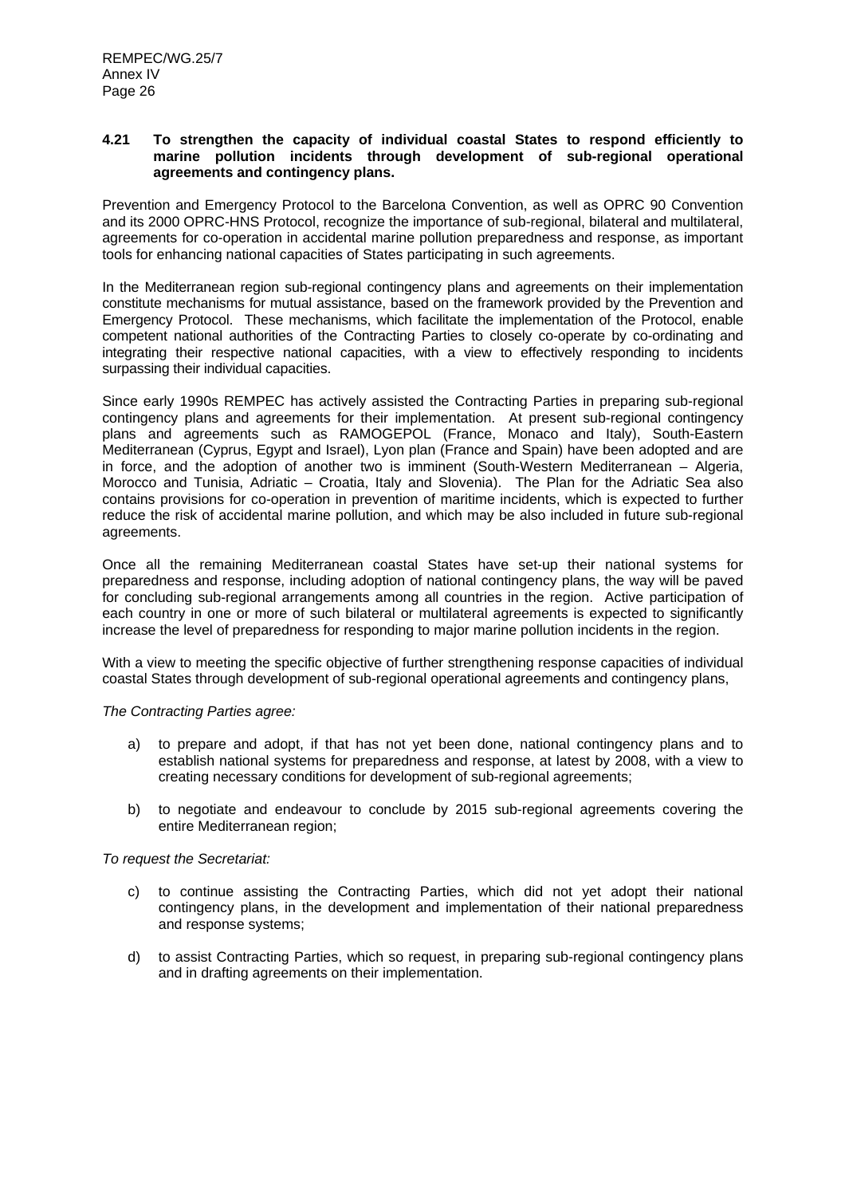#### **4.21 To strengthen the capacity of individual coastal States to respond efficiently to marine pollution incidents through development of sub-regional operational agreements and contingency plans.**

Prevention and Emergency Protocol to the Barcelona Convention, as well as OPRC 90 Convention and its 2000 OPRC-HNS Protocol, recognize the importance of sub-regional, bilateral and multilateral, agreements for co-operation in accidental marine pollution preparedness and response, as important tools for enhancing national capacities of States participating in such agreements.

In the Mediterranean region sub-regional contingency plans and agreements on their implementation constitute mechanisms for mutual assistance, based on the framework provided by the Prevention and Emergency Protocol. These mechanisms, which facilitate the implementation of the Protocol, enable competent national authorities of the Contracting Parties to closely co-operate by co-ordinating and integrating their respective national capacities, with a view to effectively responding to incidents surpassing their individual capacities.

Since early 1990s REMPEC has actively assisted the Contracting Parties in preparing sub-regional contingency plans and agreements for their implementation. At present sub-regional contingency plans and agreements such as RAMOGEPOL (France, Monaco and Italy), South-Eastern Mediterranean (Cyprus, Egypt and Israel), Lyon plan (France and Spain) have been adopted and are in force, and the adoption of another two is imminent (South-Western Mediterranean – Algeria, Morocco and Tunisia, Adriatic – Croatia, Italy and Slovenia). The Plan for the Adriatic Sea also contains provisions for co-operation in prevention of maritime incidents, which is expected to further reduce the risk of accidental marine pollution, and which may be also included in future sub-regional agreements.

Once all the remaining Mediterranean coastal States have set-up their national systems for preparedness and response, including adoption of national contingency plans, the way will be paved for concluding sub-regional arrangements among all countries in the region. Active participation of each country in one or more of such bilateral or multilateral agreements is expected to significantly increase the level of preparedness for responding to major marine pollution incidents in the region.

With a view to meeting the specific objective of further strengthening response capacities of individual coastal States through development of sub-regional operational agreements and contingency plans,

#### *The Contracting Parties agree:*

- a) to prepare and adopt, if that has not yet been done, national contingency plans and to establish national systems for preparedness and response, at latest by 2008, with a view to creating necessary conditions for development of sub-regional agreements;
- b) to negotiate and endeavour to conclude by 2015 sub-regional agreements covering the entire Mediterranean region;

- c) to continue assisting the Contracting Parties, which did not yet adopt their national contingency plans, in the development and implementation of their national preparedness and response systems;
- d) to assist Contracting Parties, which so request, in preparing sub-regional contingency plans and in drafting agreements on their implementation.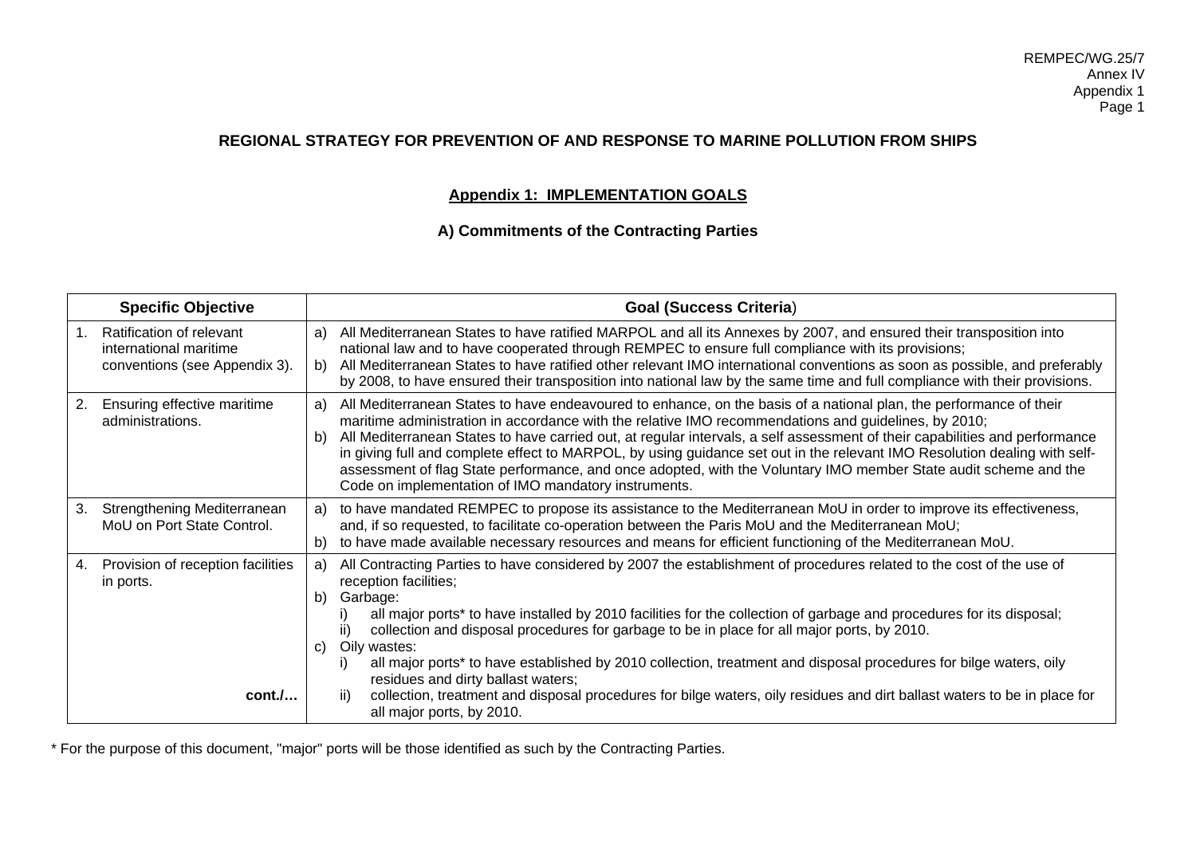# **REGIONAL STRATEGY FOR PREVENTION OF AND RESPONSE TO MARINE POLLUTION FROM SHIPS**

# **Appendix 1: IMPLEMENTATION GOALS**

# **A) Commitments of the Contracting Parties**

|    | <b>Specific Objective</b>                                                           |                | <b>Goal (Success Criteria)</b>                                                                                                                                                                                                                                                                                                                                                                                                                                                                                                                                                                                                                                     |
|----|-------------------------------------------------------------------------------------|----------------|--------------------------------------------------------------------------------------------------------------------------------------------------------------------------------------------------------------------------------------------------------------------------------------------------------------------------------------------------------------------------------------------------------------------------------------------------------------------------------------------------------------------------------------------------------------------------------------------------------------------------------------------------------------------|
| 1. | Ratification of relevant<br>international maritime<br>conventions (see Appendix 3). | a)<br>b)       | All Mediterranean States to have ratified MARPOL and all its Annexes by 2007, and ensured their transposition into<br>national law and to have cooperated through REMPEC to ensure full compliance with its provisions;<br>All Mediterranean States to have ratified other relevant IMO international conventions as soon as possible, and preferably<br>by 2008, to have ensured their transposition into national law by the same time and full compliance with their provisions.                                                                                                                                                                                |
| 2. | Ensuring effective maritime<br>administrations.                                     | a)<br>b)       | All Mediterranean States to have endeavoured to enhance, on the basis of a national plan, the performance of their<br>maritime administration in accordance with the relative IMO recommendations and guidelines, by 2010;<br>All Mediterranean States to have carried out, at regular intervals, a self assessment of their capabilities and performance<br>in giving full and complete effect to MARPOL, by using guidance set out in the relevant IMO Resolution dealing with self-<br>assessment of flag State performance, and once adopted, with the Voluntary IMO member State audit scheme and the<br>Code on implementation of IMO mandatory instruments. |
| 3. | Strengthening Mediterranean<br>MoU on Port State Control.                           | a)<br>b)       | to have mandated REMPEC to propose its assistance to the Mediterranean MoU in order to improve its effectiveness,<br>and, if so requested, to facilitate co-operation between the Paris MoU and the Mediterranean MoU;<br>to have made available necessary resources and means for efficient functioning of the Mediterranean MoU.                                                                                                                                                                                                                                                                                                                                 |
| 4. | Provision of reception facilities<br>in ports.                                      | a)<br>b)<br>C) | All Contracting Parties to have considered by 2007 the establishment of procedures related to the cost of the use of<br>reception facilities;<br>Garbage:<br>all major ports* to have installed by 2010 facilities for the collection of garbage and procedures for its disposal;<br>collection and disposal procedures for garbage to be in place for all major ports, by 2010.<br>ii)<br>Oily wastes:<br>all major ports* to have established by 2010 collection, treatment and disposal procedures for bilge waters, oily<br>residues and dirty ballast waters;                                                                                                 |
|    | $cont. /$                                                                           |                | collection, treatment and disposal procedures for bilge waters, oily residues and dirt ballast waters to be in place for<br>ii)<br>all major ports, by 2010.                                                                                                                                                                                                                                                                                                                                                                                                                                                                                                       |

\* For the purpose of this document, "major" ports will be those identified as such by the Contracting Parties.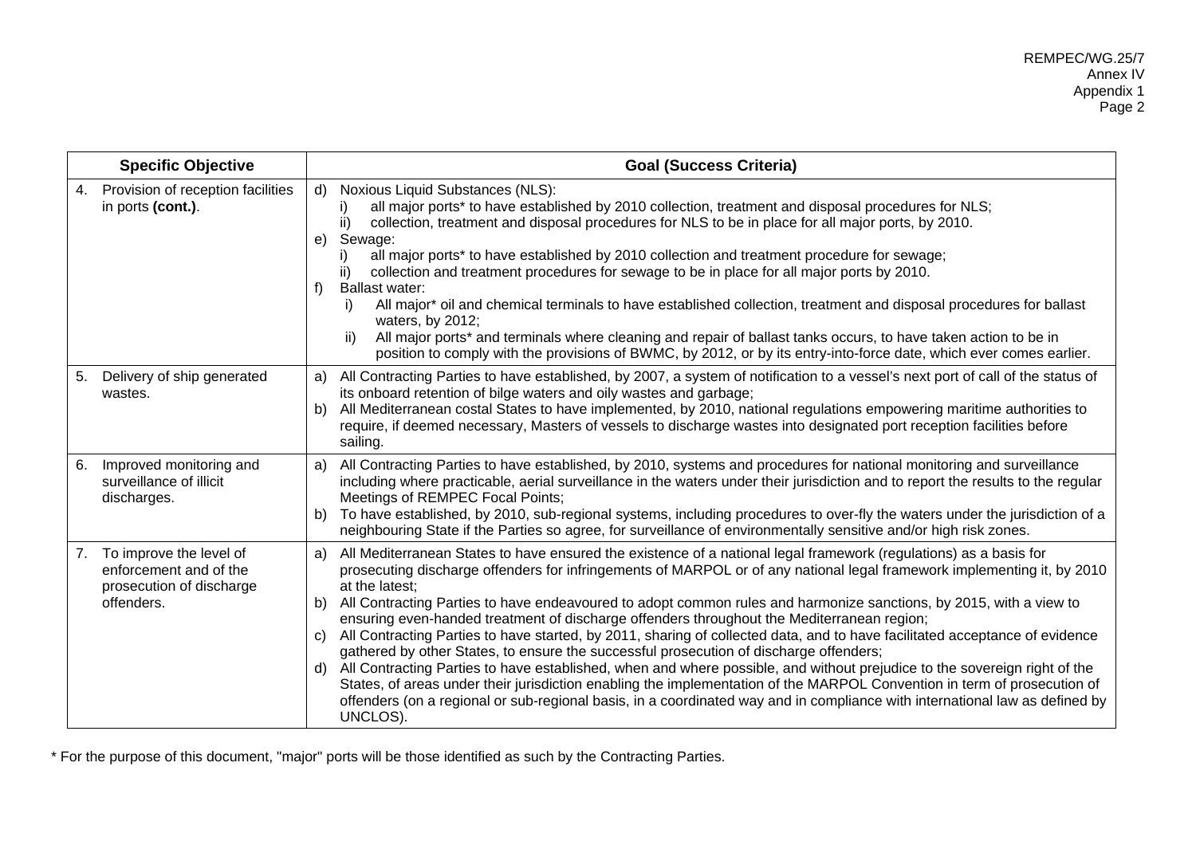| <b>Specific Objective</b>                                                                         | <b>Goal (Success Criteria)</b>                                                                                                                                                                                                                                                                                                                                                                                                                                                                                                                                                                                                                                                                                                                                                                                                                                                                                                                                                                                                                                                                                                          |
|---------------------------------------------------------------------------------------------------|-----------------------------------------------------------------------------------------------------------------------------------------------------------------------------------------------------------------------------------------------------------------------------------------------------------------------------------------------------------------------------------------------------------------------------------------------------------------------------------------------------------------------------------------------------------------------------------------------------------------------------------------------------------------------------------------------------------------------------------------------------------------------------------------------------------------------------------------------------------------------------------------------------------------------------------------------------------------------------------------------------------------------------------------------------------------------------------------------------------------------------------------|
| Provision of reception facilities<br>4.<br>in ports (cont.).                                      | Noxious Liquid Substances (NLS):<br>d)<br>all major ports* to have established by 2010 collection, treatment and disposal procedures for NLS;<br>collection, treatment and disposal procedures for NLS to be in place for all major ports, by 2010.<br>ii)<br>Sewage:<br>e)<br>all major ports* to have established by 2010 collection and treatment procedure for sewage;<br>collection and treatment procedures for sewage to be in place for all major ports by 2010.<br>ii)<br><b>Ballast water:</b><br>f)<br>All major* oil and chemical terminals to have established collection, treatment and disposal procedures for ballast<br>i)<br>waters, by 2012;<br>All major ports* and terminals where cleaning and repair of ballast tanks occurs, to have taken action to be in<br>ii)<br>position to comply with the provisions of BWMC, by 2012, or by its entry-into-force date, which ever comes earlier.                                                                                                                                                                                                                        |
| Delivery of ship generated<br>5.<br>wastes.                                                       | All Contracting Parties to have established, by 2007, a system of notification to a vessel's next port of call of the status of<br>a)<br>its onboard retention of bilge waters and oily wastes and garbage;<br>All Mediterranean costal States to have implemented, by 2010, national regulations empowering maritime authorities to<br>b)<br>require, if deemed necessary, Masters of vessels to discharge wastes into designated port reception facilities before<br>sailing.                                                                                                                                                                                                                                                                                                                                                                                                                                                                                                                                                                                                                                                         |
| Improved monitoring and<br>6.<br>surveillance of illicit<br>discharges.                           | All Contracting Parties to have established, by 2010, systems and procedures for national monitoring and surveillance<br>a)<br>including where practicable, aerial surveillance in the waters under their jurisdiction and to report the results to the regular<br>Meetings of REMPEC Focal Points;<br>To have established, by 2010, sub-regional systems, including procedures to over-fly the waters under the jurisdiction of a<br>b)<br>neighbouring State if the Parties so agree, for surveillance of environmentally sensitive and/or high risk zones.                                                                                                                                                                                                                                                                                                                                                                                                                                                                                                                                                                           |
| To improve the level of<br>7.<br>enforcement and of the<br>prosecution of discharge<br>offenders. | All Mediterranean States to have ensured the existence of a national legal framework (regulations) as a basis for<br>a)<br>prosecuting discharge offenders for infringements of MARPOL or of any national legal framework implementing it, by 2010<br>at the latest;<br>All Contracting Parties to have endeavoured to adopt common rules and harmonize sanctions, by 2015, with a view to<br>b)<br>ensuring even-handed treatment of discharge offenders throughout the Mediterranean region;<br>All Contracting Parties to have started, by 2011, sharing of collected data, and to have facilitated acceptance of evidence<br>C)<br>gathered by other States, to ensure the successful prosecution of discharge offenders;<br>All Contracting Parties to have established, when and where possible, and without prejudice to the sovereign right of the<br>d)<br>States, of areas under their jurisdiction enabling the implementation of the MARPOL Convention in term of prosecution of<br>offenders (on a regional or sub-regional basis, in a coordinated way and in compliance with international law as defined by<br>UNCLOS). |

\* For the purpose of this document, "major" ports will be those identified as such by the Contracting Parties.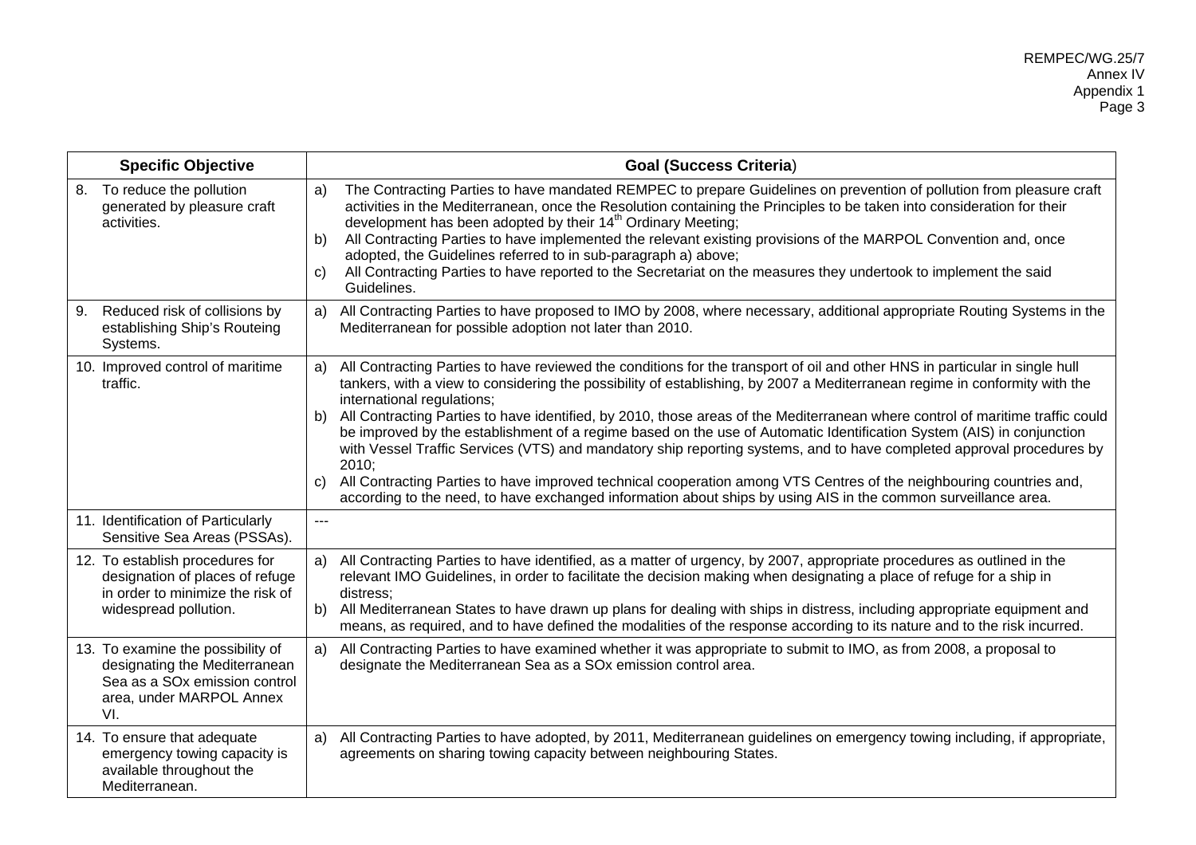| <b>Specific Objective</b>                                                                                                                          | <b>Goal (Success Criteria)</b>                                                                                                                                                                                                                                                                                                                                                                                                                                                                                                                                                                                                                                                                                                                                                                                                                                                                                                                 |
|----------------------------------------------------------------------------------------------------------------------------------------------------|------------------------------------------------------------------------------------------------------------------------------------------------------------------------------------------------------------------------------------------------------------------------------------------------------------------------------------------------------------------------------------------------------------------------------------------------------------------------------------------------------------------------------------------------------------------------------------------------------------------------------------------------------------------------------------------------------------------------------------------------------------------------------------------------------------------------------------------------------------------------------------------------------------------------------------------------|
| 8. To reduce the pollution<br>generated by pleasure craft<br>activities.                                                                           | The Contracting Parties to have mandated REMPEC to prepare Guidelines on prevention of pollution from pleasure craft<br>a)<br>activities in the Mediterranean, once the Resolution containing the Principles to be taken into consideration for their<br>development has been adopted by their 14 <sup>th</sup> Ordinary Meeting;<br>All Contracting Parties to have implemented the relevant existing provisions of the MARPOL Convention and, once<br>b)<br>adopted, the Guidelines referred to in sub-paragraph a) above;<br>All Contracting Parties to have reported to the Secretariat on the measures they undertook to implement the said<br>C)<br>Guidelines.                                                                                                                                                                                                                                                                          |
| 9. Reduced risk of collisions by<br>establishing Ship's Routeing<br>Systems.                                                                       | All Contracting Parties to have proposed to IMO by 2008, where necessary, additional appropriate Routing Systems in the<br>a)<br>Mediterranean for possible adoption not later than 2010.                                                                                                                                                                                                                                                                                                                                                                                                                                                                                                                                                                                                                                                                                                                                                      |
| 10. Improved control of maritime<br>traffic.                                                                                                       | All Contracting Parties to have reviewed the conditions for the transport of oil and other HNS in particular in single hull<br>a)<br>tankers, with a view to considering the possibility of establishing, by 2007 a Mediterranean regime in conformity with the<br>international regulations;<br>All Contracting Parties to have identified, by 2010, those areas of the Mediterranean where control of maritime traffic could<br>b)<br>be improved by the establishment of a regime based on the use of Automatic Identification System (AIS) in conjunction<br>with Vessel Traffic Services (VTS) and mandatory ship reporting systems, and to have completed approval procedures by<br>2010:<br>All Contracting Parties to have improved technical cooperation among VTS Centres of the neighbouring countries and,<br>C)<br>according to the need, to have exchanged information about ships by using AIS in the common surveillance area. |
| 11. Identification of Particularly<br>Sensitive Sea Areas (PSSAs).                                                                                 | $\qquad \qquad - -$                                                                                                                                                                                                                                                                                                                                                                                                                                                                                                                                                                                                                                                                                                                                                                                                                                                                                                                            |
| 12. To establish procedures for<br>designation of places of refuge<br>in order to minimize the risk of<br>widespread pollution.                    | All Contracting Parties to have identified, as a matter of urgency, by 2007, appropriate procedures as outlined in the<br>a)<br>relevant IMO Guidelines, in order to facilitate the decision making when designating a place of refuge for a ship in<br>distress:<br>All Mediterranean States to have drawn up plans for dealing with ships in distress, including appropriate equipment and<br>b)<br>means, as required, and to have defined the modalities of the response according to its nature and to the risk incurred.                                                                                                                                                                                                                                                                                                                                                                                                                 |
| 13. To examine the possibility of<br>designating the Mediterranean<br>Sea as a SO <sub>x</sub> emission control<br>area, under MARPOL Annex<br>VI. | All Contracting Parties to have examined whether it was appropriate to submit to IMO, as from 2008, a proposal to<br>a)<br>designate the Mediterranean Sea as a SOx emission control area.                                                                                                                                                                                                                                                                                                                                                                                                                                                                                                                                                                                                                                                                                                                                                     |
| 14. To ensure that adequate<br>emergency towing capacity is<br>available throughout the<br>Mediterranean.                                          | All Contracting Parties to have adopted, by 2011, Mediterranean guidelines on emergency towing including, if appropriate,<br>a)<br>agreements on sharing towing capacity between neighbouring States.                                                                                                                                                                                                                                                                                                                                                                                                                                                                                                                                                                                                                                                                                                                                          |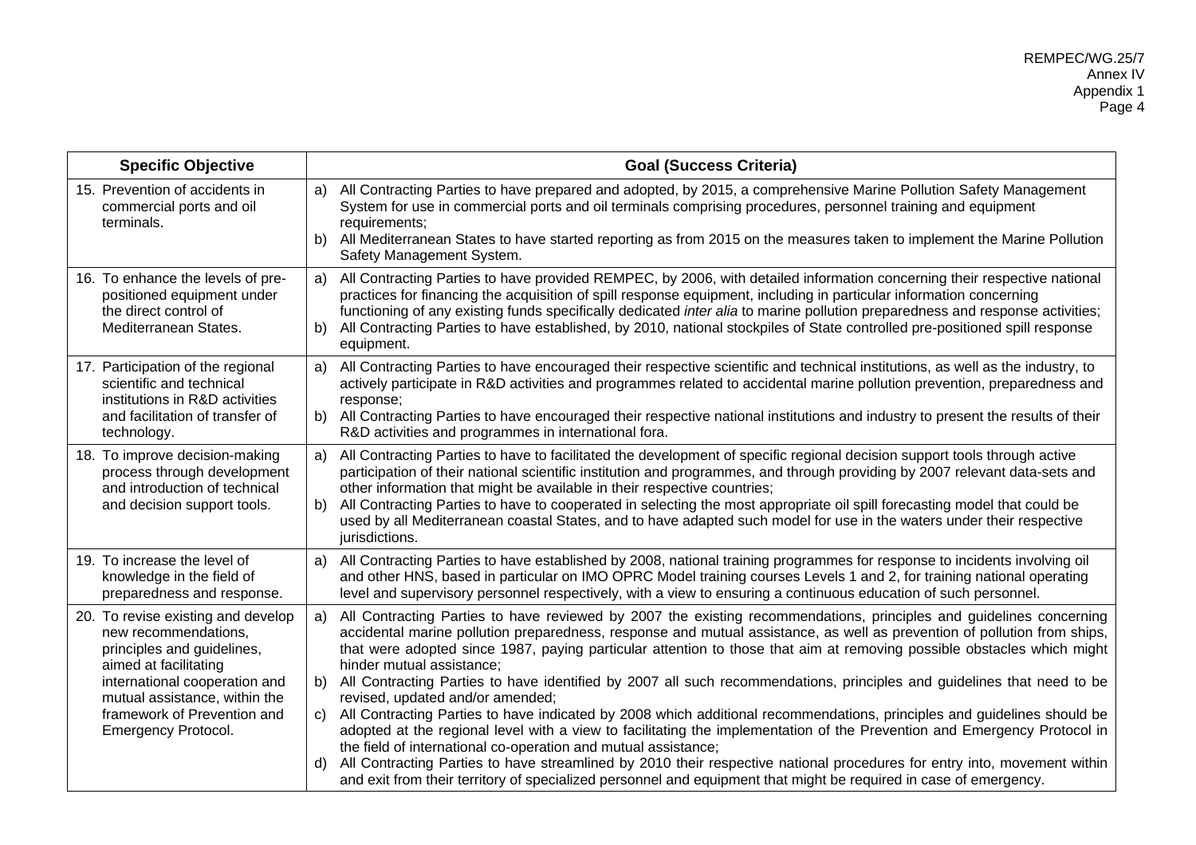| <b>Specific Objective</b>                                                                                                                                                                                                                        | <b>Goal (Success Criteria)</b>                                                                                                                                                                                                                                                                                                                                                                                                                                                                                                                                                                                                                                                                                                                                                                                                                                                                                                                                                                                                                                                                                                                                             |
|--------------------------------------------------------------------------------------------------------------------------------------------------------------------------------------------------------------------------------------------------|----------------------------------------------------------------------------------------------------------------------------------------------------------------------------------------------------------------------------------------------------------------------------------------------------------------------------------------------------------------------------------------------------------------------------------------------------------------------------------------------------------------------------------------------------------------------------------------------------------------------------------------------------------------------------------------------------------------------------------------------------------------------------------------------------------------------------------------------------------------------------------------------------------------------------------------------------------------------------------------------------------------------------------------------------------------------------------------------------------------------------------------------------------------------------|
| 15. Prevention of accidents in<br>commercial ports and oil<br>terminals.                                                                                                                                                                         | All Contracting Parties to have prepared and adopted, by 2015, a comprehensive Marine Pollution Safety Management<br>a)<br>System for use in commercial ports and oil terminals comprising procedures, personnel training and equipment<br>requirements;<br>All Mediterranean States to have started reporting as from 2015 on the measures taken to implement the Marine Pollution<br>b)<br>Safety Management System.                                                                                                                                                                                                                                                                                                                                                                                                                                                                                                                                                                                                                                                                                                                                                     |
| 16. To enhance the levels of pre-<br>positioned equipment under<br>the direct control of<br>Mediterranean States.                                                                                                                                | All Contracting Parties to have provided REMPEC, by 2006, with detailed information concerning their respective national<br>a)<br>practices for financing the acquisition of spill response equipment, including in particular information concerning<br>functioning of any existing funds specifically dedicated inter alia to marine pollution preparedness and response activities;<br>All Contracting Parties to have established, by 2010, national stockpiles of State controlled pre-positioned spill response<br>b)<br>equipment.                                                                                                                                                                                                                                                                                                                                                                                                                                                                                                                                                                                                                                  |
| 17. Participation of the regional<br>scientific and technical<br>institutions in R&D activities<br>and facilitation of transfer of<br>technology.                                                                                                | All Contracting Parties to have encouraged their respective scientific and technical institutions, as well as the industry, to<br>a)<br>actively participate in R&D activities and programmes related to accidental marine pollution prevention, preparedness and<br>response;<br>All Contracting Parties to have encouraged their respective national institutions and industry to present the results of their<br>b)<br>R&D activities and programmes in international fora.                                                                                                                                                                                                                                                                                                                                                                                                                                                                                                                                                                                                                                                                                             |
| 18. To improve decision-making<br>process through development<br>and introduction of technical<br>and decision support tools.                                                                                                                    | All Contracting Parties to have to facilitated the development of specific regional decision support tools through active<br>a)<br>participation of their national scientific institution and programmes, and through providing by 2007 relevant data-sets and<br>other information that might be available in their respective countries;<br>All Contracting Parties to have to cooperated in selecting the most appropriate oil spill forecasting model that could be<br>b)<br>used by all Mediterranean coastal States, and to have adapted such model for use in the waters under their respective<br>jurisdictions.                                                                                                                                                                                                                                                                                                                                                                                                                                                                                                                                                   |
| 19. To increase the level of<br>knowledge in the field of<br>preparedness and response.                                                                                                                                                          | a) All Contracting Parties to have established by 2008, national training programmes for response to incidents involving oil<br>and other HNS, based in particular on IMO OPRC Model training courses Levels 1 and 2, for training national operating<br>level and supervisory personnel respectively, with a view to ensuring a continuous education of such personnel.                                                                                                                                                                                                                                                                                                                                                                                                                                                                                                                                                                                                                                                                                                                                                                                                   |
| 20. To revise existing and develop<br>new recommendations,<br>principles and guidelines,<br>aimed at facilitating<br>international cooperation and<br>mutual assistance, within the<br>framework of Prevention and<br><b>Emergency Protocol.</b> | All Contracting Parties to have reviewed by 2007 the existing recommendations, principles and guidelines concerning<br>a)<br>accidental marine pollution preparedness, response and mutual assistance, as well as prevention of pollution from ships,<br>that were adopted since 1987, paying particular attention to those that aim at removing possible obstacles which might<br>hinder mutual assistance;<br>b) All Contracting Parties to have identified by 2007 all such recommendations, principles and guidelines that need to be<br>revised, updated and/or amended;<br>c) All Contracting Parties to have indicated by 2008 which additional recommendations, principles and guidelines should be<br>adopted at the regional level with a view to facilitating the implementation of the Prevention and Emergency Protocol in<br>the field of international co-operation and mutual assistance;<br>All Contracting Parties to have streamlined by 2010 their respective national procedures for entry into, movement within<br>$\mathsf{d}$<br>and exit from their territory of specialized personnel and equipment that might be required in case of emergency. |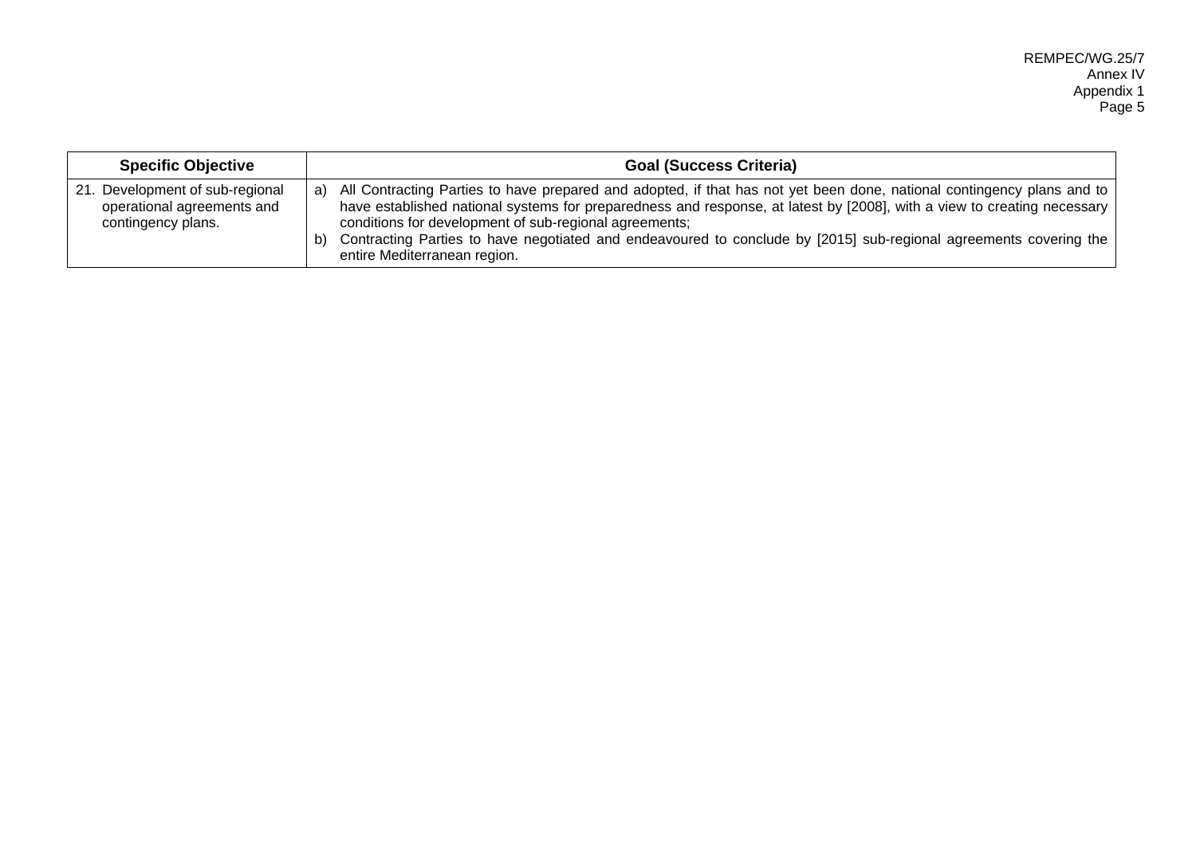| <b>Specific Objective</b>                                                              | <b>Goal (Success Criteria)</b>                                                                                                                                                                                                                                                                                                                                                                                                                                               |
|----------------------------------------------------------------------------------------|------------------------------------------------------------------------------------------------------------------------------------------------------------------------------------------------------------------------------------------------------------------------------------------------------------------------------------------------------------------------------------------------------------------------------------------------------------------------------|
| Development of sub-regional<br>21.<br>operational agreements and<br>contingency plans. | All Contracting Parties to have prepared and adopted, if that has not yet been done, national contingency plans and to<br>a)<br>have established national systems for preparedness and response, at latest by [2008], with a view to creating necessary<br>conditions for development of sub-regional agreements;<br>Contracting Parties to have negotiated and endeavoured to conclude by [2015] sub-regional agreements covering the<br>b)<br>entire Mediterranean region. |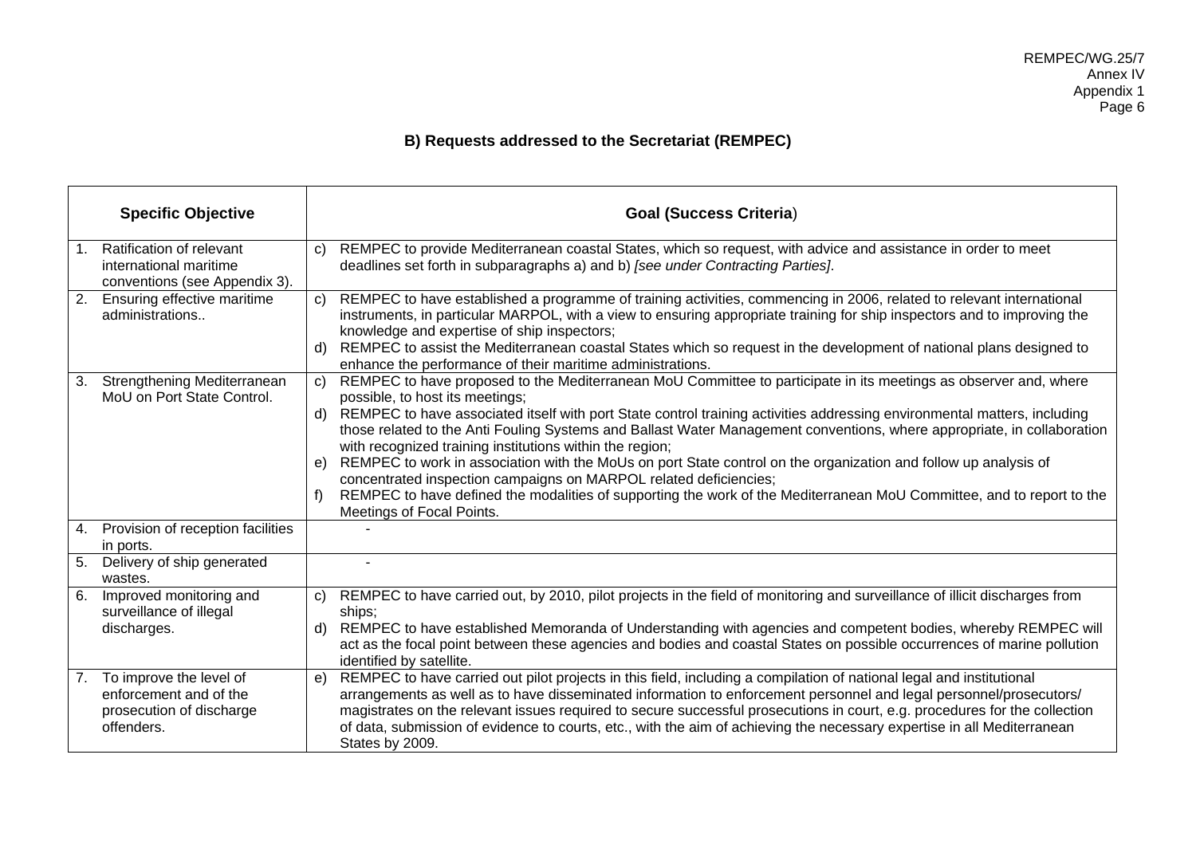# **B) Requests addressed to the Secretariat (REMPEC)**

|    | <b>Specific Objective</b>                                                                   |                    | <b>Goal (Success Criteria)</b>                                                                                                                                                                                                                                                                                                                                                                                                                                                                                         |
|----|---------------------------------------------------------------------------------------------|--------------------|------------------------------------------------------------------------------------------------------------------------------------------------------------------------------------------------------------------------------------------------------------------------------------------------------------------------------------------------------------------------------------------------------------------------------------------------------------------------------------------------------------------------|
| 1. | Ratification of relevant<br>international maritime<br>conventions (see Appendix 3).         | $\mathbf{C}$       | REMPEC to provide Mediterranean coastal States, which so request, with advice and assistance in order to meet<br>deadlines set forth in subparagraphs a) and b) [see under Contracting Parties].                                                                                                                                                                                                                                                                                                                       |
| 2. | Ensuring effective maritime<br>administrations                                              | $\mathbf{C}$<br>d) | REMPEC to have established a programme of training activities, commencing in 2006, related to relevant international<br>instruments, in particular MARPOL, with a view to ensuring appropriate training for ship inspectors and to improving the<br>knowledge and expertise of ship inspectors;<br>REMPEC to assist the Mediterranean coastal States which so request in the development of national plans designed to                                                                                                 |
|    |                                                                                             |                    | enhance the performance of their maritime administrations.                                                                                                                                                                                                                                                                                                                                                                                                                                                             |
|    | 3. Strengthening Mediterranean<br>MoU on Port State Control.                                | $\mathbf{C}$       | REMPEC to have proposed to the Mediterranean MoU Committee to participate in its meetings as observer and, where<br>possible, to host its meetings;                                                                                                                                                                                                                                                                                                                                                                    |
|    |                                                                                             | d)                 | REMPEC to have associated itself with port State control training activities addressing environmental matters, including<br>those related to the Anti Fouling Systems and Ballast Water Management conventions, where appropriate, in collaboration<br>with recognized training institutions within the region;                                                                                                                                                                                                        |
|    |                                                                                             | e)                 | REMPEC to work in association with the MoUs on port State control on the organization and follow up analysis of<br>concentrated inspection campaigns on MARPOL related deficiencies;                                                                                                                                                                                                                                                                                                                                   |
|    |                                                                                             | f                  | REMPEC to have defined the modalities of supporting the work of the Mediterranean MoU Committee, and to report to the<br>Meetings of Focal Points.                                                                                                                                                                                                                                                                                                                                                                     |
| 4. | Provision of reception facilities<br>in ports.                                              |                    |                                                                                                                                                                                                                                                                                                                                                                                                                                                                                                                        |
|    | 5. Delivery of ship generated<br>wastes.                                                    |                    |                                                                                                                                                                                                                                                                                                                                                                                                                                                                                                                        |
| 6. | Improved monitoring and                                                                     | C)                 | REMPEC to have carried out, by 2010, pilot projects in the field of monitoring and surveillance of illicit discharges from                                                                                                                                                                                                                                                                                                                                                                                             |
|    | surveillance of illegal<br>discharges.                                                      | d)                 | ships:<br>REMPEC to have established Memoranda of Understanding with agencies and competent bodies, whereby REMPEC will                                                                                                                                                                                                                                                                                                                                                                                                |
|    |                                                                                             |                    | act as the focal point between these agencies and bodies and coastal States on possible occurrences of marine pollution<br>identified by satellite.                                                                                                                                                                                                                                                                                                                                                                    |
| 7. | To improve the level of<br>enforcement and of the<br>prosecution of discharge<br>offenders. | e)                 | REMPEC to have carried out pilot projects in this field, including a compilation of national legal and institutional<br>arrangements as well as to have disseminated information to enforcement personnel and legal personnel/prosecutors/<br>magistrates on the relevant issues required to secure successful prosecutions in court, e.g. procedures for the collection<br>of data, submission of evidence to courts, etc., with the aim of achieving the necessary expertise in all Mediterranean<br>States by 2009. |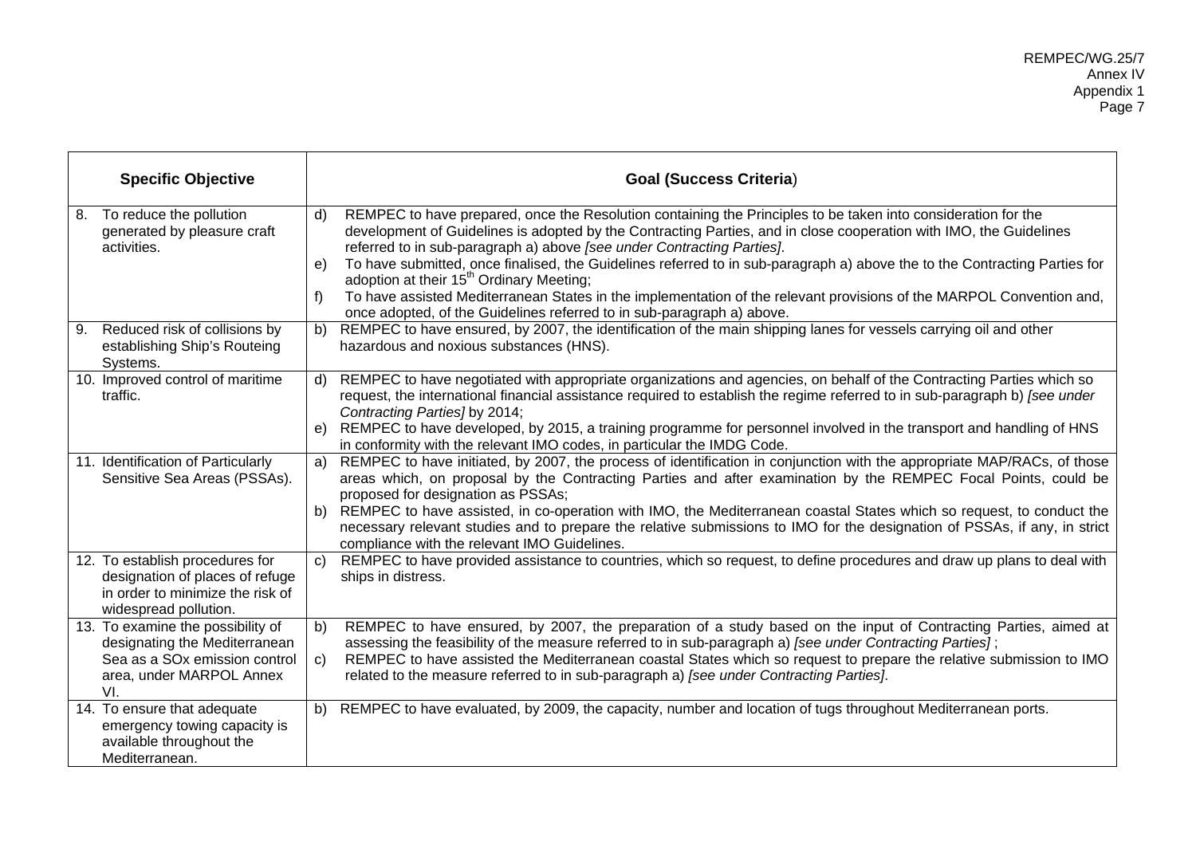|    | <b>Specific Objective</b>                                                                                                       |              | <b>Goal (Success Criteria)</b>                                                                                                                                                                                                                                                                                                                                                                             |
|----|---------------------------------------------------------------------------------------------------------------------------------|--------------|------------------------------------------------------------------------------------------------------------------------------------------------------------------------------------------------------------------------------------------------------------------------------------------------------------------------------------------------------------------------------------------------------------|
|    | 8. To reduce the pollution<br>generated by pleasure craft<br>activities.                                                        | $\mathsf{d}$ | REMPEC to have prepared, once the Resolution containing the Principles to be taken into consideration for the<br>development of Guidelines is adopted by the Contracting Parties, and in close cooperation with IMO, the Guidelines<br>referred to in sub-paragraph a) above [see under Contracting Parties].                                                                                              |
|    |                                                                                                                                 | e)           | To have submitted, once finalised, the Guidelines referred to in sub-paragraph a) above the to the Contracting Parties for<br>adoption at their 15 <sup>th</sup> Ordinary Meeting;                                                                                                                                                                                                                         |
|    |                                                                                                                                 | f)           | To have assisted Mediterranean States in the implementation of the relevant provisions of the MARPOL Convention and,<br>once adopted, of the Guidelines referred to in sub-paragraph a) above.                                                                                                                                                                                                             |
| 9. | Reduced risk of collisions by<br>establishing Ship's Routeing<br>Systems.                                                       |              | b) REMPEC to have ensured, by 2007, the identification of the main shipping lanes for vessels carrying oil and other<br>hazardous and noxious substances (HNS).                                                                                                                                                                                                                                            |
|    | 10. Improved control of maritime<br>traffic.                                                                                    | $\mathsf{d}$ | REMPEC to have negotiated with appropriate organizations and agencies, on behalf of the Contracting Parties which so<br>request, the international financial assistance required to establish the regime referred to in sub-paragraph b) [see under<br>Contracting Parties] by 2014;                                                                                                                       |
|    |                                                                                                                                 |              | e) REMPEC to have developed, by 2015, a training programme for personnel involved in the transport and handling of HNS<br>in conformity with the relevant IMO codes, in particular the IMDG Code.                                                                                                                                                                                                          |
|    | 11. Identification of Particularly<br>Sensitive Sea Areas (PSSAs).                                                              | a)           | REMPEC to have initiated, by 2007, the process of identification in conjunction with the appropriate MAP/RACs, of those<br>areas which, on proposal by the Contracting Parties and after examination by the REMPEC Focal Points, could be<br>proposed for designation as PSSAs;<br>b) REMPEC to have assisted, in co-operation with IMO, the Mediterranean coastal States which so request, to conduct the |
|    |                                                                                                                                 |              | necessary relevant studies and to prepare the relative submissions to IMO for the designation of PSSAs, if any, in strict<br>compliance with the relevant IMO Guidelines.                                                                                                                                                                                                                                  |
|    | 12. To establish procedures for<br>designation of places of refuge<br>in order to minimize the risk of<br>widespread pollution. | $\mathbf{C}$ | REMPEC to have provided assistance to countries, which so request, to define procedures and draw up plans to deal with<br>ships in distress.                                                                                                                                                                                                                                                               |
|    | 13. To examine the possibility of<br>designating the Mediterranean                                                              | b)           | REMPEC to have ensured, by 2007, the preparation of a study based on the input of Contracting Parties, aimed at<br>assessing the feasibility of the measure referred to in sub-paragraph a) [see under Contracting Parties];                                                                                                                                                                               |
|    | Sea as a SO <sub>x</sub> emission control<br>area, under MARPOL Annex<br>VI.                                                    | $\mathsf{C}$ | REMPEC to have assisted the Mediterranean coastal States which so request to prepare the relative submission to IMO<br>related to the measure referred to in sub-paragraph a) [see under Contracting Parties].                                                                                                                                                                                             |
|    | 14. To ensure that adequate<br>emergency towing capacity is<br>available throughout the<br>Mediterranean.                       | b)           | REMPEC to have evaluated, by 2009, the capacity, number and location of tugs throughout Mediterranean ports.                                                                                                                                                                                                                                                                                               |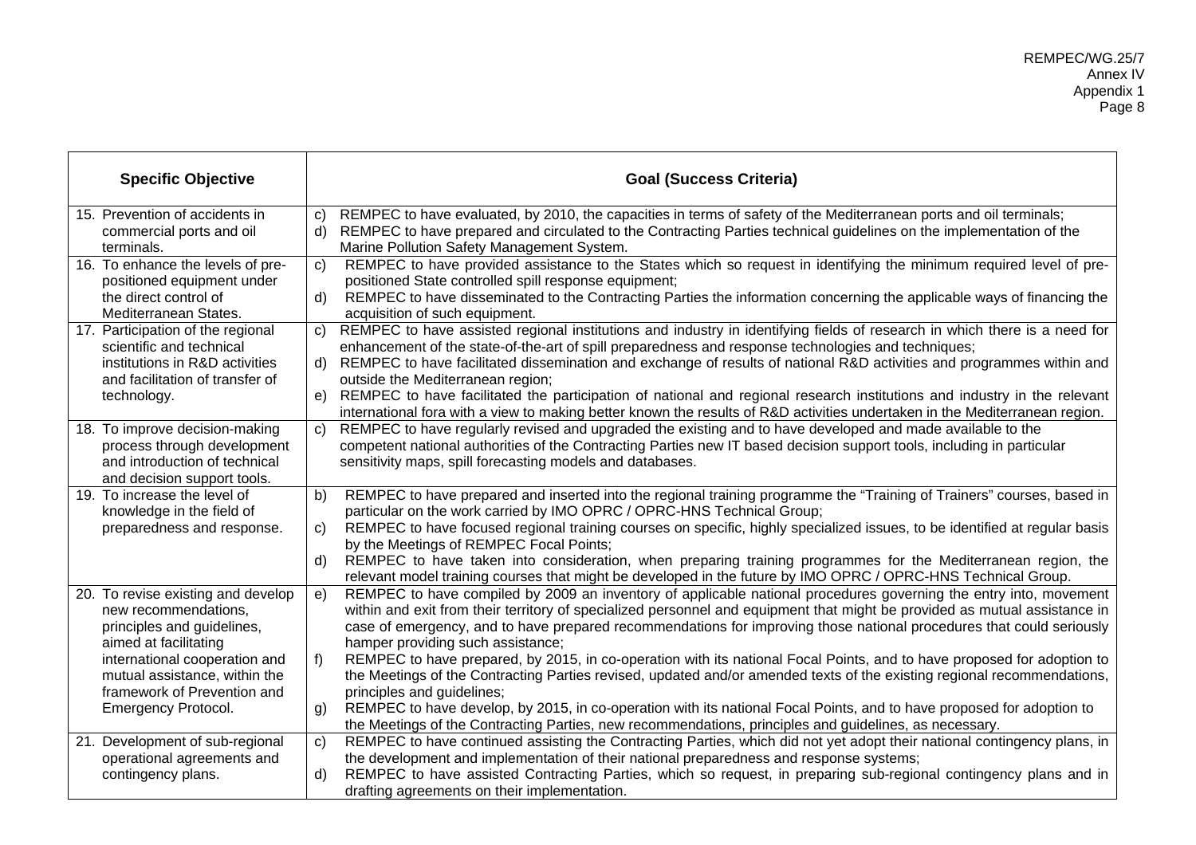| <b>Specific Objective</b>                                                                                                     |              | <b>Goal (Success Criteria)</b>                                                                                                                                                                                                                                                                                                                                                                               |
|-------------------------------------------------------------------------------------------------------------------------------|--------------|--------------------------------------------------------------------------------------------------------------------------------------------------------------------------------------------------------------------------------------------------------------------------------------------------------------------------------------------------------------------------------------------------------------|
| 15. Prevention of accidents in<br>commercial ports and oil<br>terminals.                                                      | c)<br>d)     | REMPEC to have evaluated, by 2010, the capacities in terms of safety of the Mediterranean ports and oil terminals;<br>REMPEC to have prepared and circulated to the Contracting Parties technical guidelines on the implementation of the<br>Marine Pollution Safety Management System.                                                                                                                      |
| 16. To enhance the levels of pre-<br>positioned equipment under                                                               | C)           | REMPEC to have provided assistance to the States which so request in identifying the minimum required level of pre-<br>positioned State controlled spill response equipment;                                                                                                                                                                                                                                 |
| the direct control of<br>Mediterranean States.                                                                                | $\mathsf{d}$ | REMPEC to have disseminated to the Contracting Parties the information concerning the applicable ways of financing the<br>acquisition of such equipment.                                                                                                                                                                                                                                                     |
| 17. Participation of the regional<br>scientific and technical                                                                 | C)           | REMPEC to have assisted regional institutions and industry in identifying fields of research in which there is a need for<br>enhancement of the state-of-the-art of spill preparedness and response technologies and techniques;                                                                                                                                                                             |
| institutions in R&D activities<br>and facilitation of transfer of                                                             |              | d) REMPEC to have facilitated dissemination and exchange of results of national R&D activities and programmes within and<br>outside the Mediterranean region;                                                                                                                                                                                                                                                |
| technology.                                                                                                                   | e)           | REMPEC to have facilitated the participation of national and regional research institutions and industry in the relevant<br>international fora with a view to making better known the results of R&D activities undertaken in the Mediterranean region.                                                                                                                                                      |
| 18. To improve decision-making<br>process through development<br>and introduction of technical<br>and decision support tools. | $\mathsf{C}$ | REMPEC to have regularly revised and upgraded the existing and to have developed and made available to the<br>competent national authorities of the Contracting Parties new IT based decision support tools, including in particular<br>sensitivity maps, spill forecasting models and databases.                                                                                                            |
| 19. To increase the level of                                                                                                  | b)           | REMPEC to have prepared and inserted into the regional training programme the "Training of Trainers" courses, based in                                                                                                                                                                                                                                                                                       |
| knowledge in the field of<br>preparedness and response.                                                                       | C)           | particular on the work carried by IMO OPRC / OPRC-HNS Technical Group;<br>REMPEC to have focused regional training courses on specific, highly specialized issues, to be identified at regular basis<br>by the Meetings of REMPEC Focal Points;                                                                                                                                                              |
|                                                                                                                               | d)           | REMPEC to have taken into consideration, when preparing training programmes for the Mediterranean region, the<br>relevant model training courses that might be developed in the future by IMO OPRC / OPRC-HNS Technical Group.                                                                                                                                                                               |
| 20. To revise existing and develop<br>new recommendations,<br>principles and guidelines,<br>aimed at facilitating             | e)           | REMPEC to have compiled by 2009 an inventory of applicable national procedures governing the entry into, movement<br>within and exit from their territory of specialized personnel and equipment that might be provided as mutual assistance in<br>case of emergency, and to have prepared recommendations for improving those national procedures that could seriously<br>hamper providing such assistance; |
| international cooperation and<br>mutual assistance, within the<br>framework of Prevention and                                 | $f$ )        | REMPEC to have prepared, by 2015, in co-operation with its national Focal Points, and to have proposed for adoption to<br>the Meetings of the Contracting Parties revised, updated and/or amended texts of the existing regional recommendations,<br>principles and guidelines;                                                                                                                              |
| Emergency Protocol.                                                                                                           | g)           | REMPEC to have develop, by 2015, in co-operation with its national Focal Points, and to have proposed for adoption to<br>the Meetings of the Contracting Parties, new recommendations, principles and guidelines, as necessary.                                                                                                                                                                              |
| 21. Development of sub-regional<br>operational agreements and                                                                 | $\mathbf{C}$ | REMPEC to have continued assisting the Contracting Parties, which did not yet adopt their national contingency plans, in<br>the development and implementation of their national preparedness and response systems;                                                                                                                                                                                          |
| contingency plans.                                                                                                            | $\mathsf{d}$ | REMPEC to have assisted Contracting Parties, which so request, in preparing sub-regional contingency plans and in<br>drafting agreements on their implementation.                                                                                                                                                                                                                                            |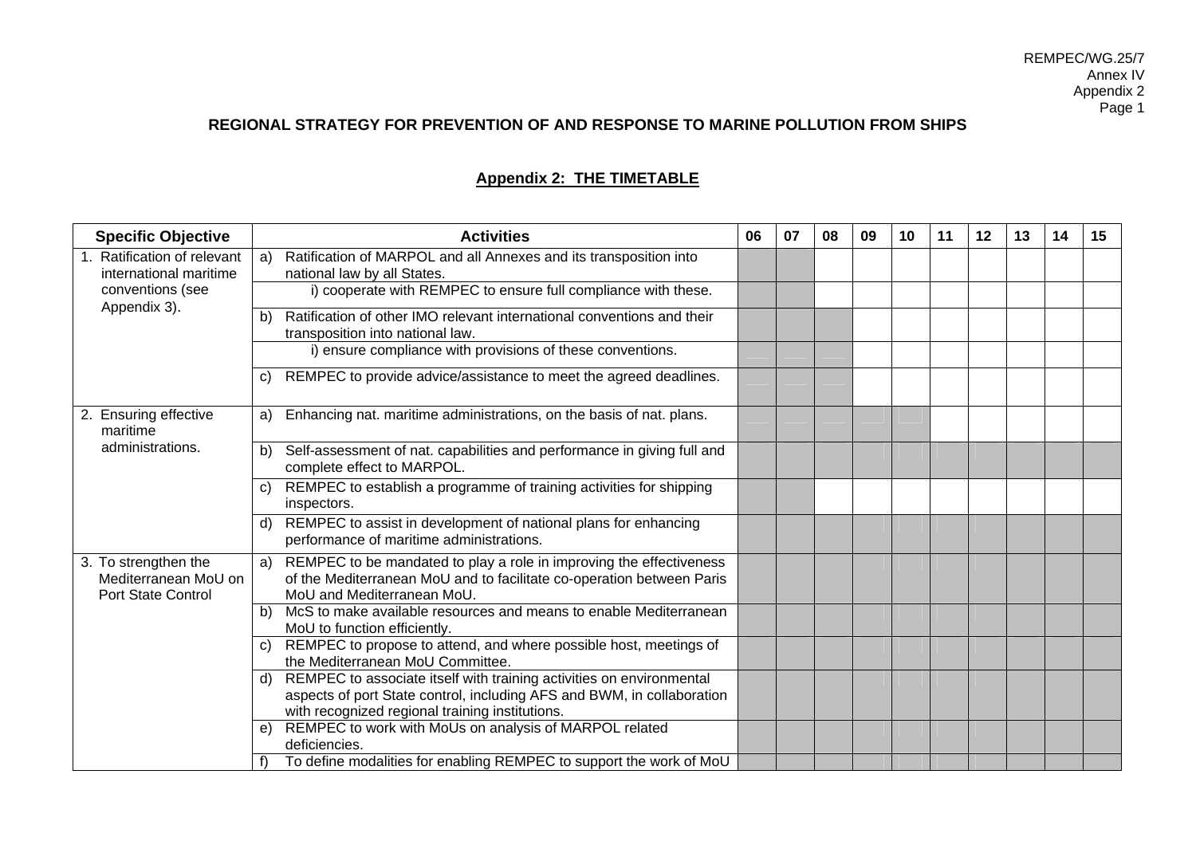# **REGIONAL STRATEGY FOR PREVENTION OF AND RESPONSE TO MARINE POLLUTION FROM SHIPS**

# **Appendix 2: THE TIMETABLE**

| <b>Specific Objective</b>                    | <b>Activities</b>                                                                                                 | 06 | 07 | 08 | 09 | 10 | 11 | 12 | 13 | 14 | 15 |
|----------------------------------------------|-------------------------------------------------------------------------------------------------------------------|----|----|----|----|----|----|----|----|----|----|
| 1. Ratification of relevant                  | Ratification of MARPOL and all Annexes and its transposition into<br>a)                                           |    |    |    |    |    |    |    |    |    |    |
| international maritime                       | national law by all States.                                                                                       |    |    |    |    |    |    |    |    |    |    |
| conventions (see<br>Appendix 3).             | i) cooperate with REMPEC to ensure full compliance with these.                                                    |    |    |    |    |    |    |    |    |    |    |
|                                              | Ratification of other IMO relevant international conventions and their<br>b)                                      |    |    |    |    |    |    |    |    |    |    |
|                                              | transposition into national law.                                                                                  |    |    |    |    |    |    |    |    |    |    |
|                                              | i) ensure compliance with provisions of these conventions.                                                        |    |    |    |    |    |    |    |    |    |    |
|                                              | REMPEC to provide advice/assistance to meet the agreed deadlines.<br>C)                                           |    |    |    |    |    |    |    |    |    |    |
| 2. Ensuring effective<br>maritime            | Enhancing nat. maritime administrations, on the basis of nat. plans.<br>a)                                        |    |    |    |    |    |    |    |    |    |    |
| administrations.                             | Self-assessment of nat. capabilities and performance in giving full and<br>b)<br>complete effect to MARPOL.       |    |    |    |    |    |    |    |    |    |    |
|                                              | REMPEC to establish a programme of training activities for shipping<br>$\mathbf{C}$<br>inspectors.                |    |    |    |    |    |    |    |    |    |    |
|                                              | REMPEC to assist in development of national plans for enhancing<br>d)<br>performance of maritime administrations. |    |    |    |    |    |    |    |    |    |    |
| 3. To strengthen the<br>Mediterranean MoU on | a) REMPEC to be mandated to play a role in improving the effectiveness                                            |    |    |    |    |    |    |    |    |    |    |
| <b>Port State Control</b>                    | of the Mediterranean MoU and to facilitate co-operation between Paris<br>MoU and Mediterranean MoU.               |    |    |    |    |    |    |    |    |    |    |
|                                              | McS to make available resources and means to enable Mediterranean<br>b)<br>MoU to function efficiently.           |    |    |    |    |    |    |    |    |    |    |
|                                              | REMPEC to propose to attend, and where possible host, meetings of<br>C)<br>the Mediterranean MoU Committee.       |    |    |    |    |    |    |    |    |    |    |
|                                              | REMPEC to associate itself with training activities on environmental<br>d)                                        |    |    |    |    |    |    |    |    |    |    |
|                                              | aspects of port State control, including AFS and BWM, in collaboration                                            |    |    |    |    |    |    |    |    |    |    |
|                                              | with recognized regional training institutions.                                                                   |    |    |    |    |    |    |    |    |    |    |
|                                              | REMPEC to work with MoUs on analysis of MARPOL related<br>e)<br>deficiencies.                                     |    |    |    |    |    |    |    |    |    |    |
|                                              | To define modalities for enabling REMPEC to support the work of MoU                                               |    |    |    |    |    |    |    |    |    |    |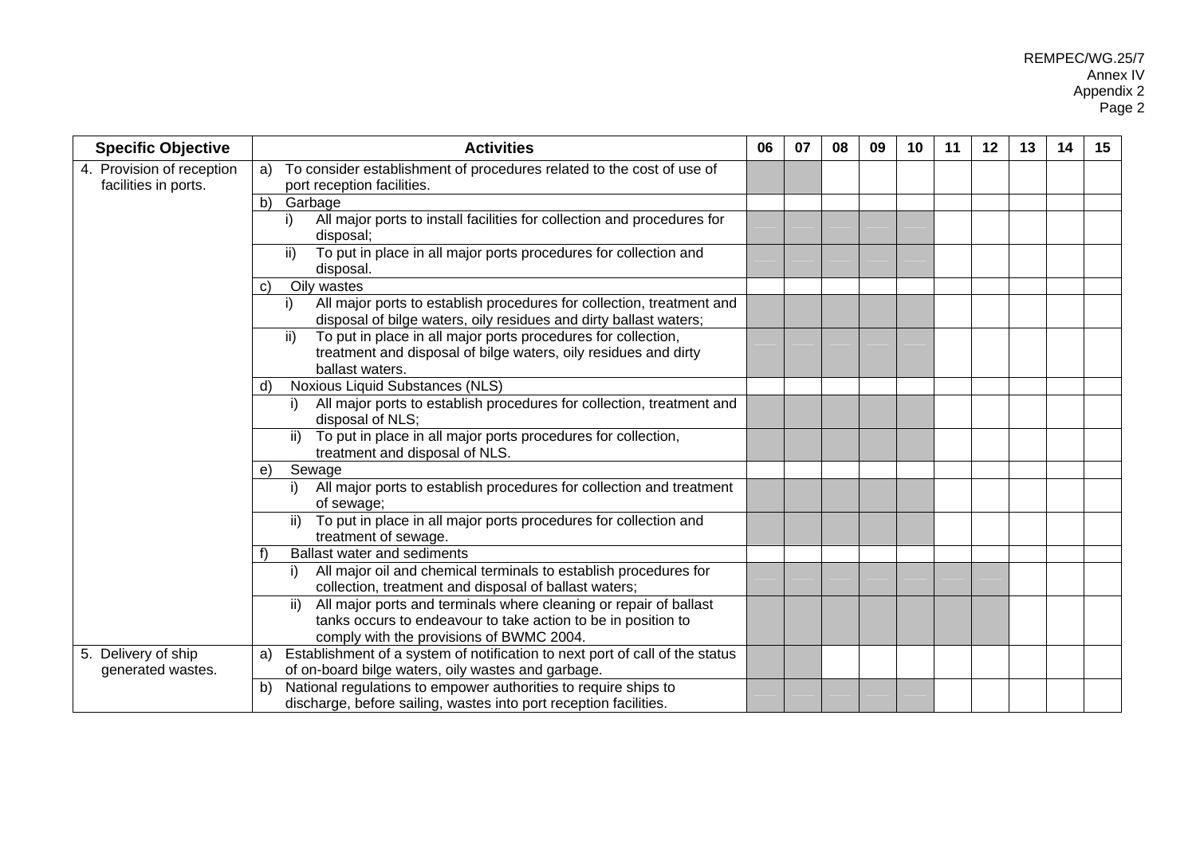| <b>Specific Objective</b> | <b>Activities</b>                                                                                                                                | 06 | 07 | 08 | 09 | 10 | 11 | 12 | 13 | 14 | 15 |
|---------------------------|--------------------------------------------------------------------------------------------------------------------------------------------------|----|----|----|----|----|----|----|----|----|----|
| 4. Provision of reception | To consider establishment of procedures related to the cost of use of<br>a)                                                                      |    |    |    |    |    |    |    |    |    |    |
| facilities in ports.      | port reception facilities.                                                                                                                       |    |    |    |    |    |    |    |    |    |    |
|                           | b)<br>Garbage                                                                                                                                    |    |    |    |    |    |    |    |    |    |    |
|                           | All major ports to install facilities for collection and procedures for<br>i)<br>disposal;                                                       |    |    |    |    |    |    |    |    |    |    |
|                           | ii)<br>To put in place in all major ports procedures for collection and<br>disposal.                                                             |    |    |    |    |    |    |    |    |    |    |
|                           | Oily wastes<br>C)                                                                                                                                |    |    |    |    |    |    |    |    |    |    |
|                           | All major ports to establish procedures for collection, treatment and<br>i)<br>disposal of bilge waters, oily residues and dirty ballast waters; |    |    |    |    |    |    |    |    |    |    |
|                           | To put in place in all major ports procedures for collection,<br>ii)                                                                             |    |    |    |    |    |    |    |    |    |    |
|                           | treatment and disposal of bilge waters, oily residues and dirty<br>ballast waters.                                                               |    |    |    |    |    |    |    |    |    |    |
|                           | Noxious Liquid Substances (NLS)<br>d)                                                                                                            |    |    |    |    |    |    |    |    |    |    |
|                           | All major ports to establish procedures for collection, treatment and<br>disposal of NLS;                                                        |    |    |    |    |    |    |    |    |    |    |
|                           | To put in place in all major ports procedures for collection,<br>ii)<br>treatment and disposal of NLS.                                           |    |    |    |    |    |    |    |    |    |    |
|                           | Sewage<br>e)                                                                                                                                     |    |    |    |    |    |    |    |    |    |    |
|                           | All major ports to establish procedures for collection and treatment<br>i).<br>of sewage;                                                        |    |    |    |    |    |    |    |    |    |    |
|                           | To put in place in all major ports procedures for collection and<br>ii)<br>treatment of sewage.                                                  |    |    |    |    |    |    |    |    |    |    |
|                           | <b>Ballast water and sediments</b>                                                                                                               |    |    |    |    |    |    |    |    |    |    |
|                           | All major oil and chemical terminals to establish procedures for<br>i)<br>collection, treatment and disposal of ballast waters;                  |    |    |    |    |    |    |    |    |    |    |
|                           | All major ports and terminals where cleaning or repair of ballast<br>ii)                                                                         |    |    |    |    |    |    |    |    |    |    |
|                           | tanks occurs to endeavour to take action to be in position to                                                                                    |    |    |    |    |    |    |    |    |    |    |
|                           | comply with the provisions of BWMC 2004.                                                                                                         |    |    |    |    |    |    |    |    |    |    |
| 5. Delivery of ship       | Establishment of a system of notification to next port of call of the status<br>a)                                                               |    |    |    |    |    |    |    |    |    |    |
| generated wastes.         | of on-board bilge waters, oily wastes and garbage.                                                                                               |    |    |    |    |    |    |    |    |    |    |
|                           | National regulations to empower authorities to require ships to<br>b)                                                                            |    |    |    |    |    |    |    |    |    |    |
|                           | discharge, before sailing, wastes into port reception facilities.                                                                                |    |    |    |    |    |    |    |    |    |    |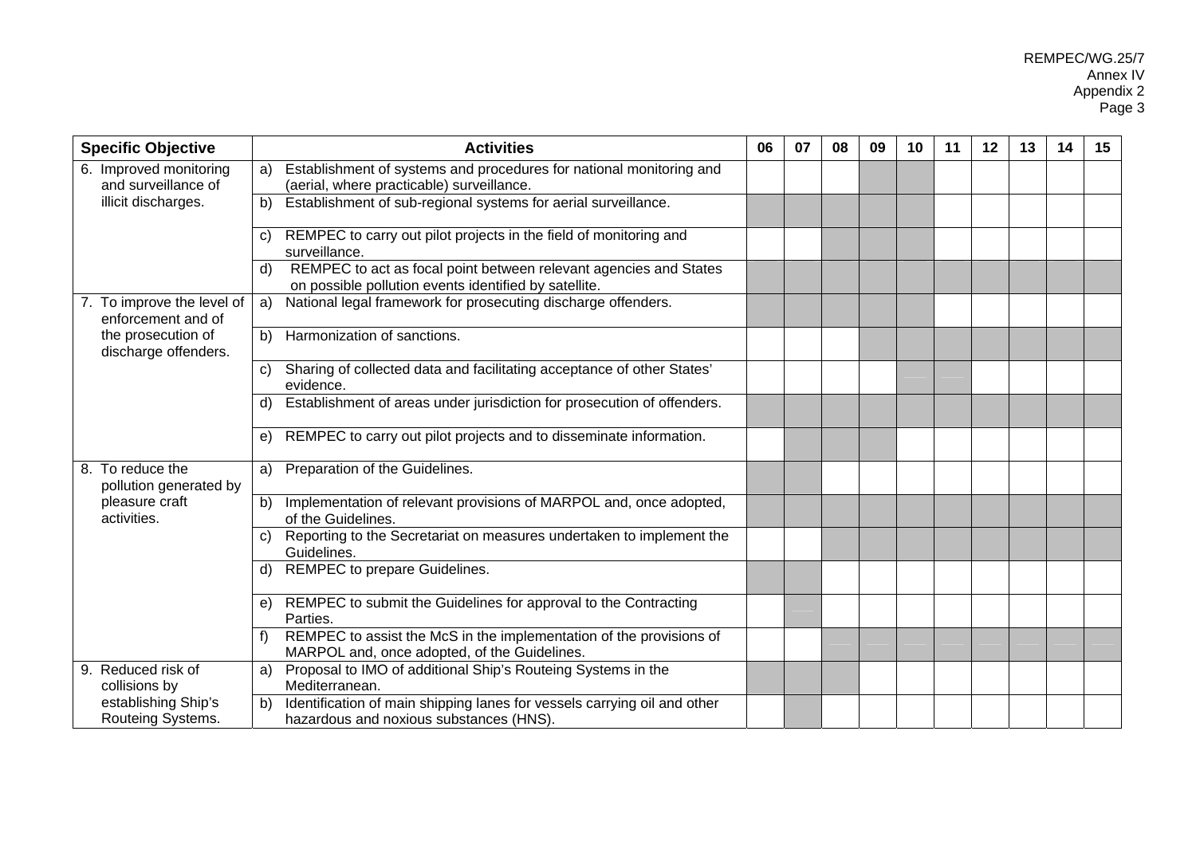| <b>Specific Objective</b>                        | <b>Activities</b>                                                                                                                | 06 | 07 | 08 | 09 | 10 | 11 | 12 | 13 | 14 | 15 |
|--------------------------------------------------|----------------------------------------------------------------------------------------------------------------------------------|----|----|----|----|----|----|----|----|----|----|
| 6. Improved monitoring<br>and surveillance of    | Establishment of systems and procedures for national monitoring and<br>a)<br>(aerial, where practicable) surveillance.           |    |    |    |    |    |    |    |    |    |    |
| illicit discharges.                              | Establishment of sub-regional systems for aerial surveillance.<br>b)                                                             |    |    |    |    |    |    |    |    |    |    |
|                                                  | REMPEC to carry out pilot projects in the field of monitoring and<br>C)<br>surveillance.                                         |    |    |    |    |    |    |    |    |    |    |
|                                                  | REMPEC to act as focal point between relevant agencies and States<br>d)<br>on possible pollution events identified by satellite. |    |    |    |    |    |    |    |    |    |    |
| 7. To improve the level of<br>enforcement and of | National legal framework for prosecuting discharge offenders.<br>a)                                                              |    |    |    |    |    |    |    |    |    |    |
| the prosecution of<br>discharge offenders.       | Harmonization of sanctions.<br>b)                                                                                                |    |    |    |    |    |    |    |    |    |    |
|                                                  | Sharing of collected data and facilitating acceptance of other States'<br>C)<br>evidence.                                        |    |    |    |    |    |    |    |    |    |    |
|                                                  | Establishment of areas under jurisdiction for prosecution of offenders.<br>d)                                                    |    |    |    |    |    |    |    |    |    |    |
|                                                  | REMPEC to carry out pilot projects and to disseminate information.<br>e)                                                         |    |    |    |    |    |    |    |    |    |    |
| 8. To reduce the<br>pollution generated by       | Preparation of the Guidelines.<br>a)                                                                                             |    |    |    |    |    |    |    |    |    |    |
| pleasure craft<br>activities.                    | Implementation of relevant provisions of MARPOL and, once adopted,<br>b)<br>of the Guidelines.                                   |    |    |    |    |    |    |    |    |    |    |
|                                                  | Reporting to the Secretariat on measures undertaken to implement the<br>C)<br>Guidelines.                                        |    |    |    |    |    |    |    |    |    |    |
|                                                  | REMPEC to prepare Guidelines.<br>d)                                                                                              |    |    |    |    |    |    |    |    |    |    |
|                                                  | REMPEC to submit the Guidelines for approval to the Contracting<br>e)<br>Parties.                                                |    |    |    |    |    |    |    |    |    |    |
|                                                  | REMPEC to assist the McS in the implementation of the provisions of<br>MARPOL and, once adopted, of the Guidelines.              |    |    |    |    |    |    |    |    |    |    |
| 9. Reduced risk of<br>collisions by              | Proposal to IMO of additional Ship's Routeing Systems in the<br>a)<br>Mediterranean.                                             |    |    |    |    |    |    |    |    |    |    |
| establishing Ship's<br>Routeing Systems.         | Identification of main shipping lanes for vessels carrying oil and other<br>b)<br>hazardous and noxious substances (HNS).        |    |    |    |    |    |    |    |    |    |    |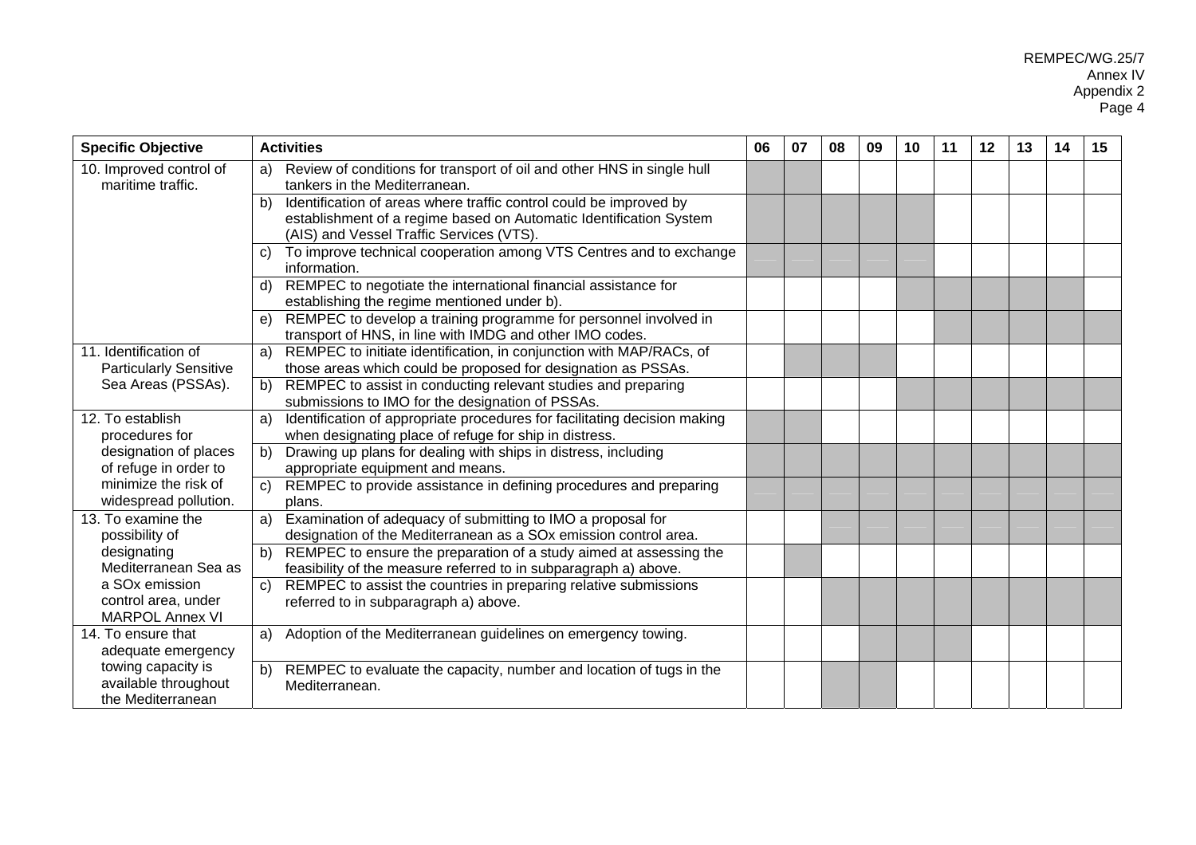| <b>Specific Objective</b>     | <b>Activities</b>                                                                  | 06 | 07 | 08 | 09 | 10 | 11 | $12 \,$ | 13 | 14 | 15 |
|-------------------------------|------------------------------------------------------------------------------------|----|----|----|----|----|----|---------|----|----|----|
| 10. Improved control of       | Review of conditions for transport of oil and other HNS in single hull<br>a)       |    |    |    |    |    |    |         |    |    |    |
| maritime traffic.             | tankers in the Mediterranean.                                                      |    |    |    |    |    |    |         |    |    |    |
|                               | Identification of areas where traffic control could be improved by<br>b)           |    |    |    |    |    |    |         |    |    |    |
|                               | establishment of a regime based on Automatic Identification System                 |    |    |    |    |    |    |         |    |    |    |
|                               | (AIS) and Vessel Traffic Services (VTS).                                           |    |    |    |    |    |    |         |    |    |    |
|                               | To improve technical cooperation among VTS Centres and to exchange<br>C)           |    |    |    |    |    |    |         |    |    |    |
|                               | information.                                                                       |    |    |    |    |    |    |         |    |    |    |
|                               | REMPEC to negotiate the international financial assistance for<br>$\mathsf{d}$     |    |    |    |    |    |    |         |    |    |    |
|                               | establishing the regime mentioned under b).                                        |    |    |    |    |    |    |         |    |    |    |
|                               | REMPEC to develop a training programme for personnel involved in<br>e)             |    |    |    |    |    |    |         |    |    |    |
|                               | transport of HNS, in line with IMDG and other IMO codes.                           |    |    |    |    |    |    |         |    |    |    |
| 11. Identification of         | REMPEC to initiate identification, in conjunction with MAP/RACs, of<br>a)          |    |    |    |    |    |    |         |    |    |    |
| <b>Particularly Sensitive</b> | those areas which could be proposed for designation as PSSAs.                      |    |    |    |    |    |    |         |    |    |    |
| Sea Areas (PSSAs).            | REMPEC to assist in conducting relevant studies and preparing<br>b)                |    |    |    |    |    |    |         |    |    |    |
|                               | submissions to IMO for the designation of PSSAs.                                   |    |    |    |    |    |    |         |    |    |    |
| 12. To establish              | Identification of appropriate procedures for facilitating decision making<br>a)    |    |    |    |    |    |    |         |    |    |    |
| procedures for                | when designating place of refuge for ship in distress.                             |    |    |    |    |    |    |         |    |    |    |
| designation of places         | Drawing up plans for dealing with ships in distress, including<br>b)               |    |    |    |    |    |    |         |    |    |    |
| of refuge in order to         | appropriate equipment and means.                                                   |    |    |    |    |    |    |         |    |    |    |
| minimize the risk of          | REMPEC to provide assistance in defining procedures and preparing<br>$\mathsf{C}$  |    |    |    |    |    |    |         |    |    |    |
| widespread pollution.         | plans.                                                                             |    |    |    |    |    |    |         |    |    |    |
| 13. To examine the            | Examination of adequacy of submitting to IMO a proposal for<br>a)                  |    |    |    |    |    |    |         |    |    |    |
| possibility of                | designation of the Mediterranean as a SOx emission control area.                   |    |    |    |    |    |    |         |    |    |    |
| designating                   | REMPEC to ensure the preparation of a study aimed at assessing the<br>$\mathbf{b}$ |    |    |    |    |    |    |         |    |    |    |
| Mediterranean Sea as          | feasibility of the measure referred to in subparagraph a) above.                   |    |    |    |    |    |    |         |    |    |    |
| a SO <sub>x</sub> emission    | REMPEC to assist the countries in preparing relative submissions<br>$\mathbf{C}$   |    |    |    |    |    |    |         |    |    |    |
| control area, under           | referred to in subparagraph a) above.                                              |    |    |    |    |    |    |         |    |    |    |
| <b>MARPOL Annex VI</b>        |                                                                                    |    |    |    |    |    |    |         |    |    |    |
| 14. To ensure that            | Adoption of the Mediterranean guidelines on emergency towing.<br>a)                |    |    |    |    |    |    |         |    |    |    |
| adequate emergency            |                                                                                    |    |    |    |    |    |    |         |    |    |    |
| towing capacity is            | REMPEC to evaluate the capacity, number and location of tugs in the<br>b)          |    |    |    |    |    |    |         |    |    |    |
| available throughout          | Mediterranean.                                                                     |    |    |    |    |    |    |         |    |    |    |
| the Mediterranean             |                                                                                    |    |    |    |    |    |    |         |    |    |    |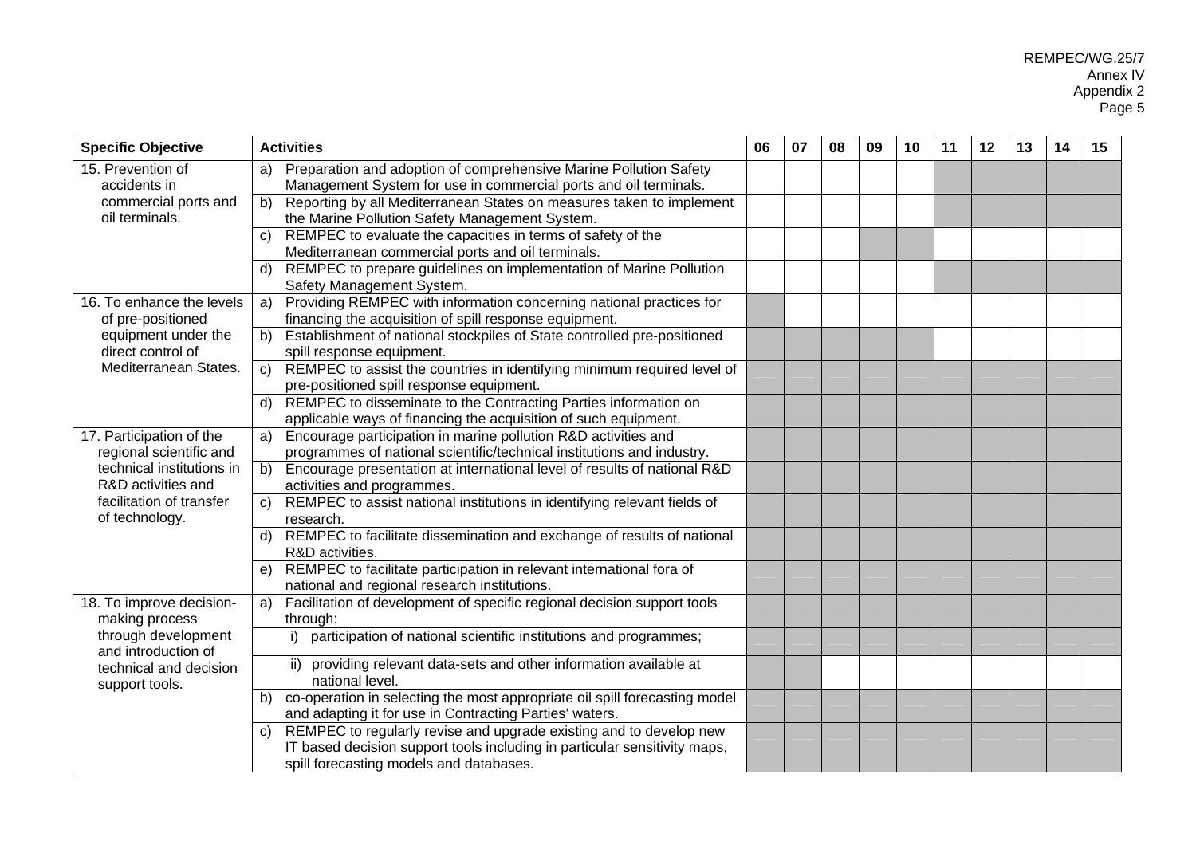| <b>Specific Objective</b>                  | <b>Activities</b>                                                                                          | 06 | 07 | 08 | 09 | 10 | 11 | 12 | 13 | 14 | 15 |
|--------------------------------------------|------------------------------------------------------------------------------------------------------------|----|----|----|----|----|----|----|----|----|----|
| 15. Prevention of                          | Preparation and adoption of comprehensive Marine Pollution Safety<br>a)                                    |    |    |    |    |    |    |    |    |    |    |
| accidents in                               | Management System for use in commercial ports and oil terminals.                                           |    |    |    |    |    |    |    |    |    |    |
| commercial ports and                       | Reporting by all Mediterranean States on measures taken to implement<br>b)                                 |    |    |    |    |    |    |    |    |    |    |
| oil terminals.                             | the Marine Pollution Safety Management System.                                                             |    |    |    |    |    |    |    |    |    |    |
|                                            | REMPEC to evaluate the capacities in terms of safety of the<br>C)                                          |    |    |    |    |    |    |    |    |    |    |
|                                            | Mediterranean commercial ports and oil terminals.                                                          |    |    |    |    |    |    |    |    |    |    |
|                                            | REMPEC to prepare guidelines on implementation of Marine Pollution<br>d)<br>Safety Management System.      |    |    |    |    |    |    |    |    |    |    |
| 16. To enhance the levels                  | Providing REMPEC with information concerning national practices for<br>a)                                  |    |    |    |    |    |    |    |    |    |    |
| of pre-positioned                          | financing the acquisition of spill response equipment.                                                     |    |    |    |    |    |    |    |    |    |    |
| equipment under the<br>direct control of   | Establishment of national stockpiles of State controlled pre-positioned<br>b)<br>spill response equipment. |    |    |    |    |    |    |    |    |    |    |
| Mediterranean States.                      | REMPEC to assist the countries in identifying minimum required level of<br>C)                              |    |    |    |    |    |    |    |    |    |    |
|                                            | pre-positioned spill response equipment.                                                                   |    |    |    |    |    |    |    |    |    |    |
|                                            | REMPEC to disseminate to the Contracting Parties information on<br>d)                                      |    |    |    |    |    |    |    |    |    |    |
|                                            | applicable ways of financing the acquisition of such equipment.                                            |    |    |    |    |    |    |    |    |    |    |
| 17. Participation of the                   | Encourage participation in marine pollution R&D activities and<br>a)                                       |    |    |    |    |    |    |    |    |    |    |
| regional scientific and                    | programmes of national scientific/technical institutions and industry.                                     |    |    |    |    |    |    |    |    |    |    |
| technical institutions in                  | Encourage presentation at international level of results of national R&D<br>b)                             |    |    |    |    |    |    |    |    |    |    |
| R&D activities and                         | activities and programmes.                                                                                 |    |    |    |    |    |    |    |    |    |    |
| facilitation of transfer                   | REMPEC to assist national institutions in identifying relevant fields of<br>C)                             |    |    |    |    |    |    |    |    |    |    |
| of technology.                             | research.                                                                                                  |    |    |    |    |    |    |    |    |    |    |
|                                            | REMPEC to facilitate dissemination and exchange of results of national<br>d)<br>R&D activities.            |    |    |    |    |    |    |    |    |    |    |
|                                            | REMPEC to facilitate participation in relevant international fora of<br>e)                                 |    |    |    |    |    |    |    |    |    |    |
|                                            | national and regional research institutions.                                                               |    |    |    |    |    |    |    |    |    |    |
| 18. To improve decision-<br>making process | Facilitation of development of specific regional decision support tools<br>a)<br>through:                  |    |    |    |    |    |    |    |    |    |    |
| through development                        | participation of national scientific institutions and programmes;<br>i)                                    |    |    |    |    |    |    |    |    |    |    |
| and introduction of                        |                                                                                                            |    |    |    |    |    |    |    |    |    |    |
| technical and decision                     | ii) providing relevant data-sets and other information available at                                        |    |    |    |    |    |    |    |    |    |    |
| support tools.                             | national level.                                                                                            |    |    |    |    |    |    |    |    |    |    |
|                                            | co-operation in selecting the most appropriate oil spill forecasting model<br>b)                           |    |    |    |    |    |    |    |    |    |    |
|                                            | and adapting it for use in Contracting Parties' waters.                                                    |    |    |    |    |    |    |    |    |    |    |
|                                            | REMPEC to regularly revise and upgrade existing and to develop new<br>C)                                   |    |    |    |    |    |    |    |    |    |    |
|                                            | IT based decision support tools including in particular sensitivity maps,                                  |    |    |    |    |    |    |    |    |    |    |
|                                            | spill forecasting models and databases.                                                                    |    |    |    |    |    |    |    |    |    |    |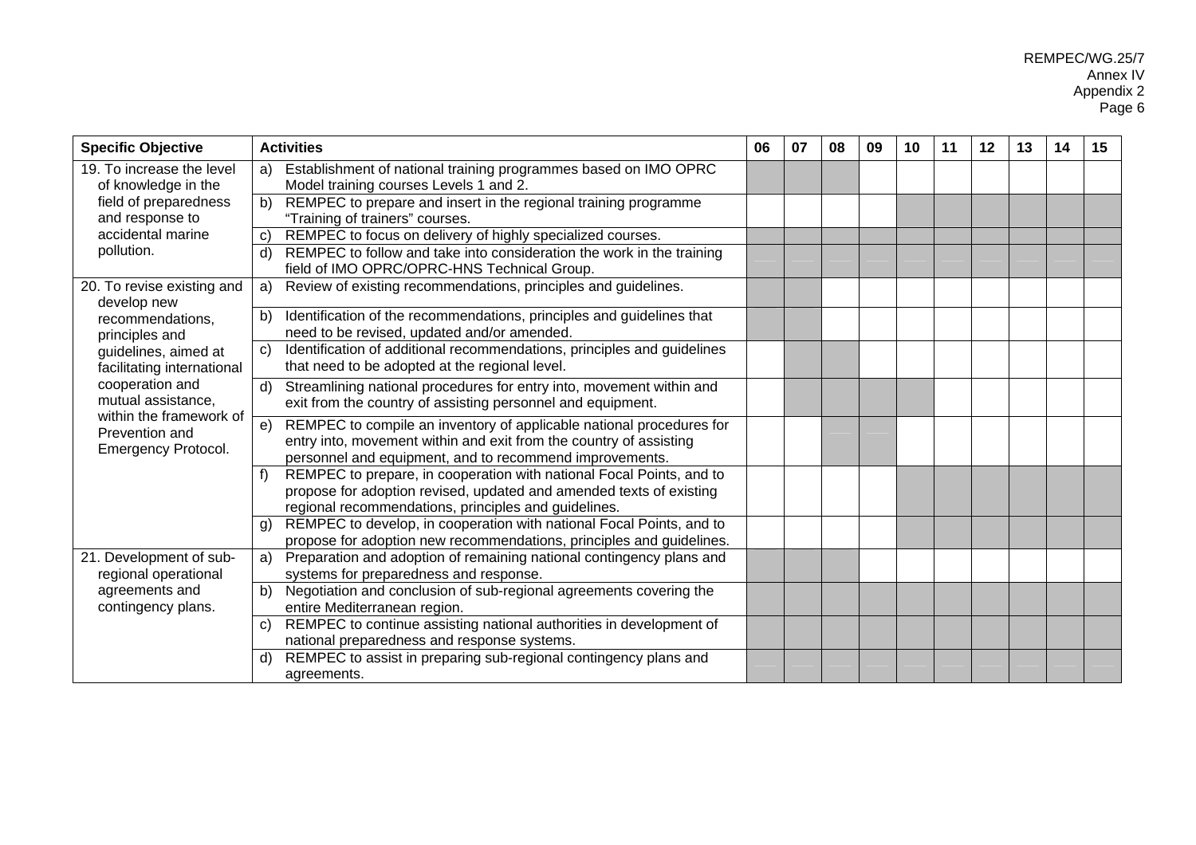| <b>Specific Objective</b>                                        | <b>Activities</b>                                                                                                                                                                                           | 06 | 07 | 08 | 09 | 10 | 11 | $12 \,$ | 13 | 14 | 15 |
|------------------------------------------------------------------|-------------------------------------------------------------------------------------------------------------------------------------------------------------------------------------------------------------|----|----|----|----|----|----|---------|----|----|----|
| 19. To increase the level<br>of knowledge in the                 | Establishment of national training programmes based on IMO OPRC<br>a)<br>Model training courses Levels 1 and 2.                                                                                             |    |    |    |    |    |    |         |    |    |    |
| field of preparedness<br>and response to                         | REMPEC to prepare and insert in the regional training programme<br>b)<br>"Training of trainers" courses.                                                                                                    |    |    |    |    |    |    |         |    |    |    |
| accidental marine                                                | REMPEC to focus on delivery of highly specialized courses.<br>$\mathbf{C}$                                                                                                                                  |    |    |    |    |    |    |         |    |    |    |
| pollution.                                                       | REMPEC to follow and take into consideration the work in the training<br>d)<br>field of IMO OPRC/OPRC-HNS Technical Group.                                                                                  |    |    |    |    |    |    |         |    |    |    |
| 20. To revise existing and<br>develop new                        | Review of existing recommendations, principles and guidelines.<br>a)                                                                                                                                        |    |    |    |    |    |    |         |    |    |    |
| recommendations,<br>principles and                               | Identification of the recommendations, principles and guidelines that<br>b)<br>need to be revised, updated and/or amended.                                                                                  |    |    |    |    |    |    |         |    |    |    |
| guidelines, aimed at<br>facilitating international               | Identification of additional recommendations, principles and guidelines<br>C)<br>that need to be adopted at the regional level.                                                                             |    |    |    |    |    |    |         |    |    |    |
| cooperation and<br>mutual assistance,                            | Streamlining national procedures for entry into, movement within and<br>d)<br>exit from the country of assisting personnel and equipment.                                                                   |    |    |    |    |    |    |         |    |    |    |
| within the framework of<br>Prevention and<br>Emergency Protocol. | REMPEC to compile an inventory of applicable national procedures for<br>e)<br>entry into, movement within and exit from the country of assisting<br>personnel and equipment, and to recommend improvements. |    |    |    |    |    |    |         |    |    |    |
|                                                                  | REMPEC to prepare, in cooperation with national Focal Points, and to<br>f<br>propose for adoption revised, updated and amended texts of existing<br>regional recommendations, principles and guidelines.    |    |    |    |    |    |    |         |    |    |    |
|                                                                  | REMPEC to develop, in cooperation with national Focal Points, and to<br>g)<br>propose for adoption new recommendations, principles and guidelines.                                                          |    |    |    |    |    |    |         |    |    |    |
| 21. Development of sub-<br>regional operational                  | Preparation and adoption of remaining national contingency plans and<br>a)<br>systems for preparedness and response.                                                                                        |    |    |    |    |    |    |         |    |    |    |
| agreements and<br>contingency plans.                             | Negotiation and conclusion of sub-regional agreements covering the<br>b)<br>entire Mediterranean region.                                                                                                    |    |    |    |    |    |    |         |    |    |    |
|                                                                  | REMPEC to continue assisting national authorities in development of<br>C)<br>national preparedness and response systems.                                                                                    |    |    |    |    |    |    |         |    |    |    |
|                                                                  | REMPEC to assist in preparing sub-regional contingency plans and<br>d)<br>agreements.                                                                                                                       |    |    |    |    |    |    |         |    |    |    |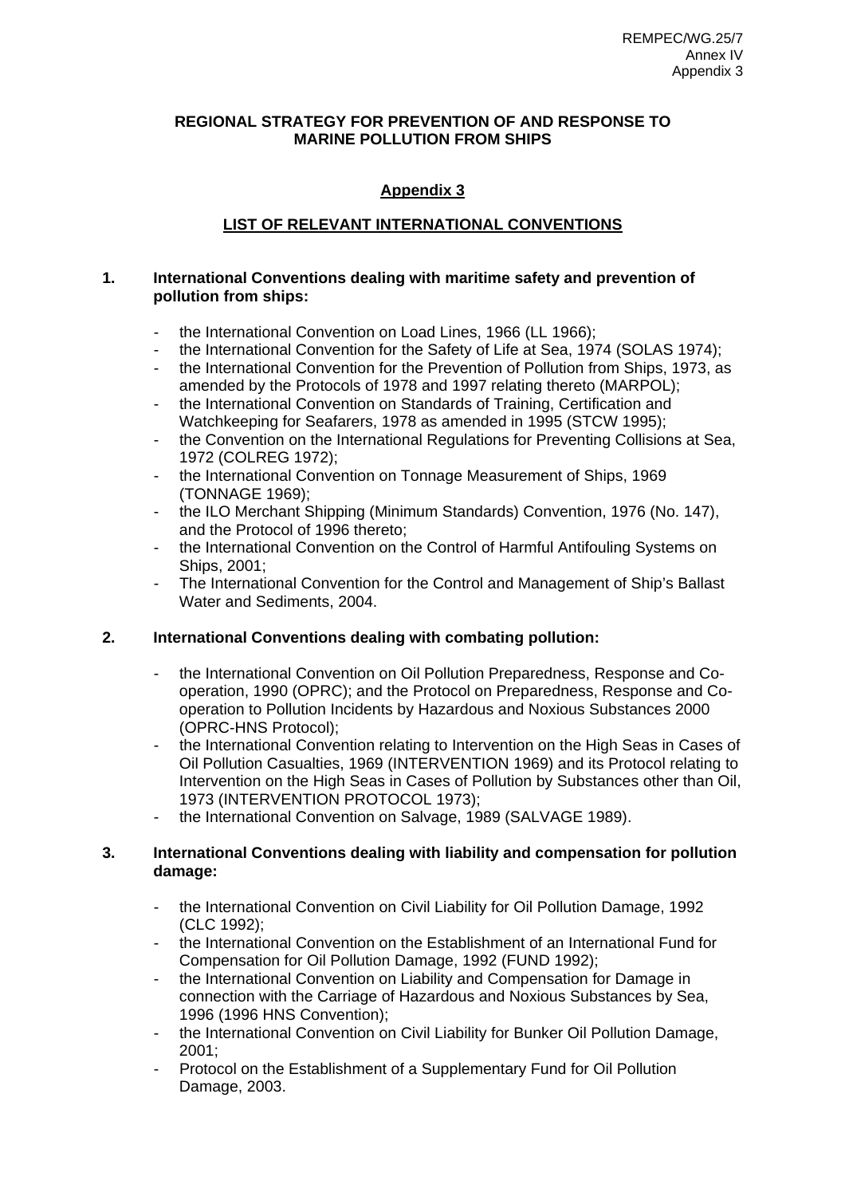# **REGIONAL STRATEGY FOR PREVENTION OF AND RESPONSE TO MARINE POLLUTION FROM SHIPS**

# **Appendix 3**

# **LIST OF RELEVANT INTERNATIONAL CONVENTIONS**

# **1. International Conventions dealing with maritime safety and prevention of pollution from ships:**

- the International Convention on Load Lines, 1966 (LL 1966);
- the International Convention for the Safety of Life at Sea, 1974 (SOLAS 1974);
- the International Convention for the Prevention of Pollution from Ships, 1973, as amended by the Protocols of 1978 and 1997 relating thereto (MARPOL);
- the International Convention on Standards of Training, Certification and Watchkeeping for Seafarers, 1978 as amended in 1995 (STCW 1995);
- the Convention on the International Regulations for Preventing Collisions at Sea, 1972 (COLREG 1972);
- the International Convention on Tonnage Measurement of Ships, 1969 (TONNAGE 1969);
- the ILO Merchant Shipping (Minimum Standards) Convention, 1976 (No. 147), and the Protocol of 1996 thereto;
- the International Convention on the Control of Harmful Antifouling Systems on Ships, 2001;
- The International Convention for the Control and Management of Ship's Ballast Water and Sediments, 2004.

# **2. International Conventions dealing with combating pollution:**

- the International Convention on Oil Pollution Preparedness, Response and Cooperation, 1990 (OPRC); and the Protocol on Preparedness, Response and Cooperation to Pollution Incidents by Hazardous and Noxious Substances 2000 (OPRC-HNS Protocol);
- the International Convention relating to Intervention on the High Seas in Cases of Oil Pollution Casualties, 1969 (INTERVENTION 1969) and its Protocol relating to Intervention on the High Seas in Cases of Pollution by Substances other than Oil, 1973 (INTERVENTION PROTOCOL 1973);
- the International Convention on Salvage, 1989 (SALVAGE 1989).

# **3. International Conventions dealing with liability and compensation for pollution damage:**

- the International Convention on Civil Liability for Oil Pollution Damage, 1992 (CLC 1992);
- the International Convention on the Establishment of an International Fund for Compensation for Oil Pollution Damage, 1992 (FUND 1992);
- the International Convention on Liability and Compensation for Damage in connection with the Carriage of Hazardous and Noxious Substances by Sea, 1996 (1996 HNS Convention);
- the International Convention on Civil Liability for Bunker Oil Pollution Damage, 2001;
- Protocol on the Establishment of a Supplementary Fund for Oil Pollution Damage, 2003.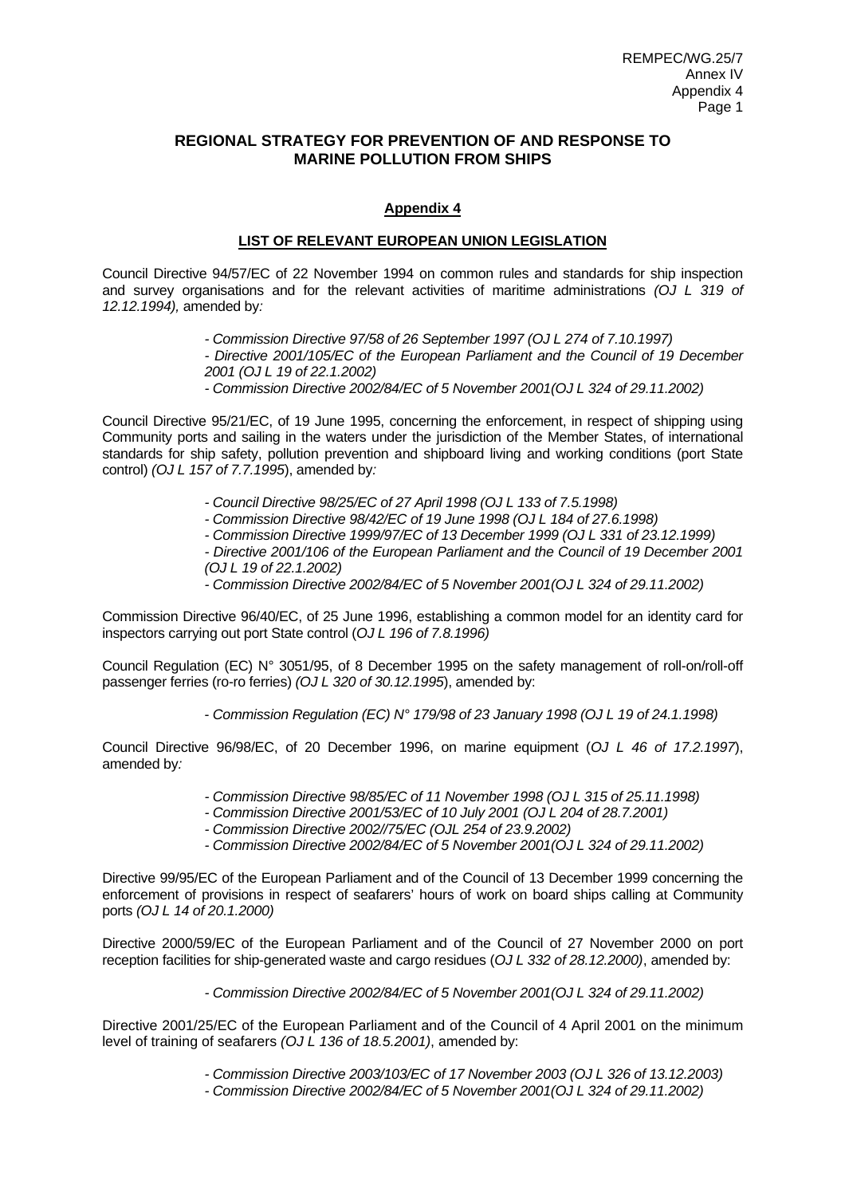# **REGIONAL STRATEGY FOR PREVENTION OF AND RESPONSE TO MARINE POLLUTION FROM SHIPS**

# **Appendix 4**

## **LIST OF RELEVANT EUROPEAN UNION LEGISLATION**

Council Directive 94/57/EC of 22 November 1994 on common rules and standards for ship inspection and survey organisations and for the relevant activities of maritime administrations *(OJ L 319 of 12.12.1994),* amended by*:* 

- *Commission Directive 97/58 of 26 September 1997 (OJ L 274 of 7.10.1997)*
- *Directive 2001/105/EC of the European Parliament and the Council of 19 December 2001 (OJ L 19 of 22.1.2002)*
- *Commission Directive 2002/84/EC of 5 November 2001(OJ L 324 of 29.11.2002)*

Council Directive 95/21/EC, of 19 June 1995, concerning the enforcement, in respect of shipping using Community ports and sailing in the waters under the jurisdiction of the Member States, of international standards for ship safety, pollution prevention and shipboard living and working conditions (port State control) *(OJ L 157 of 7.7.1995*), amended by*:* 

- *Council Directive 98/25/EC of 27 April 1998 (OJ L 133 of 7.5.1998)*
- *Commission Directive 98/42/EC of 19 June 1998 (OJ L 184 of 27.6.1998)*
- *Commission Directive 1999/97/EC of 13 December 1999 (OJ L 331 of 23.12.1999)*

*- Directive 2001/106 of the European Parliament and the Council of 19 December 2001 (OJ L 19 of 22.1.2002)* 

*- Commission Directive 2002/84/EC of 5 November 2001(OJ L 324 of 29.11.2002)*

Commission Directive 96/40/EC, of 25 June 1996, establishing a common model for an identity card for inspectors carrying out port State control (*OJ L 196 of 7.8.1996)* 

Council Regulation (EC) N° 3051/95, of 8 December 1995 on the safety management of roll-on/roll-off passenger ferries (ro-ro ferries) *(OJ L 320 of 30.12.1995*), amended by:

- *Commission Regulation (EC) N° 179/98 of 23 January 1998 (OJ L 19 of 24.1.1998)* 

Council Directive 96/98/EC, of 20 December 1996, on marine equipment (*OJ L 46 of 17.2.1997*), amended by*:* 

- *Commission Directive 98/85/EC of 11 November 1998 (OJ L 315 of 25.11.1998)*
- *Commission Directive 2001/53/EC of 10 July 2001 (OJ L 204 of 28.7.2001)*
- *Commission Directive 2002//75/EC (OJL 254 of 23.9.2002)*
- *Commission Directive 2002/84/EC of 5 November 2001(OJ L 324 of 29.11.2002)*

Directive 99/95/EC of the European Parliament and of the Council of 13 December 1999 concerning the enforcement of provisions in respect of seafarers' hours of work on board ships calling at Community ports *(OJ L 14 of 20.1.2000)* 

Directive 2000/59/EC of the European Parliament and of the Council of 27 November 2000 on port reception facilities for ship-generated waste and cargo residues (*OJ L 332 of 28.12.2000)*, amended by:

*- Commission Directive 2002/84/EC of 5 November 2001(OJ L 324 of 29.11.2002)*

Directive 2001/25/EC of the European Parliament and of the Council of 4 April 2001 on the minimum level of training of seafarers *(OJ L 136 of 18.5.2001)*, amended by:

*- Commission Directive 2003/103/EC of 17 November 2003 (OJ L 326 of 13.12.2003)* 

*- Commission Directive 2002/84/EC of 5 November 2001(OJ L 324 of 29.11.2002)*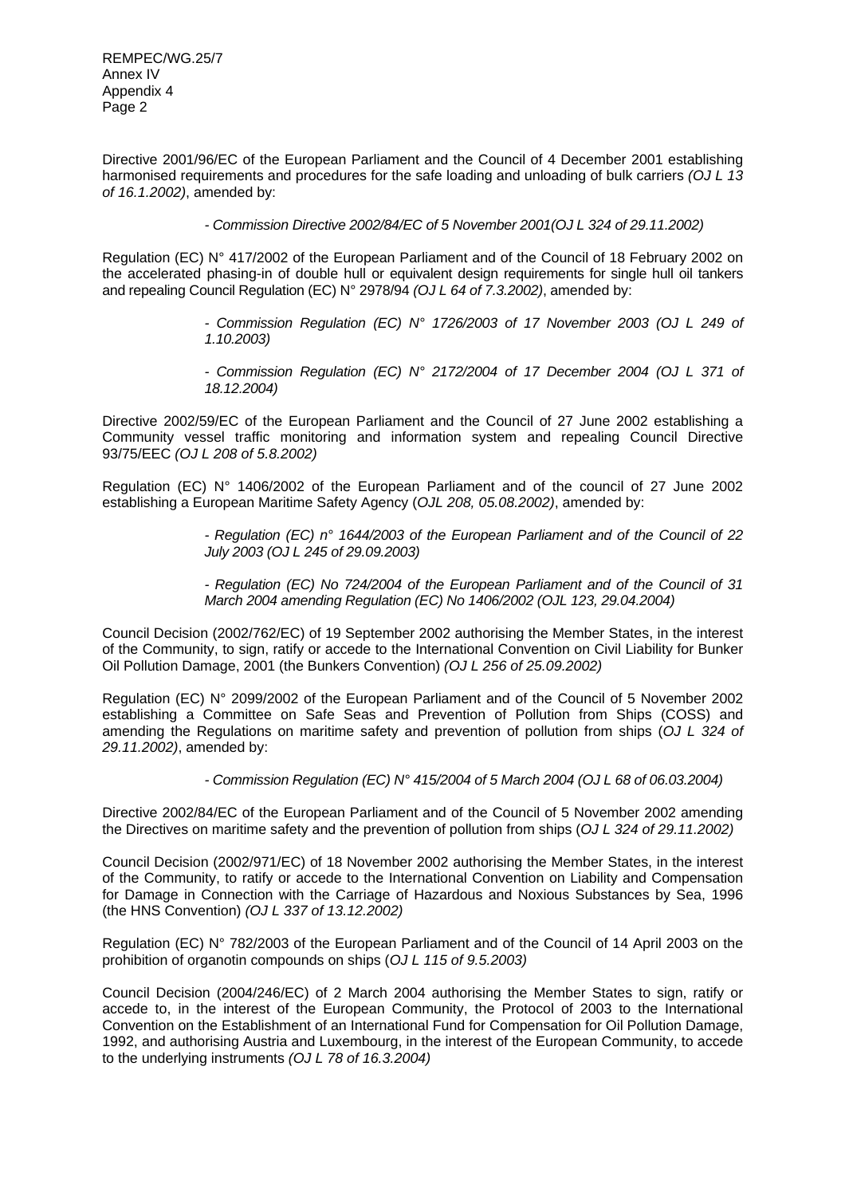Directive 2001/96/EC of the European Parliament and the Council of 4 December 2001 establishing harmonised requirements and procedures for the safe loading and unloading of bulk carriers *(OJ L 13 of 16.1.2002)*, amended by:

*- Commission Directive 2002/84/EC of 5 November 2001(OJ L 324 of 29.11.2002)*

Regulation (EC) N° 417/2002 of the European Parliament and of the Council of 18 February 2002 on the accelerated phasing-in of double hull or equivalent design requirements for single hull oil tankers and repealing Council Regulation (EC) N° 2978/94 *(OJ L 64 of 7.3.2002)*, amended by:

- *Commission Regulation (EC) N° 1726/2003 of 17 November 2003 (OJ L 249 of 1.10.2003)*
- *Commission Regulation (EC) N° 2172/2004 of 17 December 2004 (OJ L 371 of 18.12.2004)*

Directive 2002/59/EC of the European Parliament and the Council of 27 June 2002 establishing a Community vessel traffic monitoring and information system and repealing Council Directive 93/75/EEC *(OJ L 208 of 5.8.2002)* 

Regulation (EC) N° 1406/2002 of the European Parliament and of the council of 27 June 2002 establishing a European Maritime Safety Agency (*OJL 208, 05.08.2002)*, amended by:

> *- Regulation (EC) n° 1644/2003 of the European Parliament and of the Council of 22 July 2003 (OJ L 245 of 29.09.2003)*

> *- Regulation (EC) No 724/2004 of the European Parliament and of the Council of 31 March 2004 amending Regulation (EC) No 1406/2002 (OJL 123, 29.04.2004)*

Council Decision (2002/762/EC) of 19 September 2002 authorising the Member States, in the interest of the Community, to sign, ratify or accede to the International Convention on Civil Liability for Bunker Oil Pollution Damage, 2001 (the Bunkers Convention) *(OJ L 256 of 25.09.2002)*

Regulation (EC) N° 2099/2002 of the European Parliament and of the Council of 5 November 2002 establishing a Committee on Safe Seas and Prevention of Pollution from Ships (COSS) and amending the Regulations on maritime safety and prevention of pollution from ships (*OJ L 324 of 29.11.2002)*, amended by:

*- Commission Regulation (EC) N° 415/2004 of 5 March 2004 (OJ L 68 of 06.03.2004)*

Directive 2002/84/EC of the European Parliament and of the Council of 5 November 2002 amending the Directives on maritime safety and the prevention of pollution from ships (*OJ L 324 of 29.11.2002)* 

Council Decision (2002/971/EC) of 18 November 2002 authorising the Member States, in the interest of the Community, to ratify or accede to the International Convention on Liability and Compensation for Damage in Connection with the Carriage of Hazardous and Noxious Substances by Sea, 1996 (the HNS Convention) *(OJ L 337 of 13.12.2002)* 

Regulation (EC) N° 782/2003 of the European Parliament and of the Council of 14 April 2003 on the prohibition of organotin compounds on ships (*OJ L 115 of 9.5.2003)*

Council Decision (2004/246/EC) of 2 March 2004 authorising the Member States to sign, ratify or accede to, in the interest of the European Community, the Protocol of 2003 to the International Convention on the Establishment of an International Fund for Compensation for Oil Pollution Damage, 1992, and authorising Austria and Luxembourg, in the interest of the European Community, to accede to the underlying instruments *(OJ L 78 of 16.3.2004)*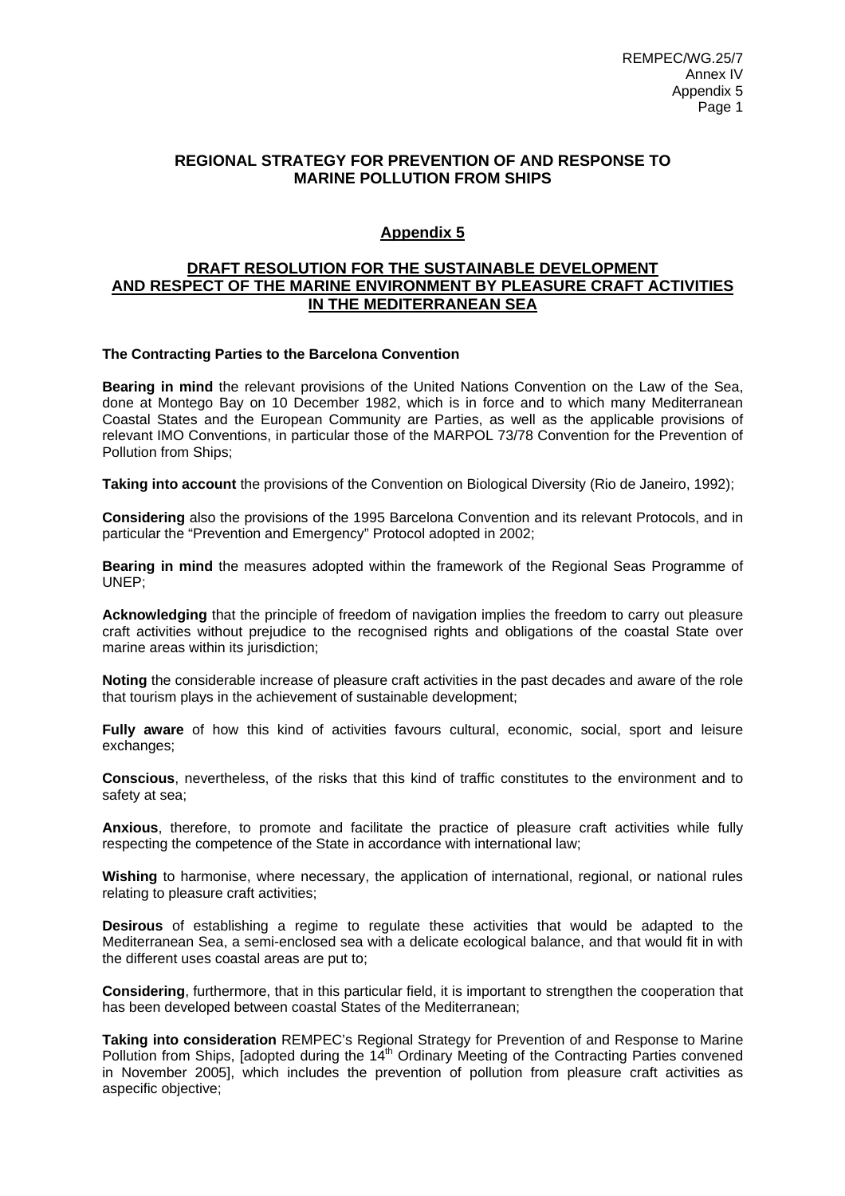# **REGIONAL STRATEGY FOR PREVENTION OF AND RESPONSE TO MARINE POLLUTION FROM SHIPS**

# **Appendix 5**

# **DRAFT RESOLUTION FOR THE SUSTAINABLE DEVELOPMENT AND RESPECT OF THE MARINE ENVIRONMENT BY PLEASURE CRAFT ACTIVITIES IN THE MEDITERRANEAN SEA**

### **The Contracting Parties to the Barcelona Convention**

**Bearing in mind** the relevant provisions of the United Nations Convention on the Law of the Sea, done at Montego Bay on 10 December 1982, which is in force and to which many Mediterranean Coastal States and the European Community are Parties, as well as the applicable provisions of relevant IMO Conventions, in particular those of the MARPOL 73/78 Convention for the Prevention of Pollution from Ships;

**Taking into account** the provisions of the Convention on Biological Diversity (Rio de Janeiro, 1992);

**Considering** also the provisions of the 1995 Barcelona Convention and its relevant Protocols, and in particular the "Prevention and Emergency" Protocol adopted in 2002;

**Bearing in mind** the measures adopted within the framework of the Regional Seas Programme of UNEP;

**Acknowledging** that the principle of freedom of navigation implies the freedom to carry out pleasure craft activities without prejudice to the recognised rights and obligations of the coastal State over marine areas within its jurisdiction;

**Noting** the considerable increase of pleasure craft activities in the past decades and aware of the role that tourism plays in the achievement of sustainable development;

**Fully aware** of how this kind of activities favours cultural, economic, social, sport and leisure exchanges;

**Conscious**, nevertheless, of the risks that this kind of traffic constitutes to the environment and to safety at sea;

**Anxious**, therefore, to promote and facilitate the practice of pleasure craft activities while fully respecting the competence of the State in accordance with international law;

**Wishing** to harmonise, where necessary, the application of international, regional, or national rules relating to pleasure craft activities;

**Desirous** of establishing a regime to regulate these activities that would be adapted to the Mediterranean Sea, a semi-enclosed sea with a delicate ecological balance, and that would fit in with the different uses coastal areas are put to;

**Considering**, furthermore, that in this particular field, it is important to strengthen the cooperation that has been developed between coastal States of the Mediterranean;

**Taking into consideration** REMPEC's Regional Strategy for Prevention of and Response to Marine Pollution from Ships, Jadopted during the 14<sup>th</sup> Ordinary Meeting of the Contracting Parties convened in November 2005], which includes the prevention of pollution from pleasure craft activities as aspecific objective;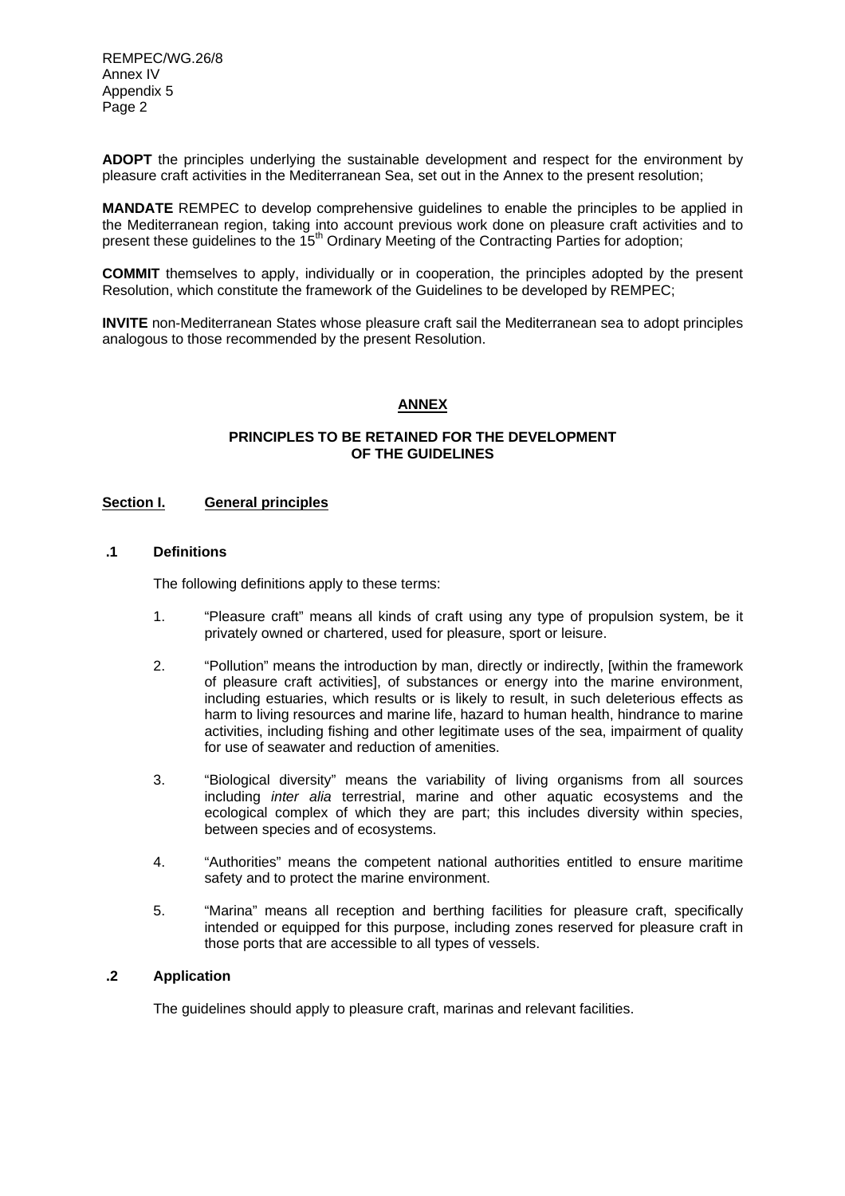**ADOPT** the principles underlying the sustainable development and respect for the environment by pleasure craft activities in the Mediterranean Sea, set out in the Annex to the present resolution;

**MANDATE** REMPEC to develop comprehensive guidelines to enable the principles to be applied in the Mediterranean region, taking into account previous work done on pleasure craft activities and to present these guidelines to the  $15<sup>th</sup>$  Ordinary Meeting of the Contracting Parties for adoption;

**COMMIT** themselves to apply, individually or in cooperation, the principles adopted by the present Resolution, which constitute the framework of the Guidelines to be developed by REMPEC;

**INVITE** non-Mediterranean States whose pleasure craft sail the Mediterranean sea to adopt principles analogous to those recommended by the present Resolution.

# **ANNEX**

## **PRINCIPLES TO BE RETAINED FOR THE DEVELOPMENT OF THE GUIDELINES**

### **Section I. General principles**

### **.1 Definitions**

The following definitions apply to these terms:

- 1."Pleasure craft" means all kinds of craft using any type of propulsion system, be it privately owned or chartered, used for pleasure, sport or leisure.
- 2. "Pollution" means the introduction by man, directly or indirectly, [within the framework of pleasure craft activities], of substances or energy into the marine environment, including estuaries, which results or is likely to result, in such deleterious effects as harm to living resources and marine life, hazard to human health, hindrance to marine activities, including fishing and other legitimate uses of the sea, impairment of quality for use of seawater and reduction of amenities.
- 3. "Biological diversity" means the variability of living organisms from all sources including *inter alia* terrestrial, marine and other aquatic ecosystems and the ecological complex of which they are part; this includes diversity within species, between species and of ecosystems.
- 4. "Authorities" means the competent national authorities entitled to ensure maritime safety and to protect the marine environment.
- 5. "Marina" means all reception and berthing facilities for pleasure craft, specifically intended or equipped for this purpose, including zones reserved for pleasure craft in those ports that are accessible to all types of vessels.

# **.2 Application**

The guidelines should apply to pleasure craft, marinas and relevant facilities.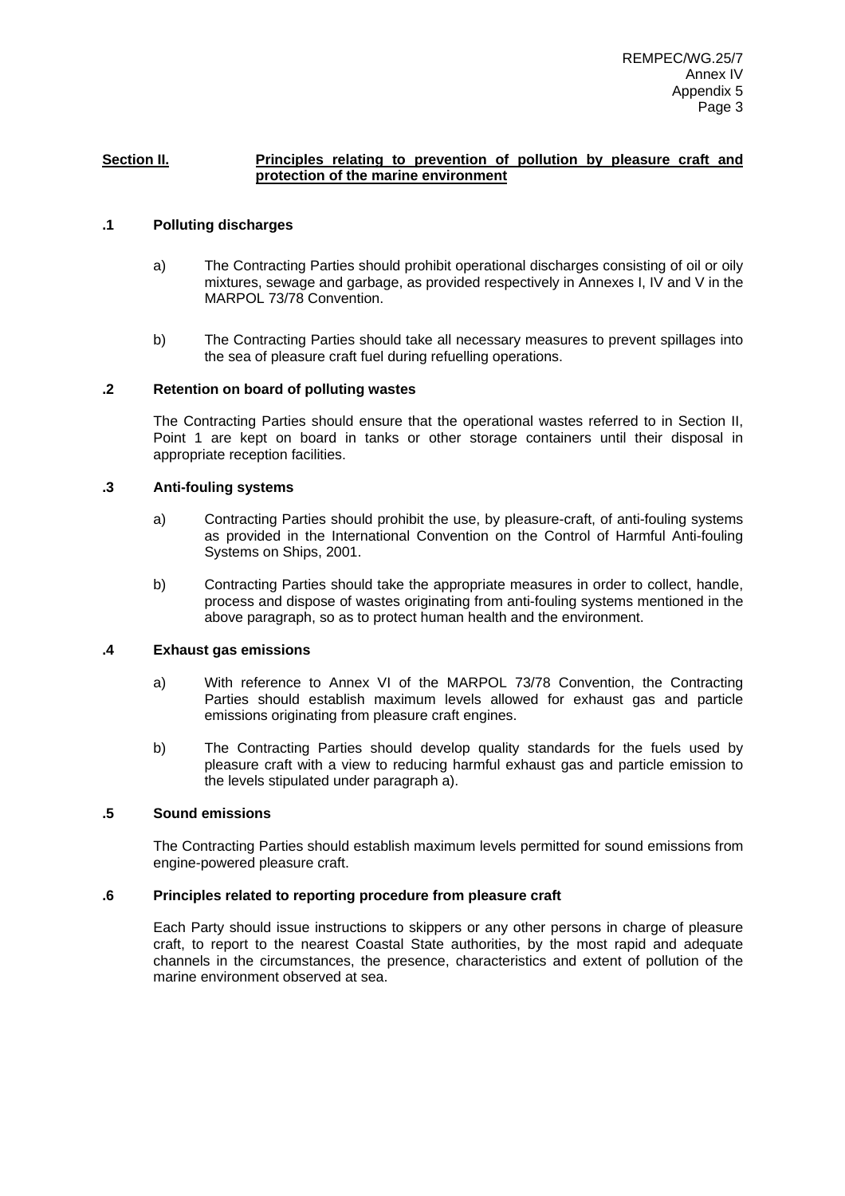#### **Section II.** Principles relating to prevention of pollution by pleasure craft and **protection of the marine environment**

## **.1 Polluting discharges**

- a) The Contracting Parties should prohibit operational discharges consisting of oil or oily mixtures, sewage and garbage, as provided respectively in Annexes I, IV and V in the MARPOL 73/78 Convention.
- b) The Contracting Parties should take all necessary measures to prevent spillages into the sea of pleasure craft fuel during refuelling operations.

### **.2 Retention on board of polluting wastes**

The Contracting Parties should ensure that the operational wastes referred to in Section II, Point 1 are kept on board in tanks or other storage containers until their disposal in appropriate reception facilities.

### **.3 Anti-fouling systems**

- a) Contracting Parties should prohibit the use, by pleasure-craft, of anti-fouling systems as provided in the International Convention on the Control of Harmful Anti-fouling Systems on Ships, 2001.
- b) Contracting Parties should take the appropriate measures in order to collect, handle, process and dispose of wastes originating from anti-fouling systems mentioned in the above paragraph, so as to protect human health and the environment.

#### **.4 Exhaust gas emissions**

- a) With reference to Annex VI of the MARPOL 73/78 Convention, the Contracting Parties should establish maximum levels allowed for exhaust gas and particle emissions originating from pleasure craft engines.
- b) The Contracting Parties should develop quality standards for the fuels used by pleasure craft with a view to reducing harmful exhaust gas and particle emission to the levels stipulated under paragraph a).

#### **.5 Sound emissions**

The Contracting Parties should establish maximum levels permitted for sound emissions from engine-powered pleasure craft.

#### **.6 Principles related to reporting procedure from pleasure craft**

Each Party should issue instructions to skippers or any other persons in charge of pleasure craft, to report to the nearest Coastal State authorities, by the most rapid and adequate channels in the circumstances, the presence, characteristics and extent of pollution of the marine environment observed at sea.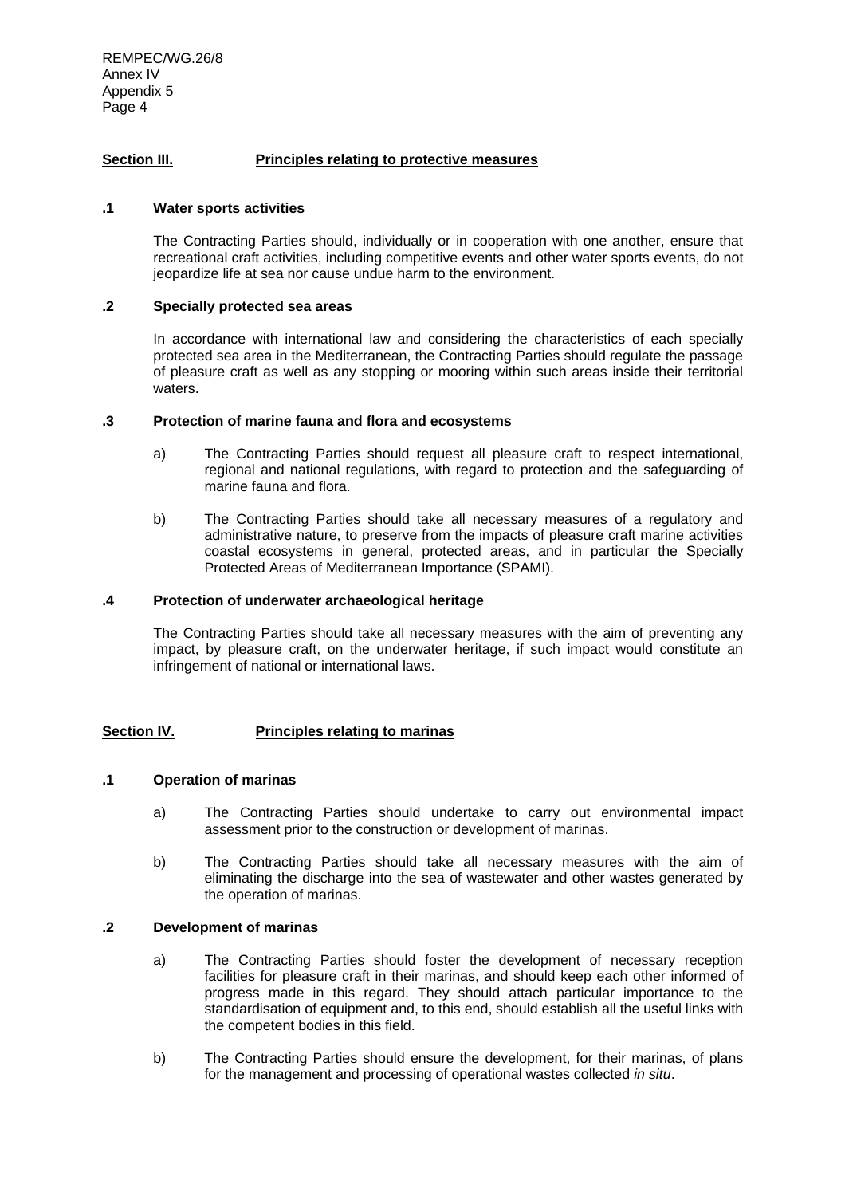## **Section III. Principles relating to protective measures**

#### **.1 Water sports activities**

The Contracting Parties should, individually or in cooperation with one another, ensure that recreational craft activities, including competitive events and other water sports events, do not jeopardize life at sea nor cause undue harm to the environment.

#### **.2 Specially protected sea areas**

In accordance with international law and considering the characteristics of each specially protected sea area in the Mediterranean, the Contracting Parties should regulate the passage of pleasure craft as well as any stopping or mooring within such areas inside their territorial waters.

#### **.3 Protection of marine fauna and flora and ecosystems**

- a) The Contracting Parties should request all pleasure craft to respect international, regional and national regulations, with regard to protection and the safeguarding of marine fauna and flora.
- b) The Contracting Parties should take all necessary measures of a regulatory and administrative nature, to preserve from the impacts of pleasure craft marine activities coastal ecosystems in general, protected areas, and in particular the Specially Protected Areas of Mediterranean Importance (SPAMI).

#### **.4 Protection of underwater archaeological heritage**

The Contracting Parties should take all necessary measures with the aim of preventing any impact, by pleasure craft, on the underwater heritage, if such impact would constitute an infringement of national or international laws.

#### **Section IV. Principles relating to marinas**

#### **.1 Operation of marinas**

- a) The Contracting Parties should undertake to carry out environmental impact assessment prior to the construction or development of marinas.
- b) The Contracting Parties should take all necessary measures with the aim of eliminating the discharge into the sea of wastewater and other wastes generated by the operation of marinas.

### **.2 Development of marinas**

- a) The Contracting Parties should foster the development of necessary reception facilities for pleasure craft in their marinas, and should keep each other informed of progress made in this regard. They should attach particular importance to the standardisation of equipment and, to this end, should establish all the useful links with the competent bodies in this field.
- b) The Contracting Parties should ensure the development, for their marinas, of plans for the management and processing of operational wastes collected *in situ*.